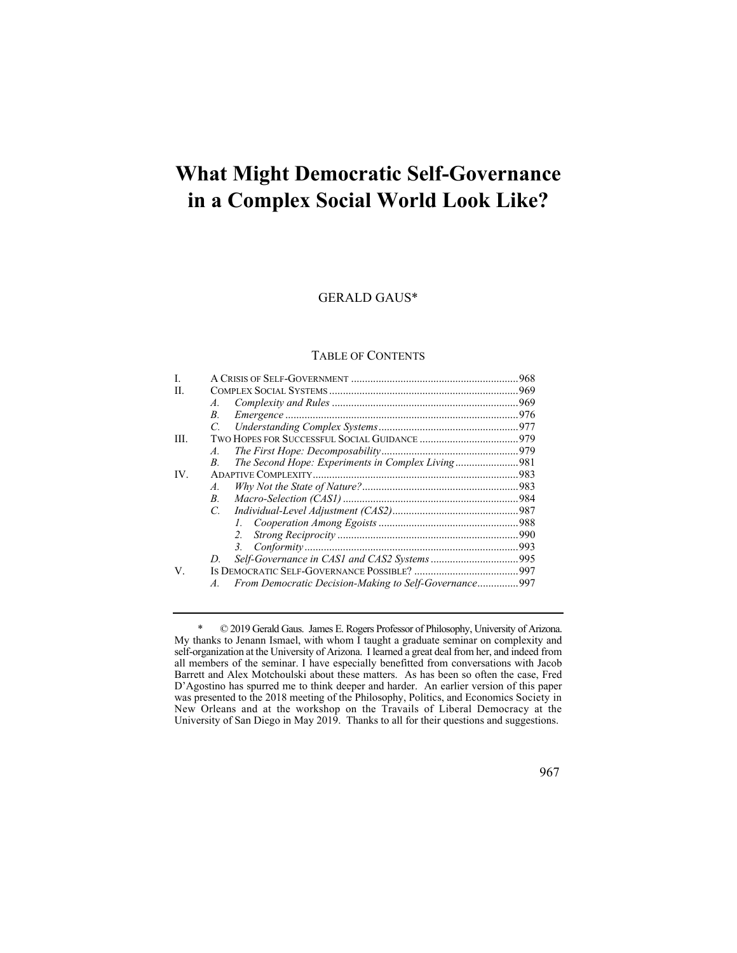# **What Might Democratic Self-Governance in a Complex Social World Look Like?**

# GERALD GAUS\*

## TABLE OF CONTENTS

| L    |                 |                                                       |  |
|------|-----------------|-------------------------------------------------------|--|
| H.   |                 |                                                       |  |
|      | $\mathcal{A}$ . |                                                       |  |
|      | B.              |                                                       |  |
|      | $\overline{C}$  |                                                       |  |
| III. |                 |                                                       |  |
|      | A.              |                                                       |  |
|      | В.              | The Second Hope: Experiments in Complex Living981     |  |
| IV.  |                 |                                                       |  |
|      | $A_{\cdot}$     |                                                       |  |
|      | B.              |                                                       |  |
|      | $C_{\cdot}$     |                                                       |  |
|      |                 |                                                       |  |
|      |                 | 2.                                                    |  |
|      |                 | 3.                                                    |  |
|      | D               |                                                       |  |
| V.   |                 |                                                       |  |
|      | $A_{\cdot}$     | From Democratic Decision-Making to Self-Governance997 |  |

 My thanks to Jenann Ismael, with whom I taught a graduate seminar on complexity and self-organization at the University of Arizona. I learned a great deal from her, and indeed from was presented to the 2018 meeting of the Philosophy, Politics, and Economics Society in \* © 2019 Gerald Gaus. James E. Rogers Professor of Philosophy, University of Arizona. all members of the seminar. I have especially benefitted from conversations with Jacob Barrett and Alex Motchoulski about these matters. As has been so often the case, Fred D'Agostino has spurred me to think deeper and harder. An earlier version of this paper New Orleans and at the workshop on the Travails of Liberal Democracy at the University of San Diego in May 2019. Thanks to all for their questions and suggestions.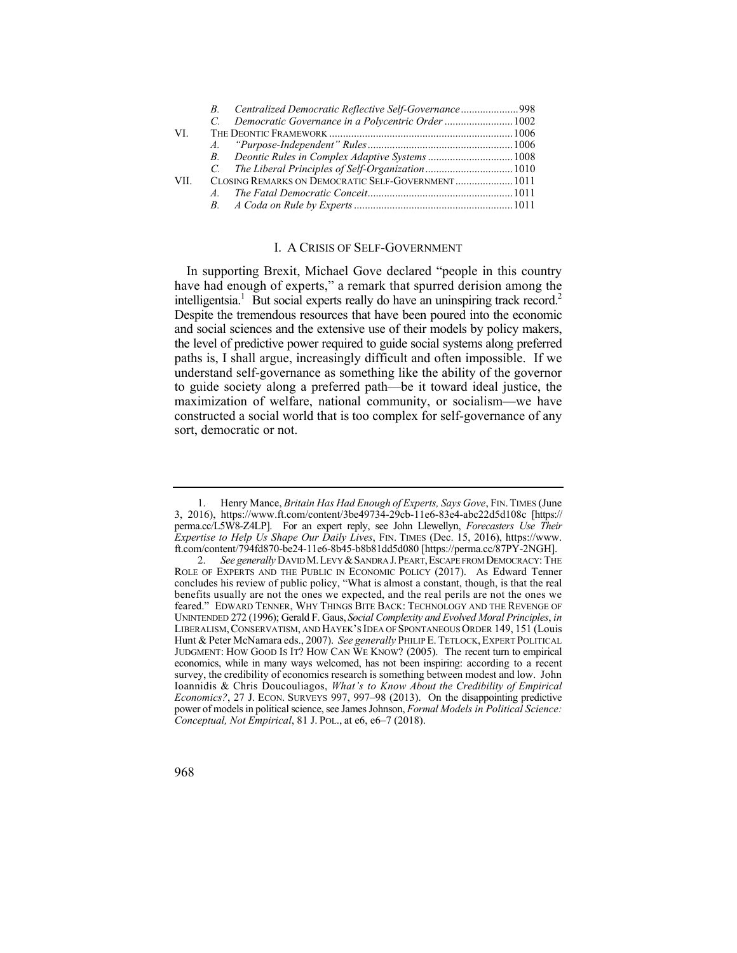| C. Democratic Governance in a Polycentric Order 1002 |
|------------------------------------------------------|
|                                                      |
|                                                      |
| B. Deontic Rules in Complex Adaptive Systems  1008   |
|                                                      |
| CLOSING REMARKS ON DEMOCRATIC SELF-GOVERNMENT 1011   |
|                                                      |
|                                                      |
|                                                      |

# I. A CRISIS OF SELF-GOVERNMENT

 have had enough of experts," a remark that spurred derision among the intelligentsia.<sup>1</sup> But social experts really do have an uninspiring track record.<sup>2</sup> Despite the tremendous resources that have been poured into the economic In supporting Brexit, Michael Gove declared "people in this country and social sciences and the extensive use of their models by policy makers, the level of predictive power required to guide social systems along preferred paths is, I shall argue, increasingly difficult and often impossible. If we understand self-governance as something like the ability of the governor to guide society along a preferred path—be it toward ideal justice, the maximization of welfare, national community, or socialism—we have constructed a social world that is too complex for self-governance of any sort, democratic or not.

 1. Henry Mance, *Britain Has Had Enough of Experts, Says Gove*, FIN. TIMES (June 3, 2016), <https://www.ft.com/content/3be49734-29cb-11e6-83e4-abc22d5d108c>[https:// perma.cc/L5W8-Z4LP]. For an expert reply, see John Llewellyn, *Forecasters Use Their Expertise to Help Us Shape Our Daily Lives*, FIN. TIMES (Dec. 15, 2016), [https://www.](https://www) [ft.com/content/794fd870-be24-11e6-8b45-b8b81dd5d080](https://ft.com/content/794fd870-be24-11e6-8b45-b8b81dd5d080) [\[https://perma.cc/87PY-2NGH](https://perma.cc/87PY-2NGH)].

<sup>2.</sup> *See generally* DAVID M. LEVY & SANDRA J. PEART, ESCAPE FROM DEMOCRACY: THE ROLE OF EXPERTS AND THE PUBLIC IN ECONOMIC POLICY (2017). As Edward Tenner Hunt & Peter McNamara eds., 2007). *See generally* PHILIP E. TETLOCK, EXPERT POLITICAL JUDGMENT: HOW GOOD IS IT? HOW CAN WE KNOW? (2005). The recent turn to empirical economics, while in many ways welcomed, has not been inspiring: according to a recent survey, the credibility of economics research is something between modest and low. John  Ioannidis & Chris Doucouliagos, *What's to Know About the Credibility of Empirical Economics?*, 27 J. ECON. SURVEYS 997, 997–98 (2013). On the disappointing predictive *Conceptual, Not Empirical*, 81 J. POL., at e6, e6–7 (2018). concludes his review of public policy, "What is almost a constant, though, is that the real benefits usually are not the ones we expected, and the real perils are not the ones we feared." EDWARD TENNER, WHY THINGS BITE BACK: TECHNOLOGY AND THE REVENGE OF UNINTENDED 272 (1996); Gerald F. Gaus, *Social Complexity and Evolved Moral Principles*, *in*  LIBERALISM, CONSERVATISM, AND HAYEK'S IDEA OF SPONTANEOUS ORDER 149, 151 (Louis power of models in political science, see James Johnson, *Formal Models in Political Science:* 

<sup>968</sup>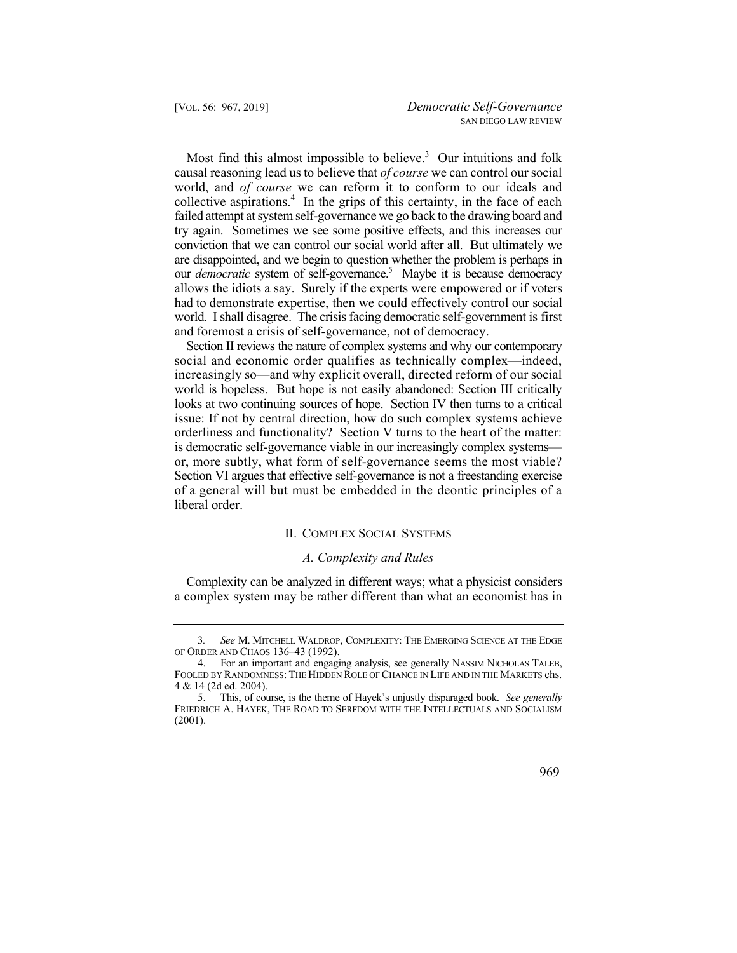our *democratic* system of self-governance.<sup>5</sup> Maybe it is because democracy Most find this almost impossible to believe.<sup>3</sup> Our intuitions and folk causal reasoning lead us to believe that *of course* we can control our social world, and *of course* we can reform it to conform to our ideals and collective aspirations.<sup>4</sup> In the grips of this certainty, in the face of each failed attempt at system self-governance we go back to the drawing board and try again. Sometimes we see some positive effects, and this increases our conviction that we can control our social world after all. But ultimately we are disappointed, and we begin to question whether the problem is perhaps in allows the idiots a say. Surely if the experts were empowered or if voters had to demonstrate expertise, then we could effectively control our social world. I shall disagree. The crisis facing democratic self-government is first and foremost a crisis of self-governance, not of democracy.

 increasingly so—and why explicit overall, directed reform of our social or, more subtly, what form of self-governance seems the most viable? Section VI argues that effective self-governance is not a freestanding exercise of a general will but must be embedded in the deontic principles of a Section II reviews the nature of complex systems and why our contemporary social and economic order qualifies as technically complex—indeed, world is hopeless. But hope is not easily abandoned: Section III critically looks at two continuing sources of hope. Section IV then turns to a critical issue: If not by central direction, how do such complex systems achieve orderliness and functionality? Section V turns to the heart of the matter: is democratic self-governance viable in our increasingly complex systems liberal order.

## II. COMPLEX SOCIAL SYSTEMS

## *A. Complexity and Rules*

Complexity can be analyzed in different ways; what a physicist considers a complex system may be rather different than what an economist has in

<sup>5.</sup> 5. This, of course, is the theme of Hayek's unjustly disparaged book. *See generally*  FRIEDRICH A. HAYEK, THE ROAD TO SERFDOM WITH THE INTELLECTUALS AND SOCIALISM (2001).



<sup>3</sup>*. See* M. MITCHELL WALDROP, COMPLEXITY: THE EMERGING SCIENCE AT THE EDGE OF ORDER AND CHAOS 136–43 (1992).

<sup>4.</sup> For an important and engaging analysis, see generally NASSIM NICHOLAS TALEB, FOOLED BY RANDOMNESS: THE HIDDEN ROLE OF CHANCE IN LIFE AND IN THE MARKETS chs. 4 & 14 (2d ed. 2004).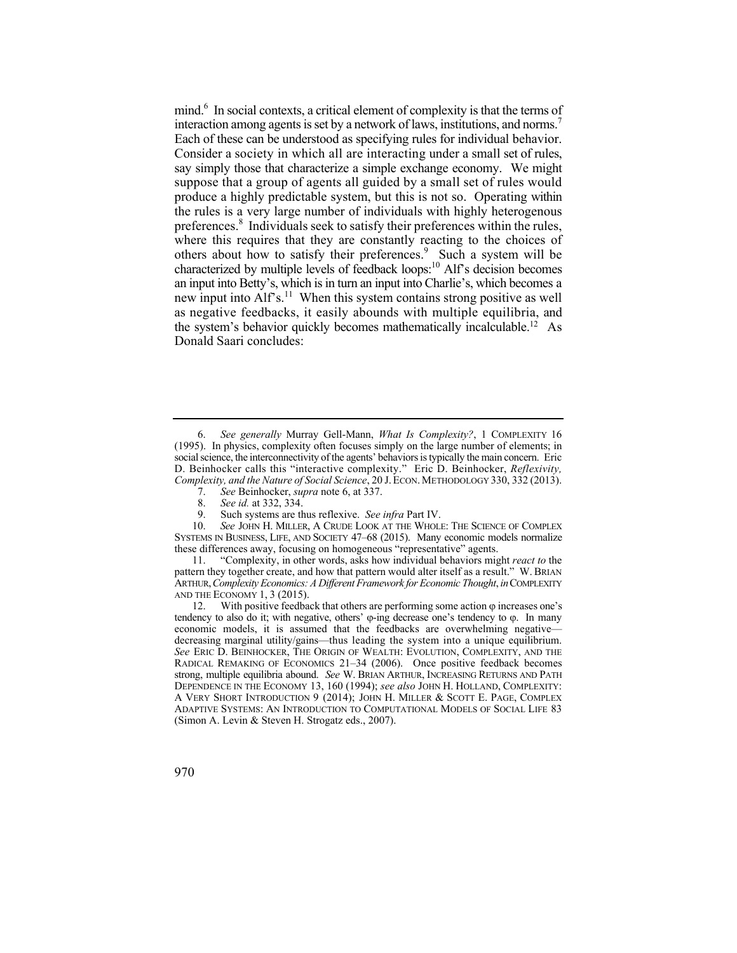Each of these can be understood as specifying rules for individual behavior. Consider a society in which all are interacting under a small set of rules, say simply those that characterize a simple exchange economy. We might preferences.<sup>8</sup> Individuals seek to satisfy their preferences within the rules, mind.<sup>6</sup> In social contexts, a critical element of complexity is that the terms of interaction among agents is set by a network of laws, institutions, and norms.<sup>7</sup> suppose that a group of agents all guided by a small set of rules would produce a highly predictable system, but this is not so. Operating within the rules is a very large number of individuals with highly heterogenous where this requires that they are constantly reacting to the choices of others about how to satisfy their preferences.<sup>9</sup> Such a system will be characterized by multiple levels of feedback loops:<sup>10</sup> Alf's decision becomes an input into Betty's, which is in turn an input into Charlie's, which becomes a new input into Alf's.<sup>11</sup> When this system contains strong positive as well as negative feedbacks, it easily abounds with multiple equilibria, and the system's behavior quickly becomes mathematically incalculable.<sup>12</sup> As Donald Saari concludes:

 10. *See* JOHN H. MILLER, A CRUDE LOOK AT THE WHOLE: THE SCIENCE OF COMPLEX SYSTEMS IN BUSINESS, LIFE, AND SOCIETY 47–68 (2015). Many economic models normalize these differences away, focusing on homogeneous "representative" agents.

11. "Complexity, in other words, asks how individual behaviors might *react to* the pattern they together create, and how that pattern would alter itself as a result." W. BRIAN ARTHUR,*Complexity Economics: A Different Framework for Economic Thought*, *in* COMPLEXITY AND THE ECONOMY 1, 3 (2015).

12. With positive feedback that others are performing some action  $\varphi$  increases one's tendency to also do it; with negative, others'  $\varphi$ -ing decrease one's tendency to  $\varphi$ . In many economic models, it is assumed that the feedbacks are overwhelming negative decreasing marginal utility/gains—thus leading the system into a unique equilibrium. *See* ERIC D. BEINHOCKER, THE ORIGIN OF WEALTH: EVOLUTION, COMPLEXITY, AND THE RADICAL REMAKING OF ECONOMICS 21–34 (2006). Once positive feedback becomes strong, multiple equilibria abound. *See* W. BRIAN ARTHUR, INCREASING RETURNS AND PATH DEPENDENCE IN THE ECONOMY 13, 160 (1994); *see also* JOHN H. HOLLAND, COMPLEXITY: A VERY SHORT INTRODUCTION 9 (2014); JOHN H. MILLER & SCOTT E. PAGE, COMPLEX ADAPTIVE SYSTEMS: AN INTRODUCTION TO COMPUTATIONAL MODELS OF SOCIAL LIFE 83 (Simon A. Levin & Steven H. Strogatz eds., 2007).

<sup>6.</sup> *See generally* Murray Gell-Mann, *What Is Complexity?*, 1 COMPLEXITY 16 (1995). In physics, complexity often focuses simply on the large number of elements; in social science, the interconnectivity of the agents' behaviors is typically the main concern. Eric D. Beinhocker calls this "interactive complexity." Eric D. Beinhocker, *Reflexivity, Complexity, and the Nature of Social Science*, 20 J. ECON. METHODOLOGY 330, 332 (2013).

<sup>7.</sup> *See* Beinhocker, *supra* note 6, at 337.

<sup>8.</sup> *See id.* at 332, 334.

 9. Such systems are thus reflexive. *See infra* Part IV.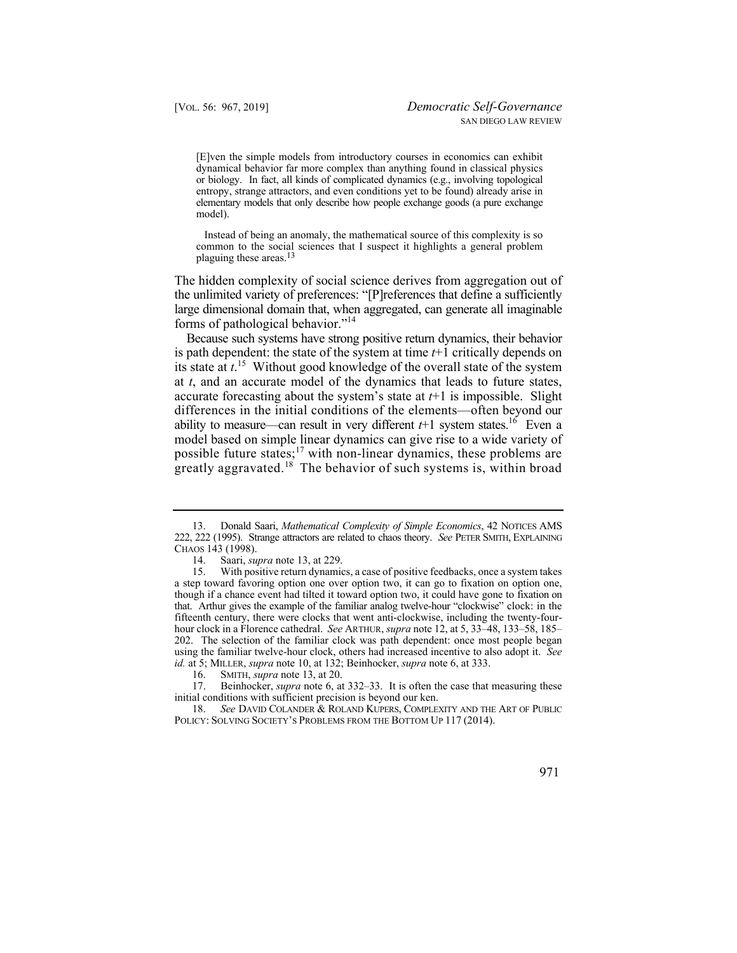or biology. In fact, all kinds of complicated dynamics (e.g., involving topological entropy, strange attractors, and even conditions yet to be found) already arise in [E]ven the simple models from introductory courses in economics can exhibit dynamical behavior far more complex than anything found in classical physics elementary models that only describe how people exchange goods (a pure exchange model).

 common to the social sciences that I suspect it highlights a general problem Instead of being an anomaly, the mathematical source of this complexity is so plaguing these [areas.13](https://areas.13)

The hidden complexity of social science derives from aggregation out of the unlimited variety of preferences: "[P]references that define a sufficiently large dimensional domain that, when aggregated, can generate all imaginable forms of pathological behavior."14

ability to measure—can result in very different *t*+1 system states.<sup>16</sup> Even a greatly [aggravated.](https://aggravated.18)<sup>18</sup> The behavior of such systems is, within broad Because such systems have strong positive return dynamics, their behavior is path dependent: the state of the system at time *t*+1 critically depends on its state at *t*. 15 Without good knowledge of the overall state of the system at *t*, and an accurate model of the dynamics that leads to future states, accurate forecasting about the system's state at  $t+1$  is impossible. Slight differences in the initial conditions of the elements—often beyond our model based on simple linear dynamics can give rise to a wide variety of possible future states;<sup>17</sup> with non-linear dynamics, these problems are

<sup>18.</sup> *See* DAVID COLANDER & ROLAND KUPERS, COMPLEXITY AND THE ART OF PUBLIC POLICY: SOLVING SOCIETY'S PROBLEMS FROM THE BOTTOM UP 117 (2014).



 13. Donald Saari, *Mathematical Complexity of Simple Economics*, 42 NOTICES AMS 222, 222 (1995). Strange attractors are related to chaos theory. *See* PETER SMITH, EXPLAINING CHAOS 143 (1998).

<sup>14.</sup> Saari, *supra* note 13, at 229.

 $15.$  though if a chance event had tilted it toward option two, it could have gone to fixation on that. Arthur gives the example of the familiar analog twelve-hour "clockwise" clock: in the With positive return dynamics, a case of positive feedbacks, once a system takes a step toward favoring option one over option two, it can go to fixation on option one, fifteenth century, there were clocks that went anti-clockwise, including the twenty-fourhour clock in a Florence cathedral. *See* ARTHUR, *supra* note 12, at 5, 33–48, 133–58, 185– 202. The selection of the familiar clock was path dependent: once most people began using the familiar twelve-hour clock, others had increased incentive to also adopt it. *See id.* at 5; MILLER, *supra* note 10, at 132; Beinhocker, *supra* note 6, at 333.

<sup>16.</sup> SMITH, *supra* note 13, at 20.

<sup>17.</sup> Beinhocker, *supra* note 6, at 332–33. It is often the case that measuring these initial conditions with sufficient precision is beyond our ken.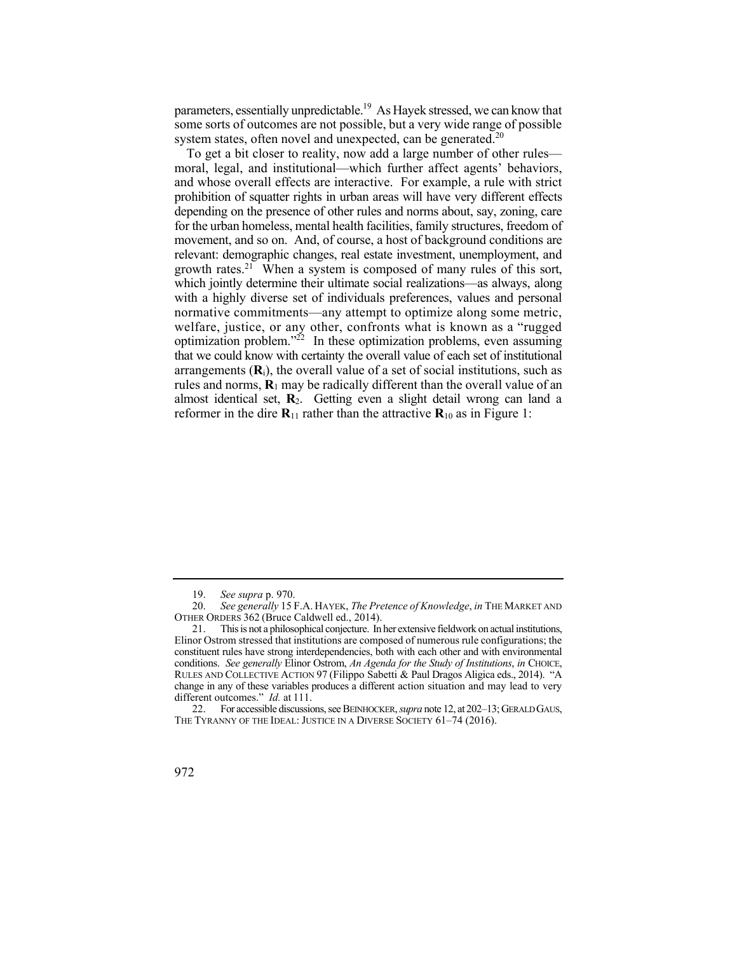parameters, essentially unpredictable.<sup>19</sup> As Hayek stressed, we can know that some sorts of outcomes are not possible, but a very wide range of possible system states, often novel and unexpected, can be generated.<sup>20</sup>

 prohibition of squatter rights in urban areas will have very different effects rules and norms, **R**1 may be radically different than the overall value of an To get a bit closer to reality, now add a large number of other rules moral, legal, and institutional—which further affect agents' behaviors, and whose overall effects are interactive. For example, a rule with strict depending on the presence of other rules and norms about, say, zoning, care for the urban homeless, mental health facilities, family structures, freedom of movement, and so on. And, of course, a host of background conditions are relevant: demographic changes, real estate investment, unemployment, and growth rates.<sup>21</sup> When a system is composed of many rules of this sort, which jointly determine their ultimate social realizations—as always, along with a highly diverse set of individuals preferences, values and personal normative commitments—any attempt to optimize along some metric, welfare, justice, or any other, confronts what is known as a "rugged optimization problem."<sup>22</sup> In these optimization problems, even assuming that we could know with certainty the overall value of each set of institutional arrangements  $(R_i)$ , the overall value of a set of social institutions, such as almost identical set, **R**2. Getting even a slight detail wrong can land a reformer in the dire  $\mathbf{R}_{11}$  rather than the attractive  $\mathbf{R}_{10}$  as in Figure 1:

<sup>19.</sup> *See supra* p. 970.

<sup>20.</sup> *See generally* 15 F.A. HAYEK, *The Pretence of Knowledge*, *in* THE MARKET AND OTHER ORDERS 362 (Bruce Caldwell ed., 2014).

<sup>21.</sup> This is not a philosophical conjecture. In her extensive fieldwork on actual institutions, Elinor Ostrom stressed that institutions are composed of numerous rule configurations; the constituent rules have strong interdependencies, both with each other and with environmental conditions. *See generally* Elinor Ostrom, *An Agenda for the Study of Institutions*, *in* CHOICE, RULES AND COLLECTIVE ACTION 97 (Filippo Sabetti & Paul Dragos Aligica eds., 2014). "A change in any of these variables produces a different action situation and may lead to very different outcomes." *Id.* at 111.

<sup>22.</sup> For accessible discussions, see BEINHOCKER, *supra* note 12, at 202–13; GERALDGAUS, THE TYRANNY OF THE IDEAL: JUSTICE IN A DIVERSE SOCIETY 61-74 (2016).

<sup>972</sup>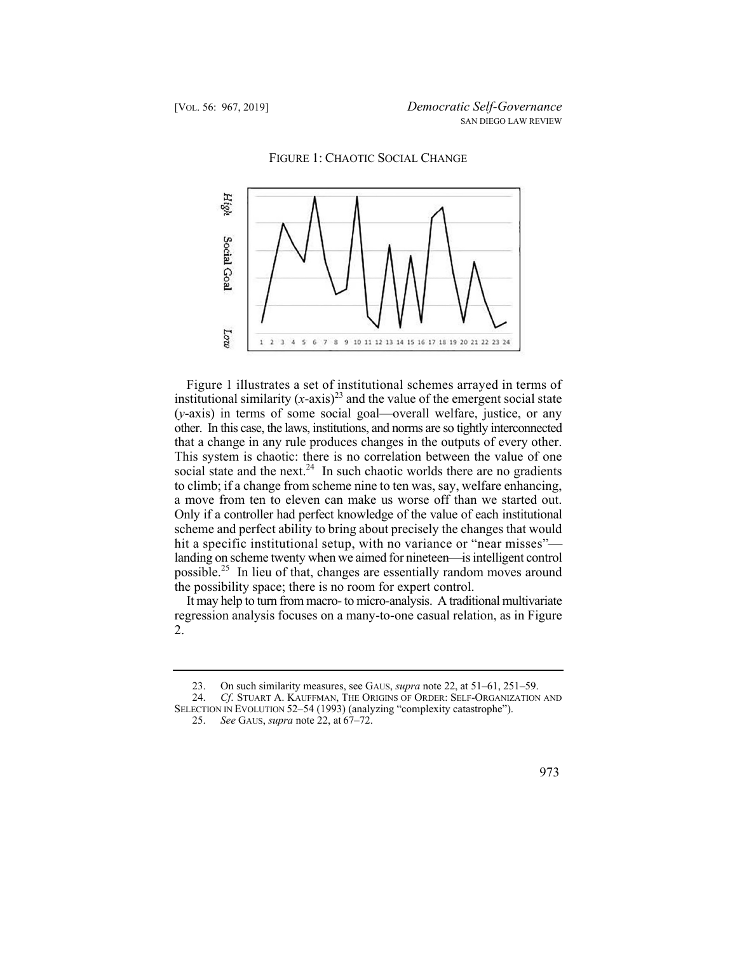



Figure 1 illustrates a set of institutional schemes arrayed in terms of institutional similarity  $(x-axis)^{23}$  and the value of the emergent social state (*y*-axis) in terms of some social goal—overall welfare, justice, or any other. In this case, the laws, institutions, and norms are so tightly interconnected that a change in any rule produces changes in the outputs of every other. This system is chaotic: there is no correlation between the value of one social state and the next.<sup>24</sup> In such chaotic worlds there are no gradients to climb; if a change from scheme nine to ten was, say, welfare enhancing, a move from ten to eleven can make us worse off than we started out. Only if a controller had perfect knowledge of the value of each institutional scheme and perfect ability to bring about precisely the changes that would hit a specific institutional setup, with no variance or "near misses" landing on scheme twenty when we aimed for nineteen—is intelligent control [possible.](https://possible.25)25 In lieu of that, changes are essentially random moves around the possibility space; there is no room for expert control.

It may help to turn from macro- to micro-analysis. A traditional multivariate regression analysis focuses on a many-to-one casual relation, as in Figure 2.

<sup>25.</sup> *See* GAUS, *supra* note 22, at 67–72.



<sup>23.</sup> On such similarity measures, see GAUS, *supra* note 22, at 51–61, 251–59.

<sup>24.</sup> *Cf*. STUART A. KAUFFMAN, THE ORIGINS OF ORDER: SELF-ORGANIZATION AND SELECTION IN EVOLUTION 52–54 (1993) (analyzing "complexity catastrophe").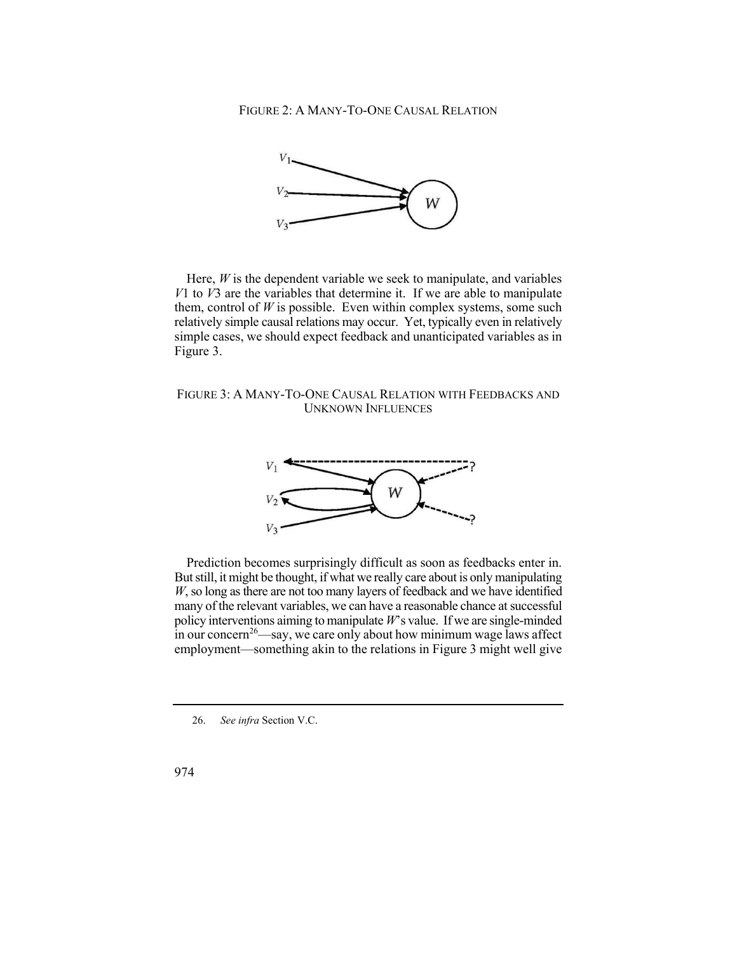

Here, *W* is the dependent variable we seek to manipulate, and variables *V*1 to *V*3 are the variables that determine it. If we are able to manipulate them, control of  $W$  is possible. Even within complex systems, some such relatively simple causal relations may occur. Yet, typically even in relatively simple cases, we should expect feedback and unanticipated variables as in Figure 3.

 FIGURE 3: A MANY-TO-ONE CAUSAL RELATION WITH FEEDBACKS AND UNKNOWN INFLUENCES



 But still, it might be thought, if what we really care about is only manipulating policy interventions aiming to manipulate *W*'s value. If we are single-minded Prediction becomes surprisingly difficult as soon as feedbacks enter in. *W*, so long as there are not too many layers of feedback and we have identified many of the relevant variables, we can have a reasonable chance at successful  $\frac{1}{2}$  in our concern<sup>26</sup>—say, we care only about how minimum wage laws affect employment—something akin to the relations in Figure 3 might well give

<sup>26.</sup> *See infra* Section V.C.

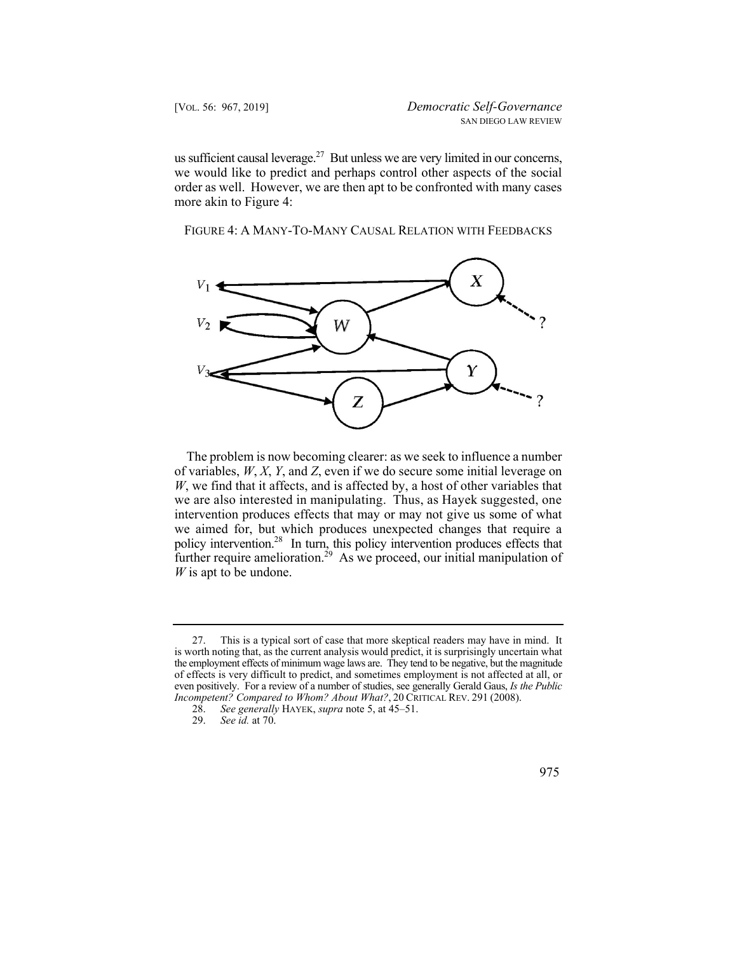us sufficient causal leverage.<sup>27</sup> But unless we are very limited in our concerns, we would like to predict and perhaps control other aspects of the social order as well. However, we are then apt to be confronted with many cases more akin to Figure 4:

FIGURE 4: A MANY-TO-MANY CAUSAL RELATION WITH FEEDBACKS



policy intervention.<sup>28</sup> In turn, this policy intervention produces effects that The problem is now becoming clearer: as we seek to influence a number of variables, *W*, *X*, *Y*, and *Z*, even if we do secure some initial leverage on *W*, we find that it affects, and is affected by, a host of other variables that we are also interested in manipulating. Thus, as Hayek suggested, one intervention produces effects that may or may not give us some of what we aimed for, but which produces unexpected changes that require a further require amelioration.<sup>29</sup> As we proceed, our initial manipulation of *W* is apt to be undone.

<sup>29.</sup> *See id.* at 70.



<sup>27.</sup> This is a typical sort of case that more skeptical readers may have in mind. It is worth noting that, as the current analysis would predict, it is surprisingly uncertain what the employment effects of minimum wage laws are. They tend to be negative, but the magnitude of effects is very difficult to predict, and sometimes employment is not affected at all, or even positively. For a review of a number of studies, see generally Gerald Gaus, *Is the Public Incompetent? Compared to Whom? About What?*, 20 CRITICAL REV. 291 (2008).<br>28. See generally HAYEK, supra note 5, at 45–51.

<sup>28.</sup> *See generally* HAYEK, *supra* note 5, at 45–51.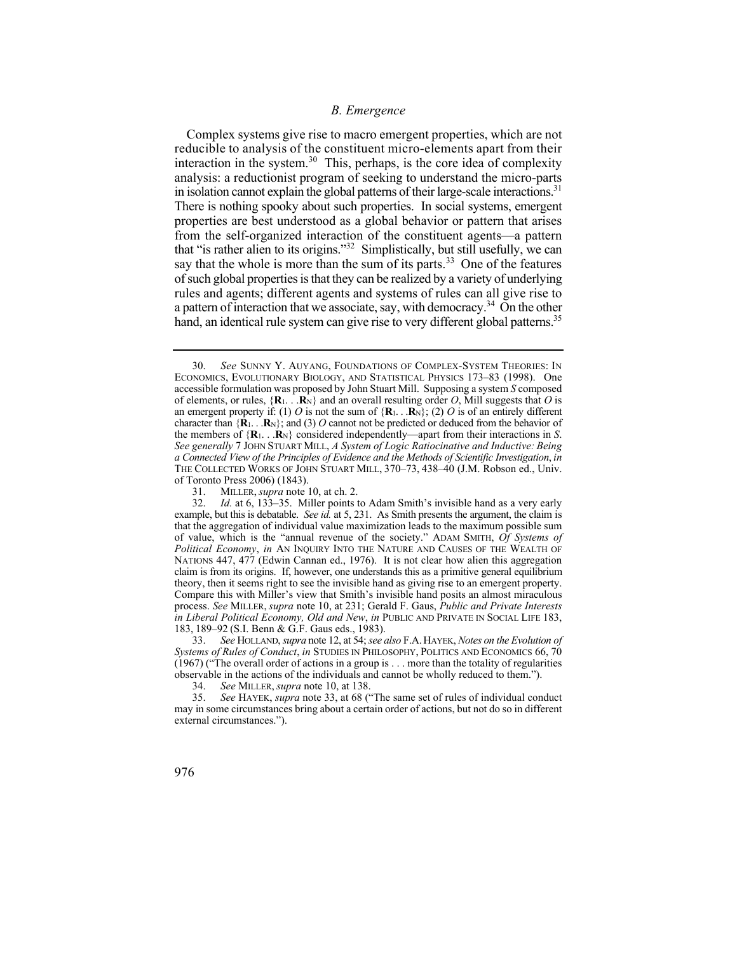## *B. Emergence*

in isolation cannot explain the global patterns of their large-scale interactions.<sup>31</sup> Complex systems give rise to macro emergent properties, which are not reducible to analysis of the constituent micro-elements apart from their interaction in the [system.](https://system.30)<sup>30</sup> This, perhaps, is the core idea of complexity analysis: a reductionist program of seeking to understand the micro-parts There is nothing spooky about such properties. In social systems, emergent properties are best understood as a global behavior or pattern that arises from the self-organized interaction of the constituent agents—a pattern that "is rather alien to its origins."32 Simplistically, but still usefully, we can say that the whole is more than the sum of its [parts.](https://parts.33)<sup>33</sup> One of the features of such global properties is that they can be realized by a variety of underlying rules and agents; different agents and systems of rules can all give rise to a pattern of interaction that we associate, say, with democracy.<sup>34</sup> On the other hand, an identical rule system can give rise to very different global patterns.<sup>35</sup>

31. MILLER, *supra* note 10, at ch. 2.<br>32. *Id.* at 6, 133–35. Miller points t

character than  ${R_1 \dots R_N}$ ; and (3) *O* cannot not be predicted or deduced from the behavior of 30. *See* SUNNY Y. AUYANG, FOUNDATIONS OF COMPLEX-SYSTEM THEORIES: IN ECONOMICS, EVOLUTIONARY BIOLOGY, AND STATISTICAL PHYSICS 173–83 (1998). One accessible formulation was proposed by John Stuart Mill. Supposing a system *S* composed of elements, or rules,  $\{R_1, \ldots, R_N\}$  and an overall resulting order *O*, Mill suggests that *O* is an emergent property if: (1) *O* is not the sum of  $\{R_1, \ldots, R_N\}$ ; (2) *O* is of an entirely different the members of  ${R_1...R_N}$  considered independently—apart from their interactions in *S*. *See generally* 7 JOHN STUART MILL, *A System of Logic Ratiocinative and Inductive: Being a Connected View of the Principles of Evidence and the Methods of Scientific Investigation*, *in*  THE COLLECTED WORKS OF JOHN STUART MILL, 370–73, 438–40 (J.M. Robson ed., Univ. of Toronto Press 2006) (1843).<br>31. MILLER, *supra* note

 32. *Id.* at 6, 133–35. Miller points to Adam Smith's invisible hand as a very early example, but this is debatable. *See id.* at 5, 231. As Smith presents the argument, the claim is that the aggregation of individual value maximization leads to the maximum possible sum of value, which is the "annual revenue of the society." ADAM SMITH, *Of Systems of Political Economy*, *in* AN INQUIRY INTO THE NATURE AND CAUSES OF THE WEALTH OF NATIONS 447, 477 (Edwin Cannan ed., 1976). It is not clear how alien this aggregation claim is from its origins. If, however, one understands this as a primitive general equilibrium theory, then it seems right to see the invisible hand as giving rise to an emergent property. Compare this with Miller's view that Smith's invisible hand posits an almost miraculous process. *See* MILLER, *supra* note 10, at 231; Gerald F. Gaus, *Public and Private Interests in Liberal Political Economy, Old and New*, *in* PUBLIC AND PRIVATE IN SOCIAL LIFE 183, 183, 189–92 (S.I. Benn & G.F. Gaus eds., 1983).<br>33. See HOLLAND, supra note 12, at 54; see a

 33. *See* HOLLAND, *supra* note 12, at 54; *see also* F.A. HAYEK, *Notes on the Evolution of Systems of Rules of Conduct*, *in* STUDIES IN PHILOSOPHY, POLITICS AND ECONOMICS 66, 70 (1967) ("The overall order of actions in a group is . . . more than the totality of regularities observable in the actions of the individuals and cannot be wholly reduced to them.").

<sup>34.</sup> *See* MILLER, *supra* note 10, at 138.

<sup>35.</sup> *See* HAYEK, *supra* note 33, at 68 ("The same set of rules of individual conduct may in some circumstances bring about a certain order of actions, but not do so in different external circumstances.").

<sup>976</sup>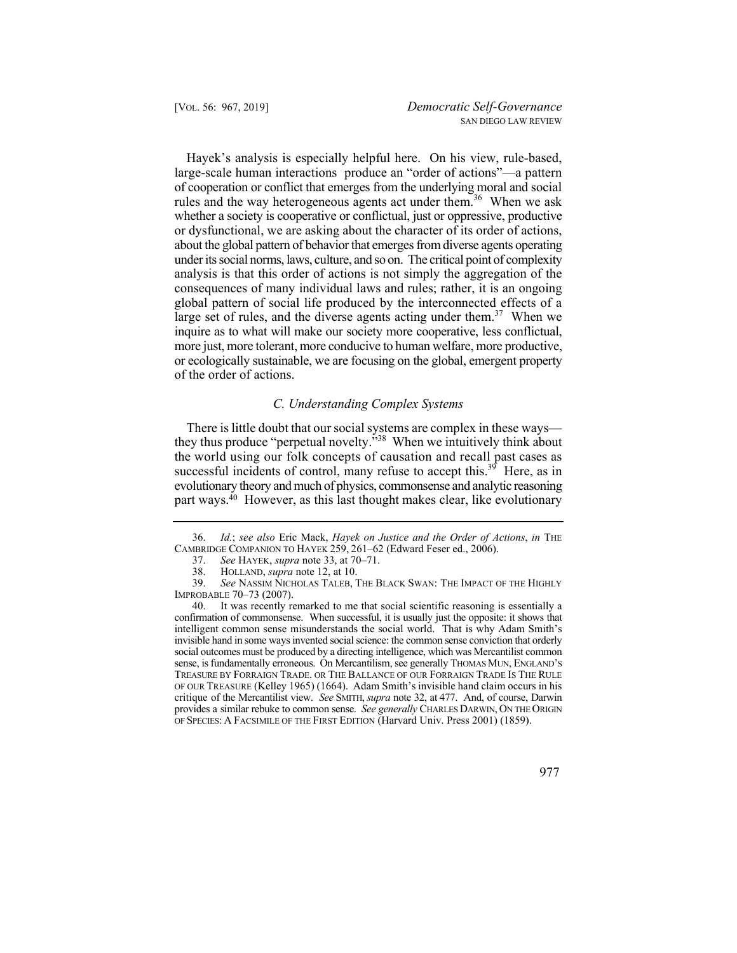Hayek's analysis is especially helpful here. On his view, rule-based, large-scale human interactions produce an "order of actions"—a pattern of cooperation or conflict that emerges from the underlying moral and social rules and the way heterogeneous agents act under them.<sup>36</sup> When we ask whether a society is cooperative or conflictual, just or oppressive, productive or dysfunctional, we are asking about the character of its order of actions, about the global pattern of behavior that emerges from diverse agents operating under its social norms, laws, culture, and so on. The critical point of complexity analysis is that this order of actions is not simply the aggregation of the consequences of many individual laws and rules; rather, it is an ongoing global pattern of social life produced by the interconnected effects of a large set of rules, and the diverse agents acting under them.<sup>37</sup> When we inquire as to what will make our society more cooperative, less conflictual, more just, more tolerant, more conducive to human welfare, more productive, or ecologically sustainable, we are focusing on the global, emergent property of the order of actions.

## *C. Understanding Complex Systems*

There is little doubt that our social systems are complex in these ways they thus produce "perpetual novelty."38 When we intuitively think about the world using our folk concepts of causation and recall past cases as successful incidents of control, many refuse to accept this.<sup>39</sup> Here, as in evolutionary theory and much of physics, commonsense and analytic reasoning part ways.<sup>40</sup> However, as this last thought makes clear, like evolutionary

<sup>36.</sup> *Id.*; *see also* Eric Mack, *Hayek on Justice and the Order of Actions*, *in* THE CAMBRIDGE COMPANION TO HAYEK  $259, 261-62$  (Edward Feser ed.,  $2006$ ).

<sup>37.</sup> *See* HAYEK, *supra* note 33, at 70–71.

<sup>38.</sup> HOLLAND, *supra* note 12, at 10.

<sup>39.</sup> *See* NASSIM NICHOLAS TALEB, THE BLACK SWAN: THE IMPACT OF THE HIGHLY IMPROBABLE 70–73 (2007).

<sup>40.</sup> It was recently remarked to me that social scientific reasoning is essentially a confirmation of commonsense. When successful, it is usually just the opposite: it shows that intelligent common sense misunderstands the social world. That is why Adam Smith's invisible hand in some ways invented social science: the common sense conviction that orderly social outcomes must be produced by a directing intelligence, which was Mercantilist common sense, is fundamentally erroneous. On Mercantilism, see generally THOMAS MUN, ENGLAND'S TREASURE BY FORRAIGN TRADE. OR THE BALLANCE OF OUR FORRAIGN TRADE IS THE RULE OF OUR TREASURE (Kelley 1965) (1664). Adam Smith's invisible hand claim occurs in his critique of the Mercantilist view. *See* SMITH, *supra* note 32, at 477. And, of course, Darwin provides a similar rebuke to common sense. *See generally* CHARLES DARWIN, ON THE ORIGIN OF SPECIES: A FACSIMILE OF THE FIRST EDITION (Harvard Univ. Press 2001) (1859).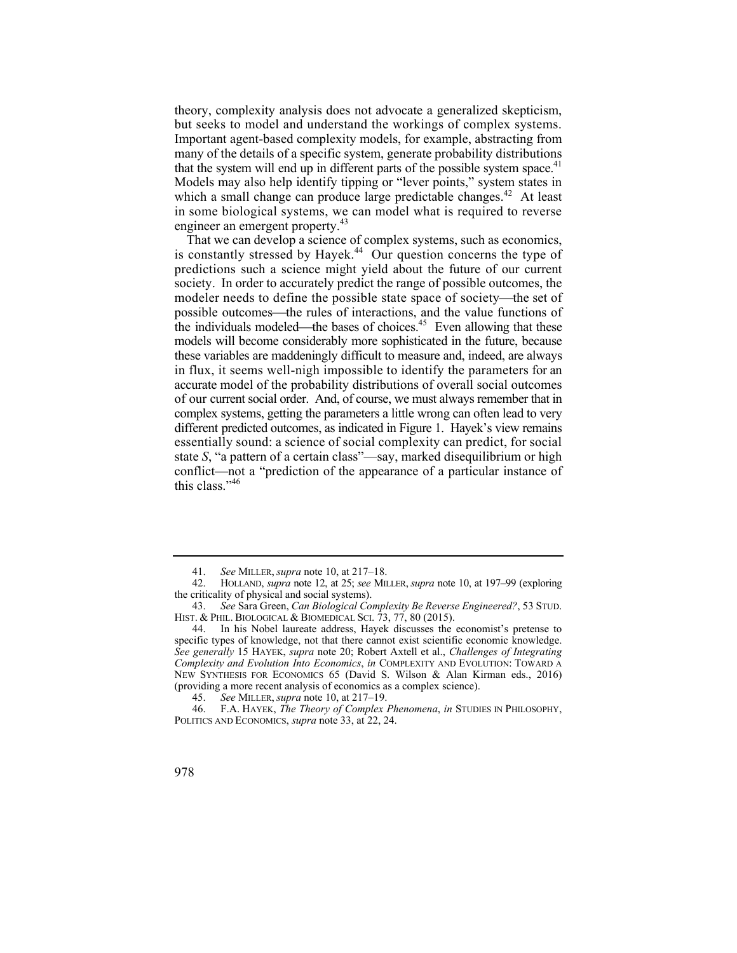but seeks to model and understand the workings of complex systems. that the system will end up in different parts of the possible system space. $41$ theory, complexity analysis does not advocate a generalized skepticism, Important agent-based complexity models, for example, abstracting from many of the details of a specific system, generate probability distributions Models may also help identify tipping or "lever points," system states in which a small change can produce large predictable [changes.](https://changes.42)<sup>42</sup> At least in some biological systems, we can model what is required to reverse engineer an emergent property.<sup>43</sup>

is constantly stressed by [Hayek.](https://Hayek.44)<sup>44</sup> Our question concerns the type of in flux, it seems well-nigh impossible to identify the parameters for an of our current social order. And, of course, we must always remember that in That we can develop a science of complex systems, such as economics, predictions such a science might yield about the future of our current society. In order to accurately predict the range of possible outcomes, the modeler needs to define the possible state space of society—the set of possible outcomes—the rules of interactions, and the value functions of the individuals modeled—the bases of choices.<sup>45</sup> Even allowing that these models will become considerably more sophisticated in the future, because these variables are maddeningly difficult to measure and, indeed, are always accurate model of the probability distributions of overall social outcomes complex systems, getting the parameters a little wrong can often lead to very different predicted outcomes, as indicated in Figure 1. Hayek's view remains essentially sound: a science of social complexity can predict, for social state *S*, "a pattern of a certain class"—say, marked disequilibrium or high conflict—not a "prediction of the appearance of a particular instance of this class."<sup>46</sup>

<sup>46.</sup> F.A. HAYEK, *The Theory of Complex Phenomena*, *in* STUDIES IN PHILOSOPHY, POLITICS AND ECONOMICS, *supra* note 33, at 22, 24.



<sup>41.</sup> *See* MILLER, *supra* note 10, at 217–18.

<sup>42.</sup> HOLLAND, *supra* note 12, at 25; *see* MILLER, *supra* note 10, at 197–99 (exploring the criticality of physical and social systems).

<sup>43.</sup> *See* Sara Green, *Can Biological Complexity Be Reverse Engineered?*, 53 STUD. HIST. & PHIL. BIOLOGICAL & BIOMEDICAL SCI. 73, 77, 80 (2015).

<sup>44.</sup> In his Nobel laureate address, Hayek discusses the economist's pretense to specific types of knowledge, not that there cannot exist scientific economic knowledge. *See generally* 15 HAYEK, *supra* note 20; Robert Axtell et al., *Challenges of Integrating Complexity and Evolution Into Economics*, *in* COMPLEXITY AND EVOLUTION: TOWARD A NEW SYNTHESIS FOR ECONOMICS 65 (David S. Wilson & Alan Kirman eds., 2016) (providing a more recent analysis of economics as a complex science).

<sup>45.</sup> *See* MILLER, *supra* note 10, at 217–19.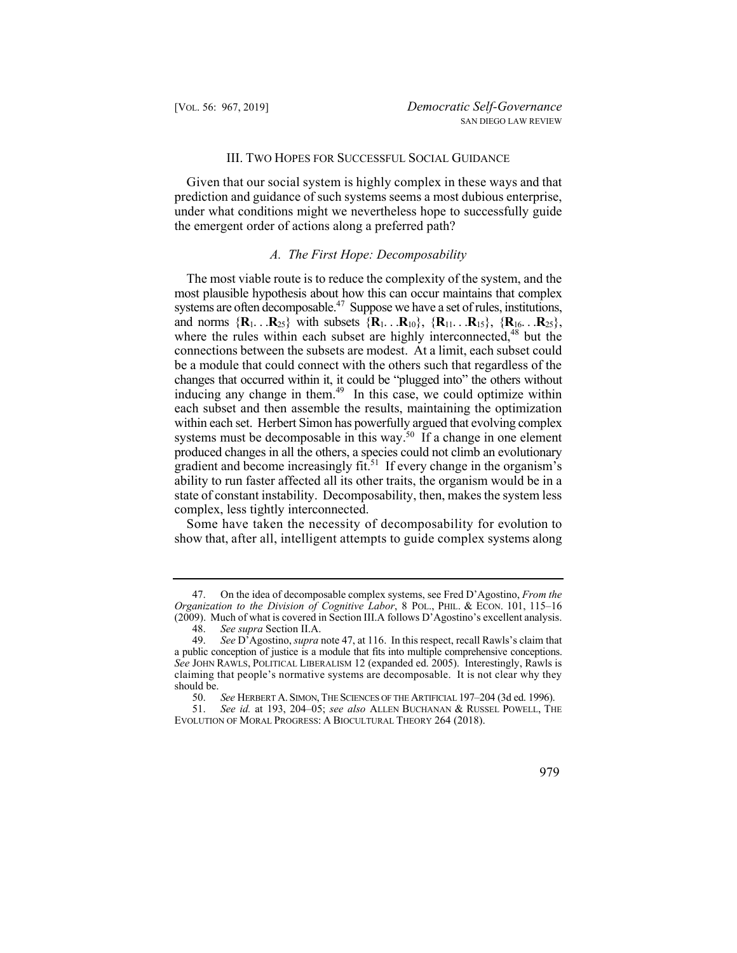## III. TWO HOPES FOR SUCCESSFUL SOCIAL GUIDANCE

 Given that our social system is highly complex in these ways and that under what conditions might we nevertheless hope to successfully guide prediction and guidance of such systems seems a most dubious enterprise, the emergent order of actions along a preferred path?

# *A. The First Hope: Decomposability*

The most viable route is to reduce the complexity of the system, and the most plausible hypothesis about how this can occur maintains that complex systems are often decomposable.<sup>47</sup> Suppose we have a set of rules, institutions, and norms  ${R_1$ . . . ${R_{25}}$  with subsets  ${R_1}$ . . . ${R_{10}}$ ,  ${R_{11}}$ . . . ${R_{15}}$ ,  ${R_{16}}$ . . . ${R_{25}}$ , where the rules within each subset are highly interconnected,<sup>48</sup> but the connections between the subsets are modest. At a limit, each subset could be a module that could connect with the others such that regardless of the changes that occurred within it, it could be "plugged into" the others without inducing any change in them.<sup>49</sup> In this case, we could optimize within each subset and then assemble the results, maintaining the optimization within each set. Herbert Simon has powerfully argued that evolving complex systems must be decomposable in this way.<sup>50</sup> If a change in one element produced changes in all the others, a species could not climb an evolutionary gradient and become increasingly fit.<sup>51</sup> If every change in the organism's ability to run faster affected all its other traits, the organism would be in a state of constant instability. Decomposability, then, makes the system less complex, less tightly interconnected.

 Some have taken the necessity of decomposability for evolution to show that, after all, intelligent attempts to guide complex systems along

<sup>51.</sup> *See id.* at 193, 204–05; *see also* ALLEN BUCHANAN & RUSSEL POWELL, THE EVOLUTION OF MORAL PROGRESS: A BIOCULTURAL THEORY 264 (2018).



<sup>47.</sup> On the idea of decomposable complex systems, see Fred D'Agostino, *From the Organization to the Division of Cognitive Labor*, 8 POL., PHIL. & ECON. 101, 115–16 (2009). Much of what is covered in Section III.A follows D'Agostino's excellent analysis.

<sup>48.</sup> *See supra* Section II.A.

<sup>49.</sup> *See* D'Agostino, *supra* note 47, at 116. In this respect, recall Rawls's claim that a public conception of justice is a module that fits into multiple comprehensive conceptions. *See* JOHN RAWLS, POLITICAL LIBERALISM 12 (expanded ed. 2005). Interestingly, Rawls is claiming that people's normative systems are decomposable. It is not clear why they should be.

 50. *See* HERBERT A. SIMON, THE SCIENCES OF THE ARTIFICIAL 197–204 (3d ed. 1996).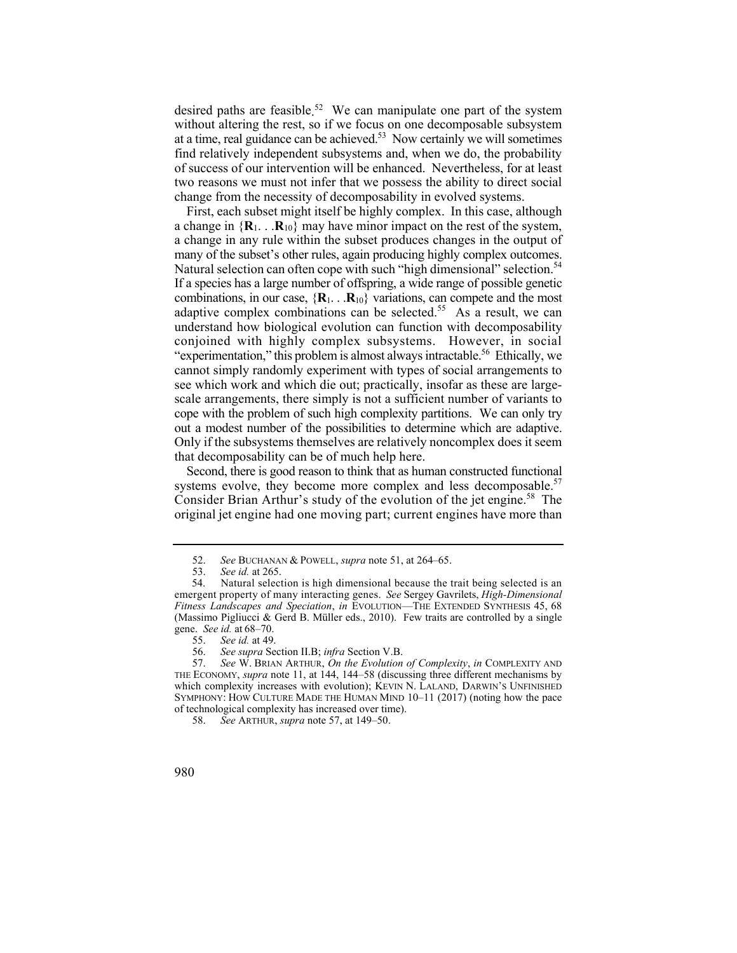at a time, real guidance can be achieved. $53$  Now certainly we will sometimes desired paths are [feasible.](https://feasible.52) 52 We can manipulate one part of the system without altering the rest, so if we focus on one decomposable subsystem find relatively independent subsystems and, when we do, the probability of success of our intervention will be enhanced. Nevertheless, for at least two reasons we must not infer that we possess the ability to direct social change from the necessity of decomposability in evolved systems.

Natural selection can often cope with such "high dimensional" selection.<sup>54</sup> "experimentation," this problem is almost always intractable.<sup>56</sup> Ethically, we First, each subset might itself be highly complex. In this case, although a change in  ${R_1 \dots R_{10}}$  may have minor impact on the rest of the system, a change in any rule within the subset produces changes in the output of many of the subset's other rules, again producing highly complex outcomes. If a species has a large number of offspring, a wide range of possible genetic combinations, in our case,  $\{R_1, \ldots, R_{10}\}$  variations, can compete and the most adaptive complex combinations can be [selected.](https://selected.55)<sup>55</sup> As a result, we can understand how biological evolution can function with decomposability conjoined with highly complex subsystems. However, in social cannot simply randomly experiment with types of social arrangements to see which work and which die out; practically, insofar as these are largescale arrangements, there simply is not a sufficient number of variants to cope with the problem of such high complexity partitions. We can only try out a modest number of the possibilities to determine which are adaptive. Only if the subsystems themselves are relatively noncomplex does it seem that decomposability can be of much help here.

 Second, there is good reason to think that as human constructed functional systems evolve, they become more complex and less decomposable.<sup>57</sup> Consider Brian Arthur's study of the evolution of the jet [engine.](https://engine.58)<sup>58</sup> The original jet engine had one moving part; current engines have more than

<sup>52.</sup> *See* BUCHANAN & POWELL, *supra* note 51, at 264–65.

<sup>53.</sup> *See id.* at 265.

<sup>54.</sup> Natural selection is high dimensional because the trait being selected is an emergent property of many interacting genes. *See* Sergey Gavrilets, *High-Dimensional Fitness Landscapes and Speciation*, *in* EVOLUTION—THE EXTENDED SYNTHESIS 45, 68 (Massimo Pigliucci & Gerd B. Müller eds., 2010). Few traits are controlled by a single gene. *See id.* at 68–70.

<sup>55.</sup> *See id.* at 49.

<sup>56.</sup> *See supra* Section II.B; *infra* Section V.B.

 <sup>57.</sup> *See* W. BRIAN ARTHUR, *On the Evolution of Complexity*, *in* COMPLEXITY AND THE ECONOMY, *supra* note 11, at 144, 144–58 (discussing three different mechanisms by which complexity increases with evolution); KEVIN N. LALAND, DARWIN'S UNFINISHED SYMPHONY: HOW CULTURE MADE THE HUMAN MIND 10–11 (2017) (noting how the pace of technological complexity has increased over time).

<sup>58.</sup> *See* ARTHUR, *supra* note 57, at 149–50.

<sup>980</sup>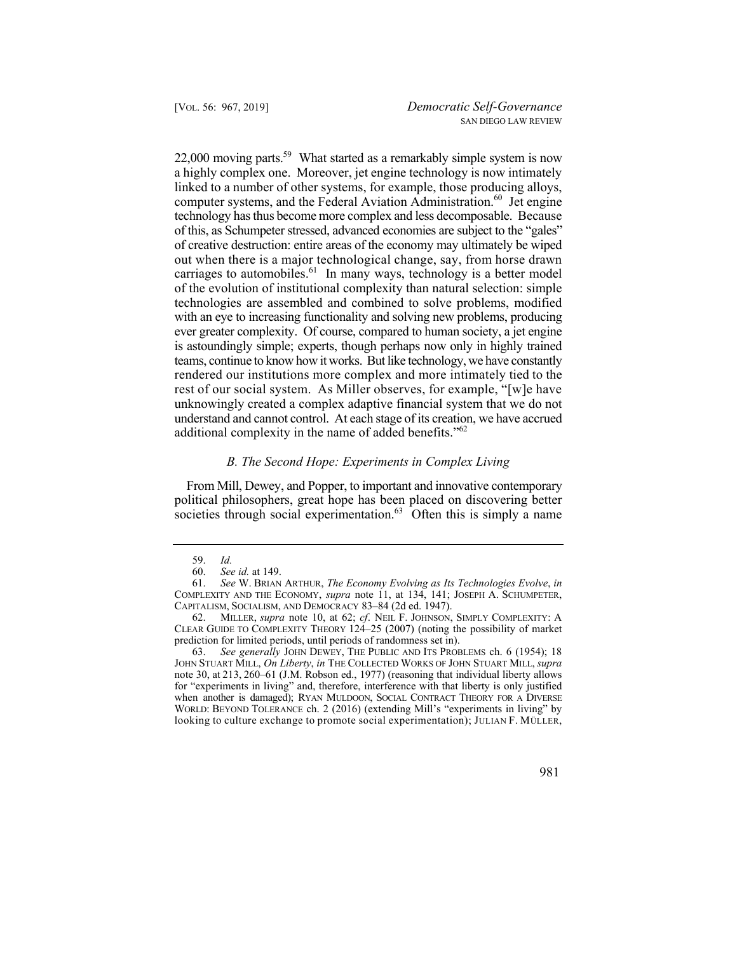$22,000$  moving parts.<sup>59</sup> What started as a remarkably simple system is now is astoundingly simple; experts, though perhaps now only in highly trained rendered our institutions more complex and more intimately tied to the a highly complex one. Moreover, jet engine technology is now intimately linked to a number of other systems, for example, those producing alloys, computer systems, and the Federal Aviation Administration.<sup>60</sup> Jet engine technology has thus become more complex and less decomposable. Because of this, as Schumpeter stressed, advanced economies are subject to the "gales" of creative destruction: entire areas of the economy may ultimately be wiped out when there is a major technological change, say, from horse drawn carriages to [automobiles.](https://automobiles.61) $61$  In many ways, technology is a better model of the evolution of institutional complexity than natural selection: simple technologies are assembled and combined to solve problems, modified with an eye to increasing functionality and solving new problems, producing ever greater complexity. Of course, compared to human society, a jet engine teams, continue to know how it works. But like technology, we have constantly rest of our social system. As Miller observes, for example, "[w]e have unknowingly created a complex adaptive financial system that we do not understand and cannot control. At each stage of its creation, we have accrued additional complexity in the name of added benefits."<sup>62</sup>

# *B. The Second Hope: Experiments in Complex Living*

From Mill, Dewey, and Popper, to important and innovative contemporary political philosophers, great hope has been placed on discovering better societies through social experimentation. $63$  Often this is simply a name

63. *See generally* JOHN DEWEY, THE PUBLIC AND ITS PROBLEMS ch. 6 (1954); 18 JOHN STUART MILL, *On Liberty*, *in* THE COLLECTED WORKS OF JOHN STUART MILL, *supra* note 30, at 213, 260–61 (J.M. Robson ed., 1977) (reasoning that individual liberty allows for "experiments in living" and, therefore, interference with that liberty is only justified when another is damaged); RYAN MULDOON, SOCIAL CONTRACT THEORY FOR A DIVERSE WORLD: BEYOND TOLERANCE ch. 2 (2016) (extending Mill's "experiments in living" by looking to culture exchange to promote social experimentation); JULIAN F. MÜLLER,

<sup>59.</sup> *Id.* 

<sup>60.</sup> *See id.* at 149.

<sup>61.</sup> *See* W. BRIAN ARTHUR, *The Economy Evolving as Its Technologies Evolve*, *in*  COMPLEXITY AND THE ECONOMY, *supra* note 11, at 134, 141; JOSEPH A. SCHUMPETER, CAPITALISM, SOCIALISM, AND DEMOCRACY 83–84 (2d ed. 1947).

 62. MILLER, *supra* note 10, at 62; *cf*. NEIL F. JOHNSON, SIMPLY COMPLEXITY: A CLEAR GUIDE TO COMPLEXITY THEORY 124–25 (2007) (noting the possibility of market prediction for limited periods, until periods of randomness set in).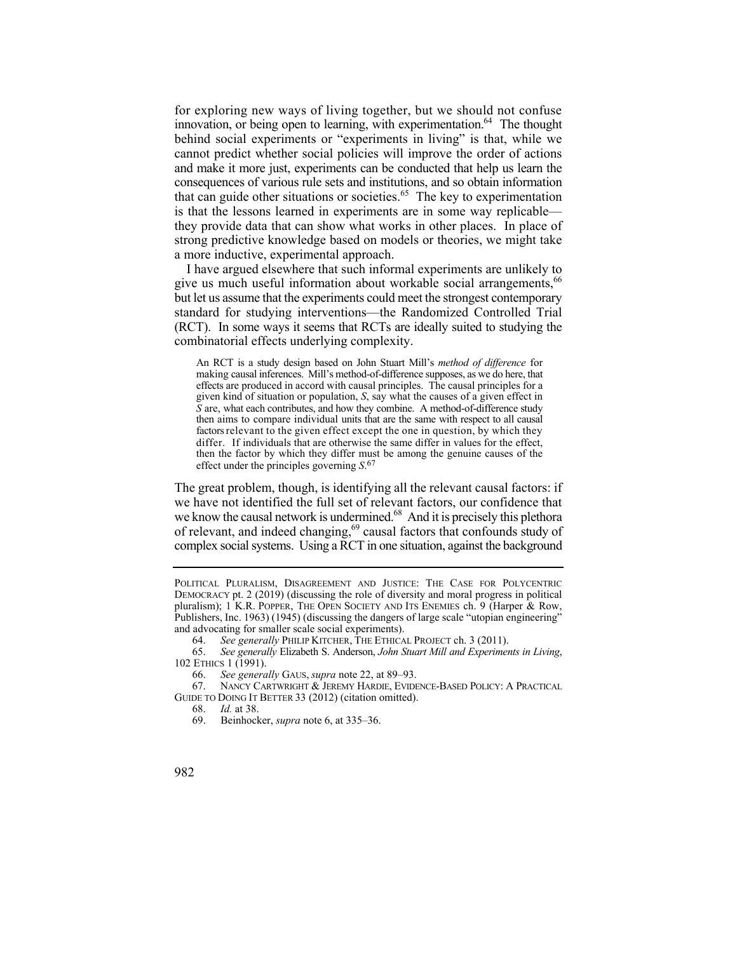for exploring new ways of living together, but we should not confuse innovation, or being open to learning, with experimentation.<sup>64</sup> The thought behind social experiments or "experiments in living" is that, while we cannot predict whether social policies will improve the order of actions and make it more just, experiments can be conducted that help us learn the consequences of various rule sets and institutions, and so obtain information that can guide other situations or [societies.](https://societies.65)<sup>65</sup> The key to experimentation is that the lessons learned in experiments are in some way replicable they provide data that can show what works in other places. In place of strong predictive knowledge based on models or theories, we might take a more inductive, experimental approach.

I have argued elsewhere that such informal experiments are unlikely to give us much useful information about workable social arrangements,<sup>66</sup> but let us assume that the experiments could meet the strongest contemporary standard for studying interventions—the Randomized Controlled Trial (RCT). In some ways it seems that RCTs are ideally suited to studying the combinatorial effects underlying complexity.

 An RCT is a study design based on John Stuart Mill's *method of difference* for *S* are, what each contributes, and how they combine. A method-of-difference study then aims to compare individual units that are the same with respect to all causal factors relevant to the given effect except the one in question, by which they differ. If individuals that are otherwise the same differ in values for the effect, then the factor by which they differ must be among the genuine causes of the making causal inferences. Mill's method-of-difference supposes, as we do here, that effects are produced in accord with causal principles. The causal principles for a given kind of situation or population, *S*, say what the causes of a given effect in effect under the principles governing *S*. 67

of relevant, and indeed changing,<sup>69</sup> causal factors that confounds study of The great problem, though, is identifying all the relevant causal factors: if we have not identified the full set of relevant factors, our confidence that we know the causal network is undermined.<sup>68</sup> And it is precisely this plethora complex social systems. Using a RCT in one situation, against the background

65. *See generally* Elizabeth S. Anderson, *John Stuart Mill and Experiments in Living*, 102 ETHICS 1 (1991).

66. *See generally* GAUS, *supra* note 22, at 89–93.

 67. NANCY CARTWRIGHT & JEREMY HARDIE, EVIDENCE-BASED POLICY: A PRACTICAL GUIDE TO DOING IT BETTER 33 (2012) (citation omitted).

68. *Id.* at 38.

POLITICAL PLURALISM, DISAGREEMENT AND JUSTICE: THE CASE FOR POLYCENTRIC DEMOCRACY pt. 2 (2019) (discussing the role of diversity and moral progress in political pluralism); 1 K.R. POPPER, THE OPEN SOCIETY AND ITS ENEMIES ch. 9 (Harper & Row, Publishers, Inc. 1963) (1945) (discussing the dangers of large scale "utopian engineering" and advocating for smaller scale social experiments).

<sup>64.</sup> *See generally* PHILIP KITCHER, THE ETHICAL PROJECT ch. 3 (2011).

<sup>69.</sup> Beinhocker, *supra* note 6, at 335–36.

<sup>982</sup>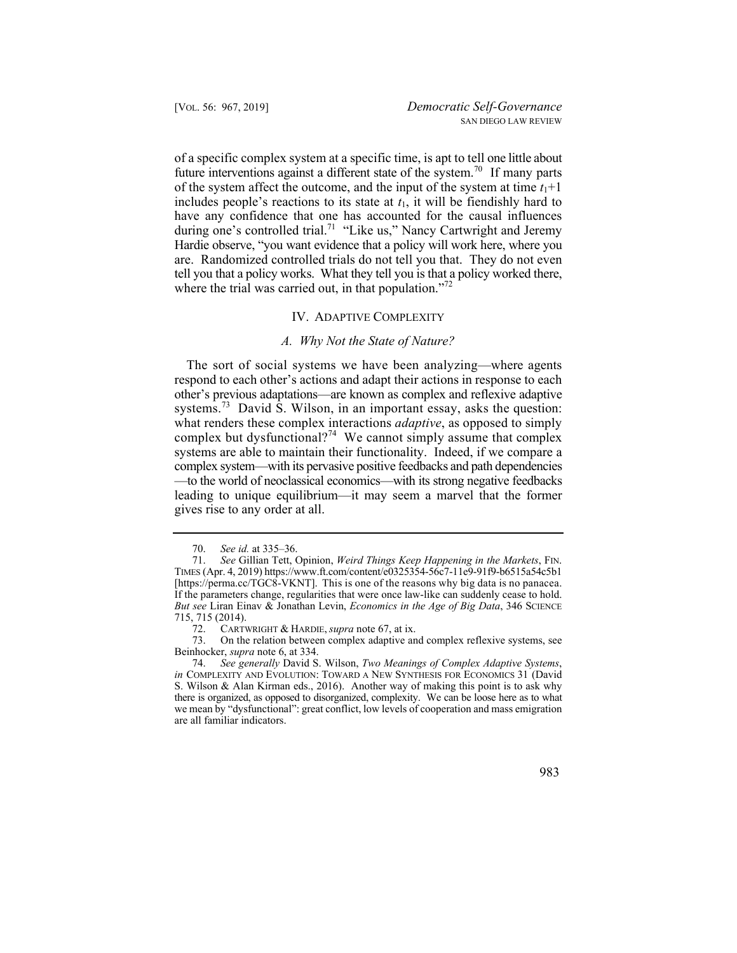of a specific complex system at a specific time, is apt to tell one little about future interventions against a different state of the [system.](https://system.70)<sup>70</sup> If many parts are. Randomized controlled trials do not tell you that. They do not even tell you that a policy works. What they tell you is that a policy worked there, of the system affect the outcome, and the input of the system at time  $t_1+1$ includes people's reactions to its state at *t*1, it will be fiendishly hard to have any confidence that one has accounted for the causal influences during one's controlled trial.<sup>71</sup> "Like us," Nancy Cartwright and Jeremy Hardie observe, "you want evidence that a policy will work here, where you where the trial was carried out, in that population."<sup>72</sup>

## IV. ADAPTIVE COMPLEXITY

## *A. Why Not the State of Nature?*

 The sort of social systems we have been analyzing—where agents respond to each other's actions and adapt their actions in response to each other's previous adaptations—are known as complex and reflexive adaptive [systems.](https://systems.73)<sup>73</sup> David S. Wilson, in an important essay, asks the question: what renders these complex interactions *adaptive*, as opposed to simply complex but dysfunctional?<sup>74</sup> We cannot simply assume that complex systems are able to maintain their functionality. Indeed, if we compare a complex system—with its pervasive positive feedbacks and path dependencies —to the world of neoclassical economics—with its strong negative feedbacks leading to unique equilibrium—it may seem a marvel that the former gives rise to any order at all.

<sup>70.</sup> *See id.* at 335–36.

 [\[https://perma.cc/TGC8-VKNT\]](https://perma.cc/TGC8-VKNT). This is one of the reasons why big data is no panacea. 71. *See* Gillian Tett, Opinion, *Weird Things Keep Happening in the Markets*, FIN. TIMES (Apr. 4, 2019)<https://www.ft.com/content/e0325354-56c7-11e9-91f9-b6515a54c5b1> If the parameters change, regularities that were once law-like can suddenly cease to hold. *But see* Liran Einav & Jonathan Levin, *Economics in the Age of Big Data*, 346 SCIENCE 715, 715 (2014).

 72. CARTWRIGHT & HARDIE, *supra* note 67, at ix.

<sup>73.</sup> On the relation between complex adaptive and complex reflexive systems, see Beinhocker, *supra* note 6, at 334.

<sup>74.</sup> *See generally* David S. Wilson, *Two Meanings of Complex Adaptive Systems*, *in* COMPLEXITY AND EVOLUTION: TOWARD A NEW SYNTHESIS FOR ECONOMICS 31 (David S. Wilson & Alan Kirman eds., 2016). Another way of making this point is to ask why there is organized, as opposed to disorganized, complexity. We can be loose here as to what we mean by "dysfunctional": great conflict, low levels of cooperation and mass emigration are all familiar indicators.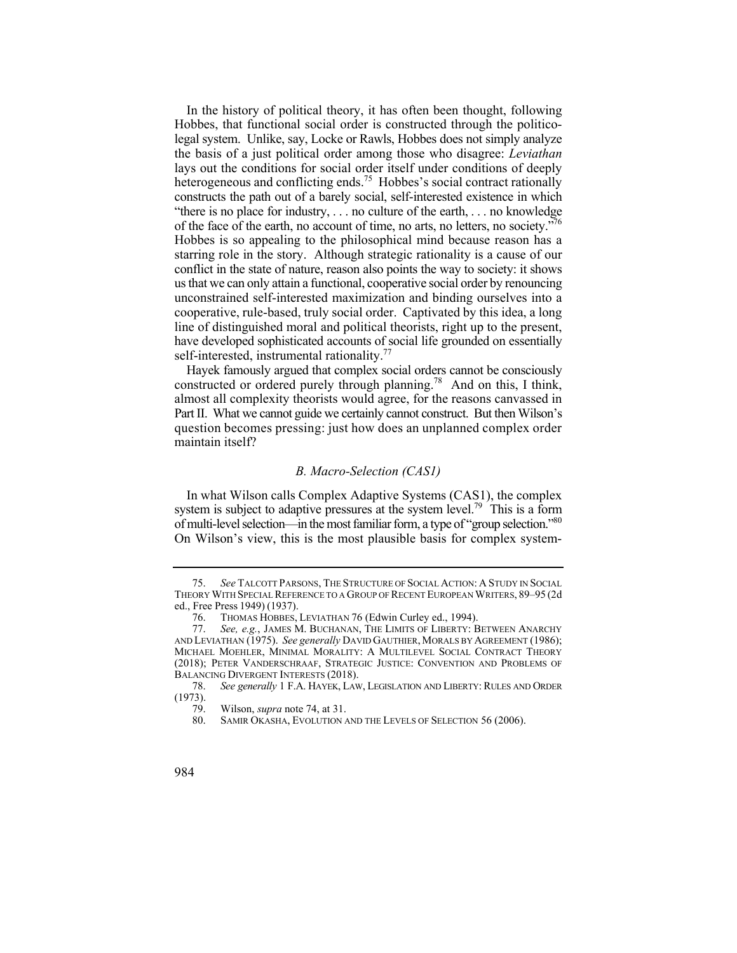constructs the path out of a barely social, self-interested existence in which of the face of the earth, no account of time, no arts, no letters, no society.<sup>776</sup> starring role in the story. Although strategic rationality is a cause of our us that we can only attain a functional, cooperative social order by renouncing In the history of political theory, it has often been thought, following Hobbes, that functional social order is constructed through the politicolegal system. Unlike, say, Locke or Rawls, Hobbes does not simply analyze the basis of a just political order among those who disagree: *Leviathan*  lays out the conditions for social order itself under conditions of deeply heterogeneous and conflicting ends.<sup>75</sup> Hobbes's social contract rationally "there is no place for industry, . . . no culture of the earth, . . . no knowledge Hobbes is so appealing to the philosophical mind because reason has a conflict in the state of nature, reason also points the way to society: it shows unconstrained self-interested maximization and binding ourselves into a cooperative, rule-based, truly social order. Captivated by this idea, a long line of distinguished moral and political theorists, right up to the present, have developed sophisticated accounts of social life grounded on essentially self-interested, instrumental rationality. $77$ 

Hayek famously argued that complex social orders cannot be consciously constructed or ordered purely through [planning.78](https://planning.78) And on this, I think, almost all complexity theorists would agree, for the reasons canvassed in Part II. What we cannot guide we certainly cannot construct. But then Wilson's question becomes pressing: just how does an unplanned complex order maintain itself?

## *B. Macro-Selection (CAS1)*

 of multi-level selection—in the most familiar form, a type of "group selection."80 In what Wilson calls Complex Adaptive Systems (CAS1), the complex system is subject to adaptive pressures at the system level.<sup>79</sup> This is a form On Wilson's view, this is the most plausible basis for complex system-

 75. *See* TALCOTT PARSONS, THE STRUCTURE OF SOCIAL ACTION: A STUDY IN SOCIAL THEORY WITH SPECIAL REFERENCE TO A GROUP OF RECENT EUROPEAN WRITERS, 89–95 (2d ed., Free Press 1949) (1937).

<sup>76.</sup> THOMAS HOBBES, LEVIATHAN 76 (Edwin Curley ed., 1994).<br>77. See, e.g., JAMES M. BUCHANAN, THE LIMITS OF LIBERTY: B

See, e.g., JAMES M. BUCHANAN, THE LIMITS OF LIBERTY: BETWEEN ANARCHY AND LEVIATHAN (1975). *See generally* DAVID GAUTHIER, MORALS BY AGREEMENT (1986); MICHAEL MOEHLER, MINIMAL MORALITY: A MULTILEVEL SOCIAL CONTRACT THEORY (2018); PETER VANDERSCHRAAF, STRATEGIC JUSTICE: CONVENTION AND PROBLEMS OF BALANCING DIVERGENT INTERESTS (2018).

 78. *See generally* 1 F.A. HAYEK, LAW, LEGISLATION AND LIBERTY: RULES AND ORDER  $\frac{(1973)}{79}$ .

<sup>79.</sup> Wilson, *supra* note 74, at 31.

<sup>80.</sup> SAMIR OKASHA, EVOLUTION AND THE LEVELS OF SELECTION 56 (2006).

<sup>984</sup>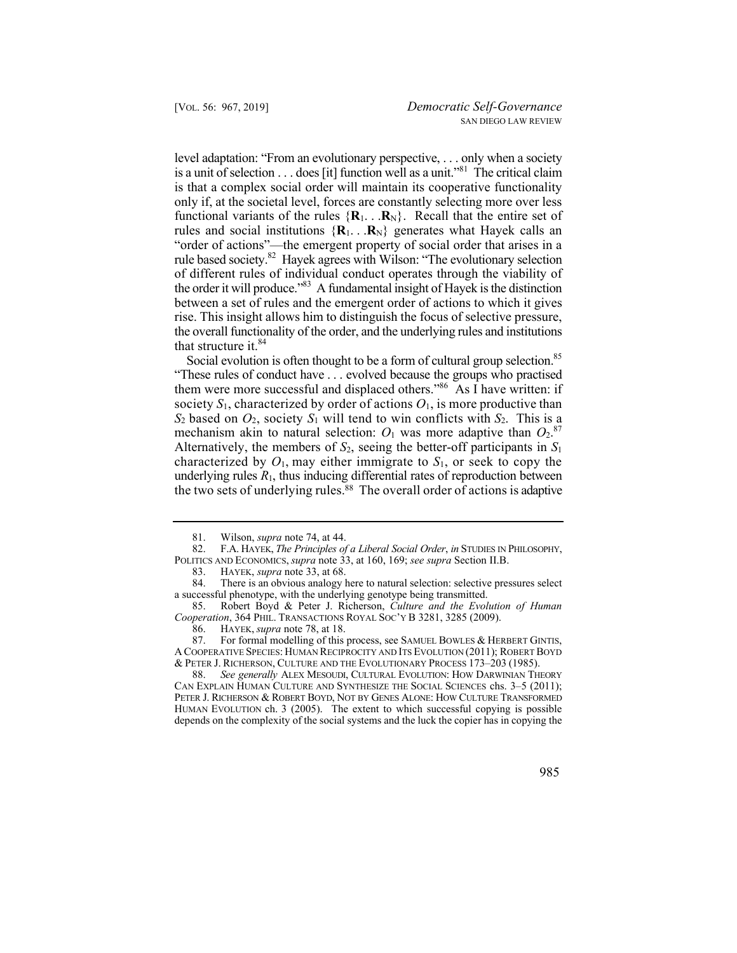level adaptation: "From an evolutionary perspective, . . . only when a society is a unit of selection . . . does [it] function well as a unit."81 The critical claim is that a complex social order will maintain its cooperative functionality only if, at the societal level, forces are constantly selecting more over less functional variants of the rules  $\{R_1, \ldots, R_N\}$ . Recall that the entire set of rules and social institutions  $\{R_1, \ldots, R_N\}$  generates what Hayek calls an "order of actions"—the emergent property of social order that arises in a rule based society.<sup>82</sup> Hayek agrees with Wilson: "The evolutionary selection of different rules of individual conduct operates through the viability of the order it will produce."83 A fundamental insight of Hayek is the distinction between a set of rules and the emergent order of actions to which it gives rise. This insight allows him to distinguish the focus of selective pressure, the overall functionality of the order, and the underlying rules and institutions that structure it. $84$ 

Social evolution is often thought to be a form of cultural group selection.<sup>85</sup> "These rules of conduct have . . . evolved because the groups who practised society  $S_1$ , characterized by order of actions  $O_1$ , is more productive than mechanism akin to natural selection:  $O_1$  was more adaptive than  $O_2$ .<sup>87</sup> the two sets of underlying rules.<sup>88</sup> The overall order of actions is adaptive them were more successful and displaced others."<sup>86</sup> As  $\overline{I}$  have written: if  $S_2$  based on  $O_2$ , society  $S_1$  will tend to win conflicts with  $S_2$ . This is a Alternatively, the members of  $S_2$ , seeing the better-off participants in  $S_1$ characterized by  $O_1$ , may either immigrate to  $S_1$ , or seek to copy the underlying rules  $R_1$ , thus inducing differential rates of reproduction between

88. *See generally* ALEX MESOUDI, CULTURAL EVOLUTION: HOW DARWINIAN THEORY CAN EXPLAIN HUMAN CULTURE AND SYNTHESIZE THE SOCIAL SCIENCES chs. 3–5 (2011); PETER J. RICHERSON & ROBERT BOYD, NOT BY GENES ALONE: HOW CULTURE TRANSFORMED HUMAN EVOLUTION ch. 3 (2005). The extent to which successful copying is possible depends on the complexity of the social systems and the luck the copier has in copying the

<sup>81.</sup> Wilson, *supra* note 74, at 44.

 82. F.A. HAYEK, *The Principles of a Liberal Social Order*, *in* STUDIES IN PHILOSOPHY, POLITICS AND ECONOMICS, *supra* note 33, at 160, 169; *see supra* Section II.B.

 <sup>83.</sup> HAYEK, *supra* note 33, at 68.

<sup>84.</sup> There is an obvious analogy here to natural selection: selective pressures select a successful phenotype, with the underlying genotype being transmitted.

<sup>85.</sup> Robert Boyd & Peter J. Richerson, *Culture and the Evolution of Human Cooperation*, 364 PHIL. TRANSACTIONS ROYAL SOC'Y B 3281, 3285 (2009).

<sup>86.</sup> HAYEK, *supra* note 78, at 18.

<sup>87.</sup> For formal modelling of this process, see SAMUEL BOWLES & HERBERT GINTIS, A COOPERATIVE SPECIES: HUMAN RECIPROCITY AND ITS EVOLUTION (2011); ROBERT BOYD & PETER J. RICHERSON, CULTURE AND THE EVOLUTIONARY PROCESS 173–203 (1985).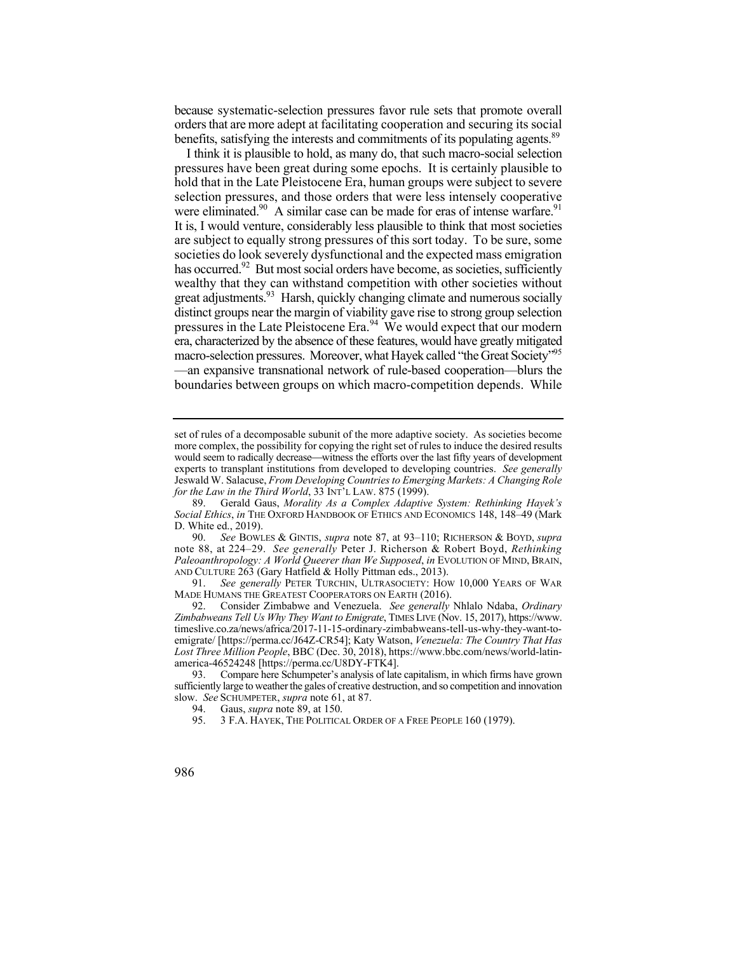orders that are more adept at facilitating cooperation and securing its social because systematic-selection pressures favor rule sets that promote overall benefits, satisfying the interests and commitments of its populating agents.<sup>89</sup>

 I think it is plausible to hold, as many do, that such macro-social selection were eliminated.<sup>90</sup> A similar case can be made for eras of intense warfare.<sup>91</sup> boundaries between groups on which macro-competition depends. While pressures have been great during some epochs. It is certainly plausible to hold that in the Late Pleistocene Era, human groups were subject to severe selection pressures, and those orders that were less intensely cooperative It is, I would venture, considerably less plausible to think that most societies are subject to equally strong pressures of this sort today. To be sure, some societies do look severely dysfunctional and the expected mass emigration has occurred.<sup>92</sup> But most social orders have become, as societies, sufficiently wealthy that they can withstand competition with other societies without great adjustments.<sup>93</sup> Harsh, quickly changing climate and numerous socially distinct groups near the margin of viability gave rise to strong group selection pressures in the Late Pleistocene Era.<sup>94</sup> We would expect that our modern era, characterized by the absence of these features, would have greatly mitigated macro-selection pressures. Moreover, what Hayek called "the Great Society"<sup>95</sup> —an expansive transnational network of rule-based cooperation—blurs the

would seem to radically decrease—witness the efforts over the last fifty years of development set of rules of a decomposable subunit of the more adaptive society. As societies become more complex, the possibility for copying the right set of rules to induce the desired results experts to transplant institutions from developed to developing countries. *See generally*  Jeswald W. Salacuse, *From Developing Countries to Emerging Markets: A Changing Role for the Law in the Third World*, 33 INT'L LAW. 875 (1999).

 89. Gerald Gaus, *Morality As a Complex Adaptive System: Rethinking Hayek's Social Ethics*, *in* THE OXFORD HANDBOOK OF ETHICS AND ECONOMICS 148, 148–49 (Mark D. White ed., 2019).

 90. *See* BOWLES & GINTIS, *supra* note 87, at 93–110; RICHERSON & BOYD, *supra* note 88, at 224–29. *See generally* Peter J. Richerson & Robert Boyd, *Rethinking Paleoanthropology: A World Queerer than We Supposed*, *in* EVOLUTION OF MIND, BRAIN, AND CULTURE 263 (Gary Hatfield & Holly Pittman eds., 2013).

<sup>91.</sup> *See generally* PETER TURCHIN, ULTRASOCIETY: HOW 10,000 YEARS OF WAR MADE HUMANS THE GREATEST COOPERATORS ON EARTH (2016).

<sup>92.</sup> Consider Zimbabwe and Venezuela. *See generally* Nhlalo Ndaba, *Ordinary Zimbabweans Tell Us Why They Want to Emigrate*, TIMES LIVE (Nov. 15, 2017), [https://www.](https://www) timeslive.co.za/news/africa/2017-11-15-ordinary-zimbabweans-tell-us-why-they-want-toemigrate/ [\[https://perma.cc/J64Z-CR54](https://perma.cc/J64Z-CR54)]; Katy Watson, *Venezuela: The Country That Has Lost Three Million People*, BBC (Dec. 30, 2018),<https://www.bbc.com/news/world-latin>america-46524248 [[https://perma.cc/U8DY-FTK4\]](https://perma.cc/U8DY-FTK4).

<sup>93.</sup> Compare here Schumpeter's analysis of late capitalism, in which firms have grown sufficiently large to weather the gales of creative destruction, and so competition and innovation slow. *See* SCHUMPETER, *supra* note 61, at 87.

<sup>94.</sup> Gaus, *supra* note 89, at 150.

 95. 3 F.A. HAYEK, THE POLITICAL ORDER OF A FREE PEOPLE 160 (1979).

<sup>986</sup>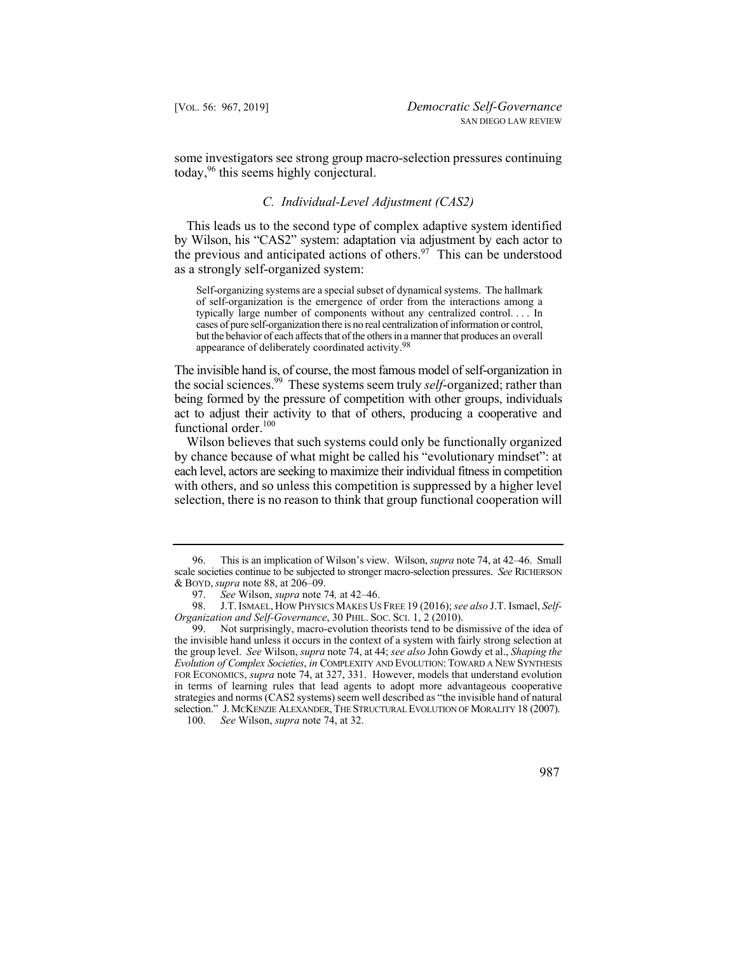some investigators see strong group macro-selection pressures continuing today,<sup>96</sup> this seems highly conjectural.

## *C. Individual-Level Adjustment (CAS2)*

the previous and anticipated actions of others.<sup>97</sup> This can be understood This leads us to the second type of complex adaptive system identified by Wilson, his "CAS2" system: adaptation via adjustment by each actor to as a strongly self-organized system:

 Self-organizing systems are a special subset of dynamical systems. The hallmark cases of pure self-organization there is no real centralization of information or control, but the behavior of each affects that of the others in a manner that produces an overall of self-organization is the emergence of order from the interactions among a typically large number of components without any centralized control. . . . In appearance of deliberately coordinated [activity.98](https://activity.98)

The invisible hand is, of course, the most famous model of self-organization in the social [sciences.](https://sciences.99)99 These systems seem truly *self*-organized; rather than being formed by the pressure of competition with other groups, individuals act to adjust their activity to that of others, producing a cooperative and functional order.<sup>100</sup>

 Wilson believes that such systems could only be functionally organized by chance because of what might be called his "evolutionary mindset": at each level, actors are seeking to maximize their individual fitness in competition with others, and so unless this competition is suppressed by a higher level selection, there is no reason to think that group functional cooperation will

<sup>96.</sup> This is an implication of Wilson's view. Wilson, *supra* note 74, at 42–46. Small scale societies continue to be subjected to stronger macro-selection pressures. *See* RICHERSON & BOYD, *supra* note 88, at 206–09.

<sup>97.</sup> *See* Wilson, *supra* note 74*,* at 42–46.

 98. J.T. ISMAEL, HOW PHYSICS MAKES US FREE 19 (2016); *see also* J.T. Ismael, *Self-Organization and Self-Governance*, 30 PHIL. SOC. SCI. 1, 2 (2010).

<sup>99.</sup> Not surprisingly, macro-evolution theorists tend to be dismissive of the idea of the invisible hand unless it occurs in the context of a system with fairly strong selection at the group level. *See* Wilson, *supra* note 74, at 44; *see also* John Gowdy et al., *Shaping the Evolution of Complex Societies*, *in* COMPLEXITY AND EVOLUTION: TOWARD A NEW SYNTHESIS FOR ECONOMICS, *supra* note 74, at 327, 331. However, models that understand evolution in terms of learning rules that lead agents to adopt more advantageous cooperative strategies and norms (CAS2 systems) seem well described as "the invisible hand of natural selection." J. MCKENZIE ALEXANDER, THE STRUCTURAL EVOLUTION OF MORALITY 18 (2007).

<sup>100.</sup> *See* Wilson, *supra* note 74, at 32.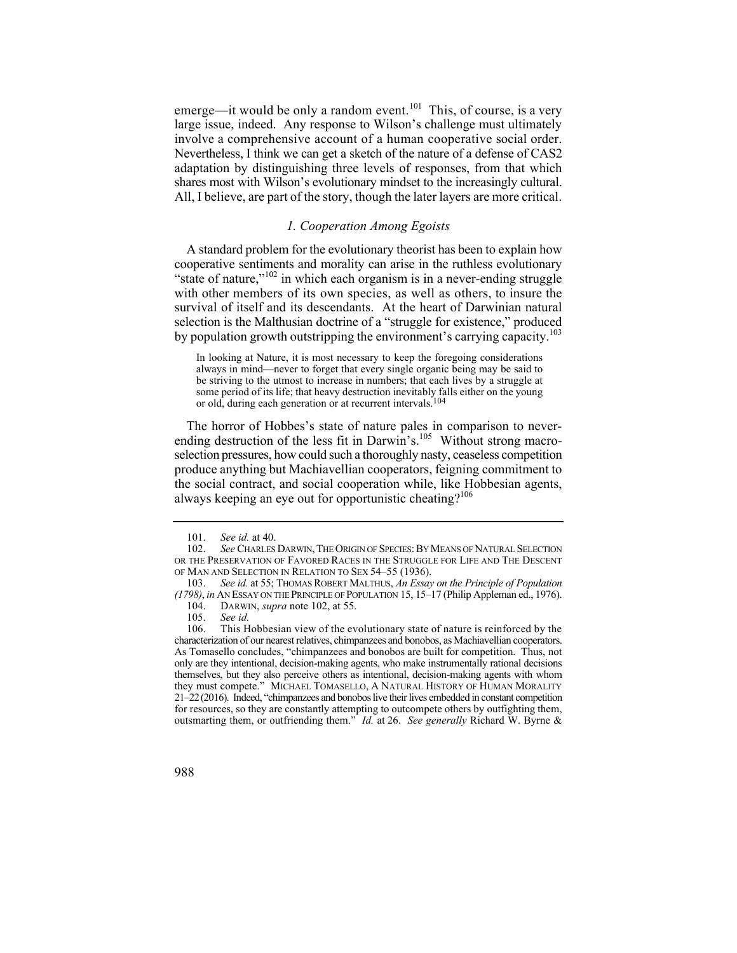emerge—it would be only a random event.<sup>101</sup> This, of course, is a very involve a comprehensive account of a human cooperative social order. Nevertheless, I think we can get a sketch of the nature of a defense of CAS2 large issue, indeed. Any response to Wilson's challenge must ultimately adaptation by distinguishing three levels of responses, from that which shares most with Wilson's evolutionary mindset to the increasingly cultural. All, I believe, are part of the story, though the later layers are more critical.

# *1. Cooperation Among Egoists*

A standard problem for the evolutionary theorist has been to explain how cooperative sentiments and morality can arise in the ruthless evolutionary "state of nature," $102$  in which each organism is in a never-ending struggle with other members of its own species, as well as others, to insure the survival of itself and its descendants. At the heart of Darwinian natural selection is the Malthusian doctrine of a "struggle for existence," produced by population growth outstripping the environment's carrying capacity.<sup>103</sup>

In looking at Nature, it is most necessary to keep the foregoing considerations always in mind—never to forget that every single organic being may be said to be striving to the utmost to increase in numbers; that each lives by a struggle at some period of its life; that heavy destruction inevitably falls either on the young or old, during each generation or at recurrent intervals.104

The horror of Hobbes's state of nature pales in comparison to neverending destruction of the less fit in Darwin's.<sup>105</sup> Without strong macroselection pressures, how could such a thoroughly nasty, ceaseless competition produce anything but Machiavellian cooperators, feigning commitment to the social contract, and social cooperation while, like Hobbesian agents, always keeping an eye out for opportunistic cheating? $106$ 

<sup>106.</sup> This Hobbesian view of the evolutionary state of nature is reinforced by the characterization of our nearest relatives, chimpanzees and bonobos, as Machiavellian cooperators. As Tomasello concludes, "chimpanzees and bonobos are built for competition. Thus, not only are they intentional, decision-making agents, who make instrumentally rational decisions themselves, but they also perceive others as intentional, decision-making agents with whom they must compete." MICHAEL TOMASELLO, A NATURAL HISTORY OF HUMAN MORALITY 21–22(2016). Indeed, "chimpanzees and bonobos live their lives embedded in constant competition for resources, so they are constantly attempting to outcompete others by outfighting them, outsmarting them, or outfriending them." *Id.* at 26. *See generally* Richard W. Byrne &



<sup>101.</sup> *See id.* at 40.

<sup>102.</sup> *See* CHARLES DARWIN, THE ORIGIN OF SPECIES: BY MEANS OF NATURAL SELECTION OR THE PRESERVATION OF FAVORED RACES IN THE STRUGGLE FOR LIFE AND THE DESCENT OF MAN AND SELECTION IN RELATION TO SEX 54-55 (1936).

<sup>103.</sup> *See id.* at 55; THOMAS ROBERT MALTHUS, *An Essay on the Principle of Population (1798)*, *in* AN ESSAY ON THE PRINCIPLE OF POPULATION 15, 15–17 (Philip Appleman ed., 1976).

<sup>104.</sup> DARWIN, *supra* note 102, at 55.

<sup>105.</sup> *See id.*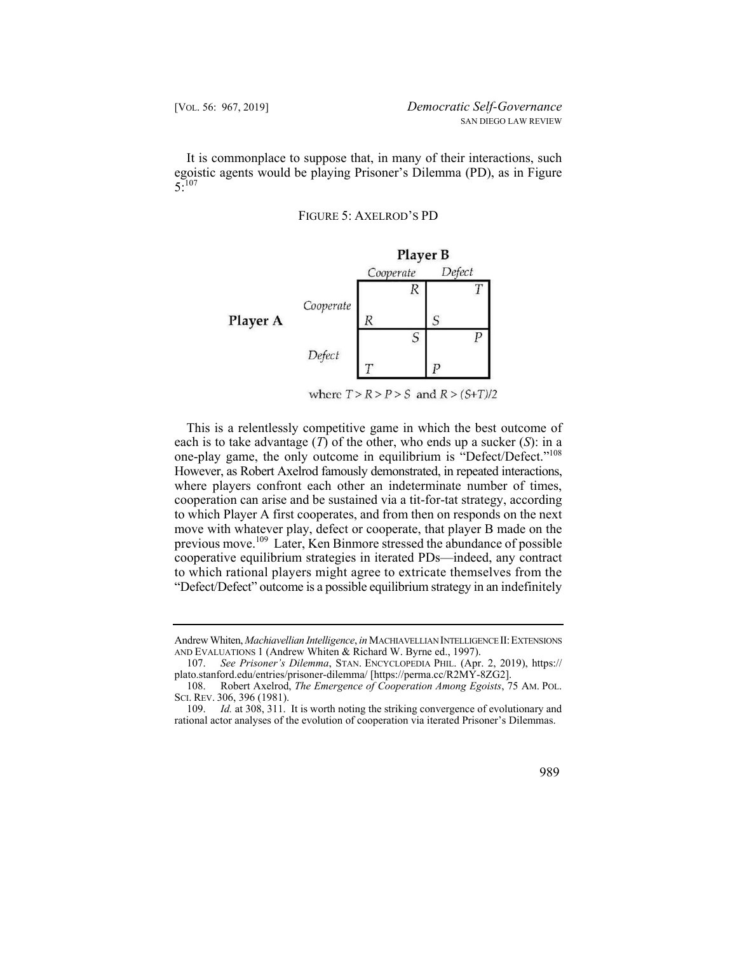It is commonplace to suppose that, in many of their interactions, such egoistic agents would be playing Prisoner's Dilemma (PD), as in Figure  $5:107$ 

FIGURE 5: AXELROD'S PD



This is a relentlessly competitive game in which the best outcome of each is to take advantage (*T*) of the other, who ends up a sucker (*S*): in a one-play game, the only outcome in equilibrium is "Defect/Defect."<sup>108</sup> However, as Robert Axelrod famously demonstrated, in repeated interactions, where players confront each other an indeterminate number of times, cooperation can arise and be sustained via a tit-for-tat strategy, according to which Player A first cooperates, and from then on responds on the next move with whatever play, defect or cooperate, that player B made on the previous move.109 Later, Ken Binmore stressed the abundance of possible cooperative equilibrium strategies in iterated PDs—indeed, any contract to which rational players might agree to extricate themselves from the "Defect/Defect" outcome is a possible equilibrium strategy in an indefinitely

Andrew Whiten, *Machiavellian Intelligence*, *in* MACHIAVELLIAN INTELLIGENCE II: EXTENSIONS AND EVALUATIONS 1 (Andrew Whiten & Richard W. Byrne ed., 1997).

<sup>107.</sup> *See Prisoner's Dilemma*, STAN. ENCYCLOPEDIA PHIL. (Apr. 2, 2019), https:// [plato.stanford.edu/entries/prisoner-dilemma](https://plato.stanford.edu/entries/prisoner-dilemma)/ [<https://perma.cc/R2MY-8ZG2>].

 108. Robert Axelrod, *The Emergence of Cooperation Among Egoists*, 75 AM. POL. SCI. REV.306, 396 (1981).

<sup>109.</sup> *Id.* at 308, 311. It is worth noting the striking convergence of evolutionary and rational actor analyses of the evolution of cooperation via iterated Prisoner's Dilemmas.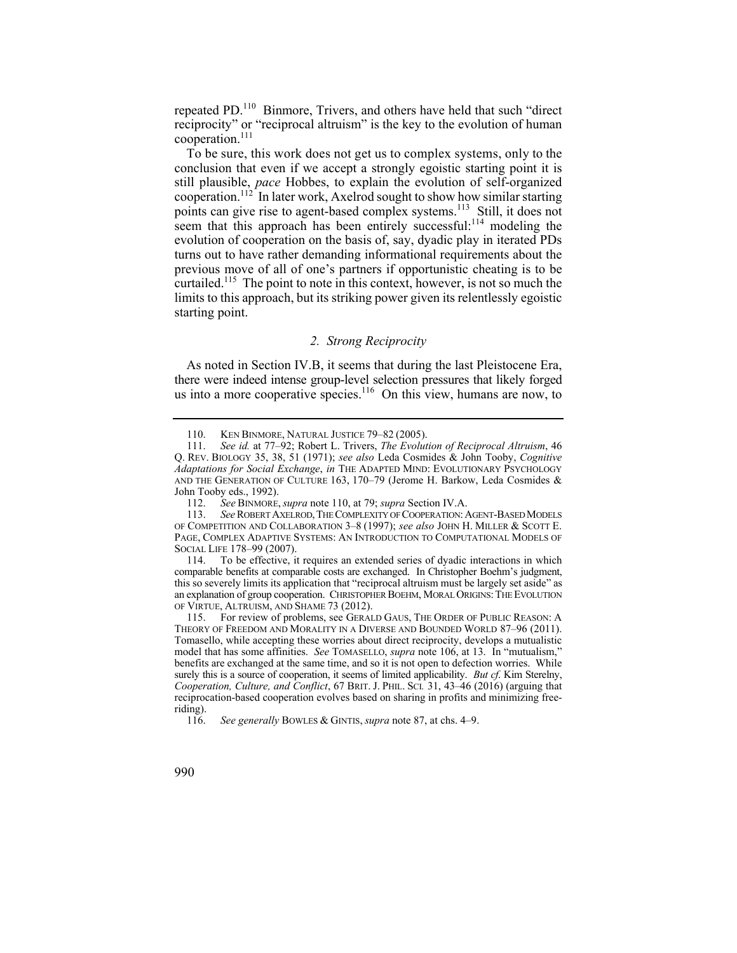repeated PD.110 Binmore, Trivers, and others have held that such "direct reciprocity" or "reciprocal altruism" is the key to the evolution of human cooperation.111

 To be sure, this work does not get us to complex systems, only to the conclusion that even if we accept a strongly egoistic starting point it is still plausible, *pace* Hobbes, to explain the evolution of self-organized cooperation.<sup>112 $\hat{}$ </sup>In later work, Axelrod sought to show how similar starting points can give rise to agent-based complex systems.<sup>113</sup> Still, it does not seem that this approach has been entirely successful: $114$  modeling the evolution of cooperation on the basis of, say, dyadic play in iterated PDs turns out to have rather demanding informational requirements about the previous move of all of one's partners if opportunistic cheating is to be curtailed.<sup>115</sup> The point to note in this context, however, is not so much the limits to this approach, but its striking power given its relentlessly egoistic starting point.

# *2. Strong Reciprocity*

As noted in Section IV.B, it seems that during the last Pleistocene Era, there were indeed intense group-level selection pressures that likely forged us into a more cooperative species.<sup>116</sup> On this view, humans are now, to

To be effective, it requires an extended series of dyadic interactions in which comparable benefits at comparable costs are exchanged. In Christopher Boehm's judgment, this so severely limits its application that "reciprocal altruism must be largely set aside" as an explanation of group cooperation. CHRISTOPHER BOEHM, MORAL ORIGINS: THE EVOLUTION OF VIRTUE, ALTRUISM, AND SHAME 73 (2012).

115. For review of problems, see GERALD GAUS, THE ORDER OF PUBLIC REASON: A THEORY OF FREEDOM AND MORALITY IN A DIVERSE AND BOUNDED WORLD 87–96 (2011). Tomasello, while accepting these worries about direct reciprocity, develops a mutualistic model that has some affinities. *See* TOMASELLO, *supra* note 106, at 13. In "mutualism," benefits are exchanged at the same time, and so it is not open to defection worries. While surely this is a source of cooperation, it seems of limited applicability. *But cf*. Kim Sterelny, *Cooperation, Culture, and Conflict*, 67 BRIT. J. PHIL. SCI*.* 31, 43–46 (2016) (arguing that reciprocation-based cooperation evolves based on sharing in profits and minimizing freeriding).

<sup>110.</sup> KEN BINMORE, NATURAL JUSTICE 79–82 (2005).

 Q. REV. BIOLOGY 35, 38, 51 (1971); *see also* Leda Cosmides & John Tooby, *Cognitive* 111. *See id.* at 77–92; Robert L. Trivers, *The Evolution of Reciprocal Altruism*, 46 *Adaptations for Social Exchange*, *in* THE ADAPTED MIND: EVOLUTIONARY PSYCHOLOGY AND THE GENERATION OF CULTURE 163, 170–79 (Jerome H. Barkow, Leda Cosmides & John Tooby eds., 1992).<br>112. See BINMORE.

<sup>112.</sup> *See* BINMORE, *supra* note 110, at 79; *supra* Section IV.A.

<sup>113.</sup> *See* ROBERT AXELROD, THE COMPLEXITY OF COOPERATION: AGENT-BASED MODELS OF COMPETITION AND COLLABORATION 3–8 (1997); *see also* JOHN H. MILLER & SCOTT E. PAGE, COMPLEX ADAPTIVE SYSTEMS: AN INTRODUCTION TO COMPUTATIONAL MODELS OF SOCIAL LIFE 178-99 (2007).<br>114. To be effective. it

 116. *See generally* BOWLES & GINTIS, *supra* note 87, at chs. 4–9.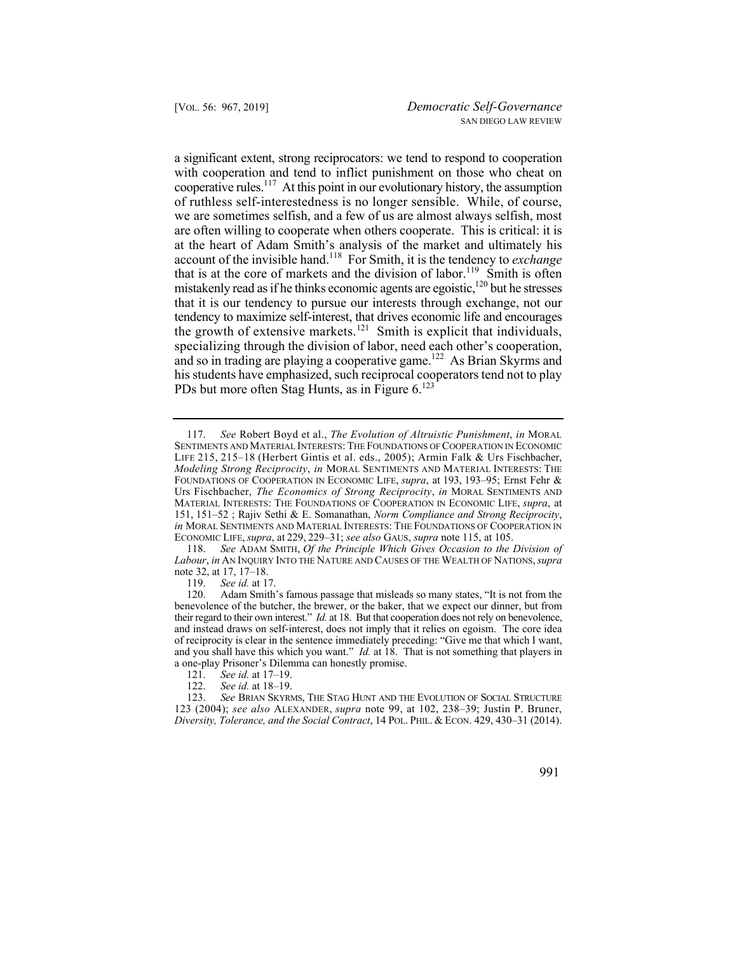a significant extent, strong reciprocators: we tend to respond to cooperation the growth of extensive markets.<sup>121</sup> Smith is explicit that individuals, with cooperation and tend to inflict punishment on those who cheat on cooperative rules.<sup>117</sup> At this point in our evolutionary history, the assumption of ruthless self-interestedness is no longer sensible. While, of course, we are sometimes selfish, and a few of us are almost always selfish, most are often willing to cooperate when others cooperate. This is critical: it is at the heart of Adam Smith's analysis of the market and ultimately his account of the invisible hand.118 For Smith, it is the tendency to *exchange* that is at the core of markets and the division of labor.<sup>119</sup> Smith is often mistakenly read as if he thinks economic agents are egoistic,<sup>120</sup> but he stresses that it is our tendency to pursue our interests through exchange, not our tendency to maximize self-interest, that drives economic life and encourages specializing through the division of labor, need each other's cooperation, and so in trading are playing a cooperative game.<sup>122</sup> As Brian Skyrms and his students have emphasized, such reciprocal cooperators tend not to play PDs but more often Stag Hunts, as in Figure 6.<sup>123</sup>

118. *See* ADAM SMITH, *Of the Principle Which Gives Occasion to the Division of Labour*, *in* AN INQUIRY INTO THE NATURE AND CAUSES OF THE WEALTH OF NATIONS, *supra* note 32, at 17, 17–18.

See id. at 17-19.

<sup>117.</sup> *See* Robert Boyd et al., *The Evolution of Altruistic Punishment*, *in* MORAL SENTIMENTS AND MATERIAL INTERESTS: THE FOUNDATIONS OF COOPERATION IN ECONOMIC LIFE 215, 215–18 (Herbert Gintis et al. eds., 2005); Armin Falk & Urs Fischbacher, *Modeling Strong Reciprocity*, *in* MORAL SENTIMENTS AND MATERIAL INTERESTS: THE FOUNDATIONS OF COOPERATION IN ECONOMIC LIFE, *supra*, at 193, 193–95; Ernst Fehr & Urs Fischbacher, *The Economics of Strong Reciprocity*, *in* MORAL SENTIMENTS AND MATERIAL INTERESTS: THE FOUNDATIONS OF COOPERATION IN ECONOMIC LIFE, *supra*, at 151, 151–52 ; Rajiv Sethi & E. Somanathan, *Norm Compliance and Strong Reciprocity*, *in* MORAL SENTIMENTS AND MATERIAL INTERESTS: THE FOUNDATIONS OF COOPERATION IN ECONOMIC LIFE, *supra*, at 229, 229–31; *see also* GAUS, *supra* note 115, at 105.

<sup>119.</sup> *See id.* at 17.

Adam Smith's famous passage that misleads so many states, "It is not from the benevolence of the butcher, the brewer, or the baker, that we expect our dinner, but from their regard to their own interest." *Id.* at 18. But that cooperation does not rely on benevolence, and instead draws on self-interest, does not imply that it relies on egoism. The core idea of reciprocity is clear in the sentence immediately preceding: "Give me that which I want, and you shall have this which you want." *Id.* at 18. That is not something that players in a one-play Prisoner's Dilemma can honestly promise.<br>121. See id. at  $17-19$ .

<sup>122.</sup> *See id.* at 18–19.

<sup>123.</sup> *See* BRIAN SKYRMS, THE STAG HUNT AND THE EVOLUTION OF SOCIAL STRUCTURE 123 (2004); *see also* ALEXANDER, *supra* note 99, at 102, 238–39; Justin P. Bruner, *Diversity, Tolerance, and the Social Contract*, 14 POL. PHIL. & ECON. 429, 430–31 (2014).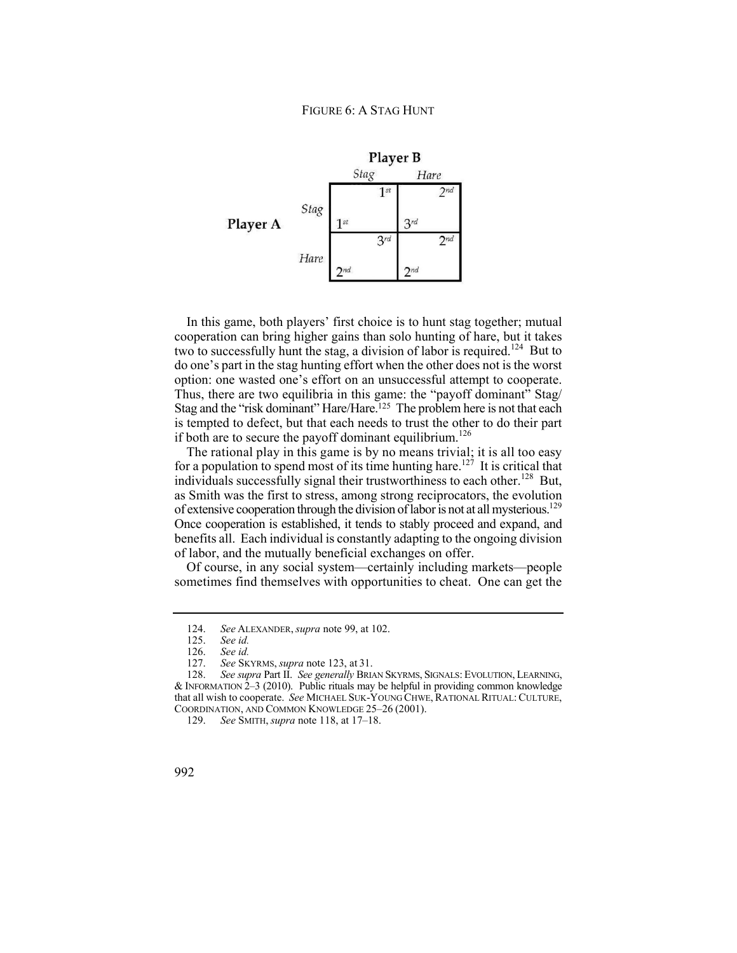

two to successfully hunt the stag, a division of labor is required.<sup>124</sup> But to option: one wasted one's effort on an unsuccessful attempt to cooperate. In this game, both players' first choice is to hunt stag together; mutual cooperation can bring higher gains than solo hunting of hare, but it takes do one's part in the stag hunting effort when the other does not is the worst Thus, there are two equilibria in this game: the "payoff dominant"  $Stag/$ Stag and the "risk dominant" Hare/Hare.<sup>125</sup> The problem here is not that each is tempted to defect, but that each needs to trust the other to do their part if both are to secure the payoff dominant equilibrium.<sup>126</sup>

of extensive cooperation through the division of labor is not at all mysterious.<sup>129</sup> The rational play in this game is by no means trivial; it is all too easy for a population to spend most of its time hunting hare.<sup>127</sup> It is critical that individuals successfully signal their trustworthiness to each other.<sup>128</sup> But, as Smith was the first to stress, among strong reciprocators, the evolution Once cooperation is established, it tends to stably proceed and expand, and benefits all. Each individual is constantly adapting to the ongoing division of labor, and the mutually beneficial exchanges on offer.

Of course, in any social system—certainly including markets—people sometimes find themselves with opportunities to cheat. One can get the

<sup>124.</sup> *See* ALEXANDER, *supra* note 99, at 102.

See *id.* 

 <sup>126.</sup> *See id.*

 <sup>127.</sup> *See* SKYRMS, *supra* note 123, at 31.

<sup>128.</sup> *See supra* Part II. *See generally* BRIAN SKYRMS, SIGNALS: EVOLUTION, LEARNING, & INFORMATION 2–3 (2010). Public rituals may be helpful in providing common knowledge that all wish to cooperate. *See* MICHAEL SUK-YOUNG CHWE, RATIONAL RITUAL: CULTURE, COORDINATION, AND COMMON KNOWLEDGE 25–26 (2001).

<sup>129.</sup> *See* SMITH, *supra* note 118, at 17–18.

<sup>992</sup>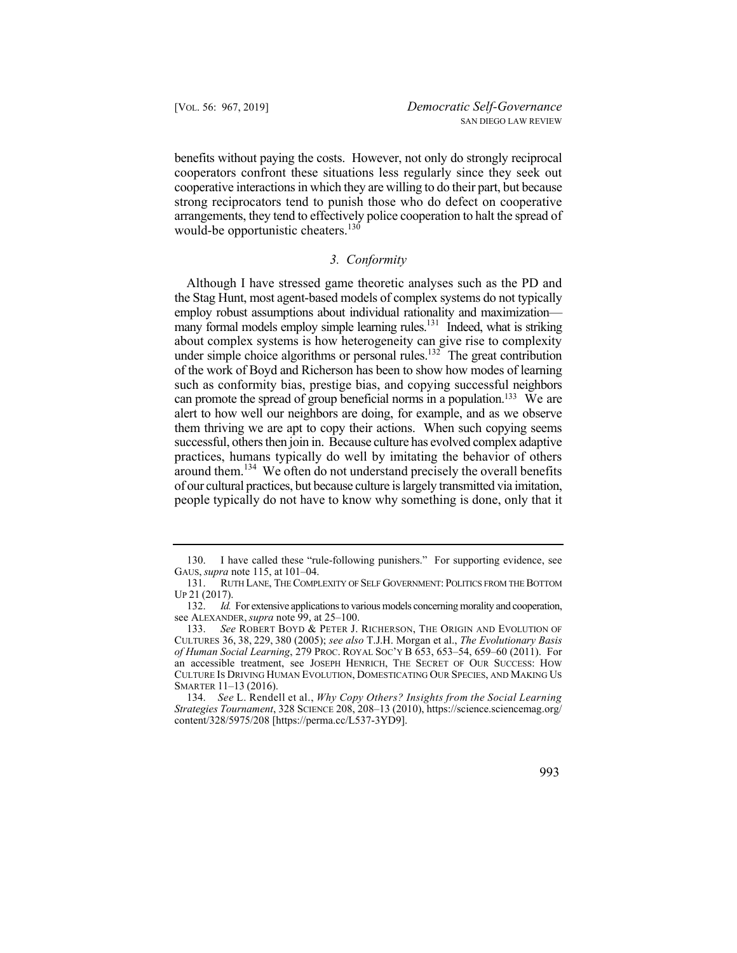benefits without paying the costs. However, not only do strongly reciprocal cooperators confront these situations less regularly since they seek out cooperative interactions in which they are willing to do their part, but because strong reciprocators tend to punish those who do defect on cooperative arrangements, they tend to effectively police cooperation to halt the spread of would-be opportunistic cheaters.<sup>130</sup>

# *3. Conformity*

Although I have stressed game theoretic analyses such as the PD and the Stag Hunt, most agent-based models of complex systems do not typically employ robust assumptions about individual rationality and maximization many formal models employ simple learning rules.<sup>131</sup> Indeed, what is striking about complex systems is how heterogeneity can give rise to complexity under simple choice algorithms or personal rules.<sup>132</sup> The great contribution of the work of Boyd and Richerson has been to show how modes of learning such as conformity bias, prestige bias, and copying successful neighbors can promote the spread of group beneficial norms in a population.<sup>133</sup> We are alert to how well our neighbors are doing, for example, and as we observe them thriving we are apt to copy their actions. When such copying seems successful, others then join in. Because culture has evolved complex adaptive practices, humans typically do well by imitating the behavior of others around them.<sup>134</sup> We often do not understand precisely the overall benefits of our cultural practices, but because culture is largely transmitted via imitation, people typically do not have to know why something is done, only that it

 134. *See* L. Rendell et al., *Why Copy Others? Insights from the Social Learning Strategies Tournament*, 328 SCIENCE 208, 208–13 (2010), [https://science.sciencemag.org/](https://science.sciencemag.org) content/328/5975/208 [\[https://perma.cc/L537-3YD9](https://perma.cc/L537-3YD9)].



<sup>130.</sup> I have called these "rule-following punishers." For supporting evidence, see GAUS, *supra* note 115, at 101–04.

<sup>131.</sup> RUTH LANE, THE COMPLEXITY OF SELF GOVERNMENT: POLITICS FROM THE BOTTOM UP 21 (2017).

<sup>132.</sup> *Id.* For extensive applications to various models concerning morality and cooperation, see ALEXANDER, *supra* note 99, at 25–100.

<sup>133.</sup> See ROBERT BOYD & PETER J. RICHERSON, THE ORIGIN AND EVOLUTION OF CULTURES 36, 38, 229, 380 (2005); *see also* T.J.H. Morgan et al., *The Evolutionary Basis of Human Social Learning*, 279 PROC. ROYAL SOC'Y B 653, 653–54, 659–60 (2011). For an accessible treatment, see JOSEPH HENRICH, THE SECRET OF OUR SUCCESS: HOW CULTURE IS DRIVING HUMAN EVOLUTION, DOMESTICATING OUR SPECIES, AND MAKING US SMARTER 11–13 (2016).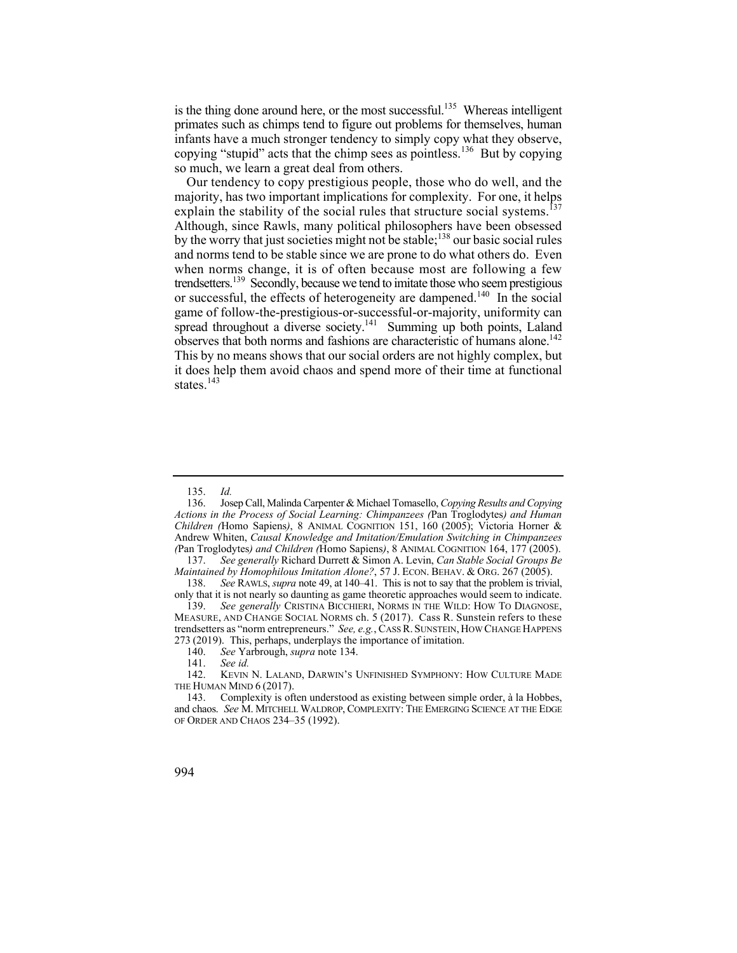is the thing done around here, or the most successful.<sup>135</sup> Whereas intelligent primates such as chimps tend to figure out problems for themselves, human infants have a much stronger tendency to simply copy what they observe, copying "stupid" acts that the chimp sees as pointless.<sup>136</sup> But by copying so much, we learn a great deal from others.

explain the stability of the social rules that structure social systems.<sup>137</sup> observes that both norms and fashions are characteristic of humans alone.<sup>142</sup> Our tendency to copy prestigious people, those who do well, and the majority, has two important implications for complexity. For one, it helps Although, since Rawls, many political philosophers have been obsessed by the worry that just societies might not be stable;<sup>138</sup> our basic social rules and norms tend to be stable since we are prone to do what others do. Even when norms change, it is of often because most are following a few trendsetters.<sup>139</sup> Secondly, because we tend to imitate those who seem prestigious or successful, the effects of heterogeneity are dampened.<sup>140</sup> In the social game of follow-the-prestigious-or-successful-or-majority, uniformity can spread throughout a diverse society.<sup>141</sup> Summing up both points, Laland This by no means shows that our social orders are not highly complex, but it does help them avoid chaos and spend more of their time at functional states $^{143}$ 

<sup>135.</sup> *Id.* 

<sup>136.</sup> Josep Call, Malinda Carpenter & Michael Tomasello, *Copying Results and Copying Actions in the Process of Social Learning: Chimpanzees (*Pan Troglodytes*) and Human Children (*Homo Sapiens*)*, 8 ANIMAL COGNITION 151, 160 (2005); Victoria Horner & Andrew Whiten, *Causal Knowledge and Imitation/Emulation Switching in Chimpanzees (*Pan Troglodytes*) and Children (*Homo Sapiens*)*, 8 ANIMAL COGNITION 164, 177 (2005).

<sup>137.</sup> *See generally* Richard Durrett & Simon A. Levin, *Can Stable Social Groups Be Maintained by Homophilous Imitation Alone?*, 57 J. ECON. BEHAV. & ORG. 267 (2005).

 138. *See* RAWLS, *supra* note 49, at 140–41. This is not to say that the problem is trivial, only that it is not nearly so daunting as game theoretic approaches would seem to indicate.

<sup>139.</sup> *See generally* CRISTINA BICCHIERI, NORMS IN THE WILD: HOW TO DIAGNOSE, MEASURE, AND CHANGE SOCIAL NORMS ch. 5 (2017). Cass R. Sunstein refers to these trendsetters as "norm entrepreneurs." *See, e.g.*, CASS R. SUNSTEIN, HOW CHANGE HAPPENS 273 (2019). This, perhaps, underplays the importance of imitation.

<sup>140.</sup> *See* Yarbrough, *supra* note 134.

<sup>141.</sup> *See id.*

 142. KEVIN N. LALAND, DARWIN'S UNFINISHED SYMPHONY: HOW CULTURE MADE THE HUMAN MIND 6 (2017).

<sup>143.</sup> Complexity is often understood as existing between simple order, à la Hobbes, and chaos. *See* M. MITCHELL WALDROP, COMPLEXITY: THE EMERGING SCIENCE AT THE EDGE OF ORDER AND CHAOS 234–35 (1992).

<sup>994</sup>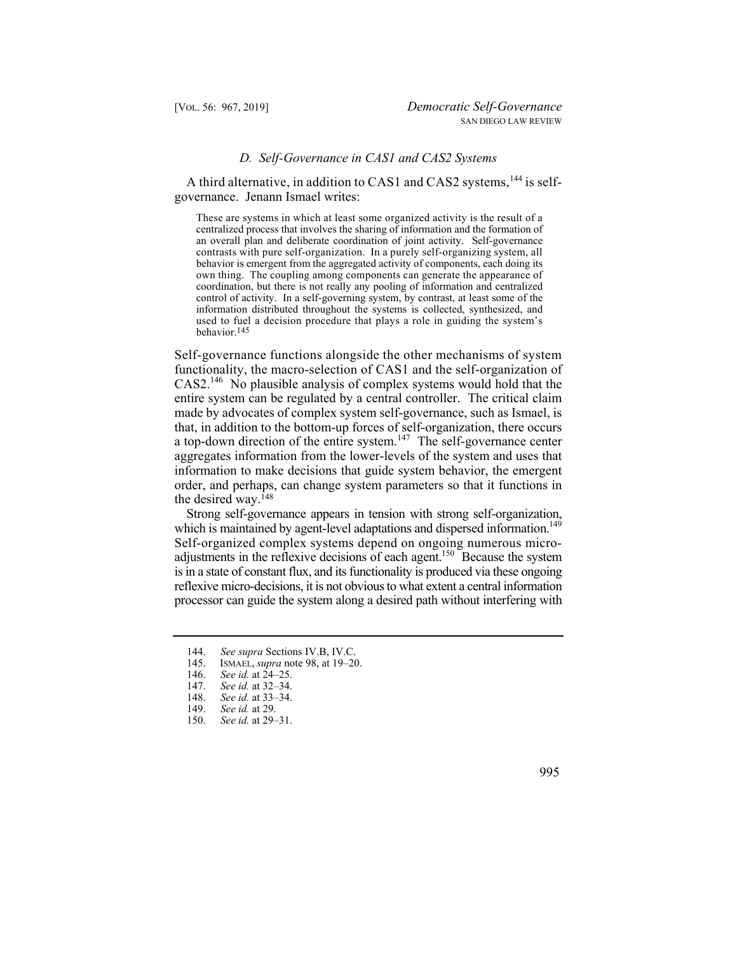## *D. Self-Governance in CAS1 and CAS2 Systems*

A third alternative, in addition to CAS1 and CAS2 systems,  $^{144}$  is selfgovernance. Jenann Ismael writes:

These are systems in which at least some organized activity is the result of a centralized process that involves the sharing of information and the formation of an overall plan and deliberate coordination of joint activity. Self-governance contrasts with pure self-organization. In a purely self-organizing system, all behavior is emergent from the aggregated activity of components, each doing its own thing. The coupling among components can generate the appearance of coordination, but there is not really any pooling of information and centralized control of activity. In a self-governing system, by contrast, at least some of the information distributed throughout the systems is collected, synthesized, and used to fuel a decision procedure that plays a role in guiding the system's behavior.145

Self-governance functions alongside the other mechanisms of system functionality, the macro-selection of CAS1 and the self-organization of CAS2.146 No plausible analysis of complex systems would hold that the entire system can be regulated by a central controller. The critical claim made by advocates of complex system self-governance, such as Ismael, is that, in addition to the bottom-up forces of self-organization, there occurs a top-down direction of the entire system.<sup>147</sup> The self-governance center aggregates information from the lower-levels of the system and uses that information to make decisions that guide system behavior, the emergent order, and perhaps, can change system parameters so that it functions in the desired way.<sup>148</sup>

which is maintained by agent-level adaptations and dispersed information.<sup>149</sup> Strong self-governance appears in tension with strong self-organization, Self-organized complex systems depend on ongoing numerous microadjustments in the reflexive decisions of each agent.<sup>150</sup> Because the system is in a state of constant flux, and its functionality is produced via these ongoing reflexive micro-decisions, it is not obvious to what extent a central information processor can guide the system along a desired path without interfering with



<sup>144.</sup> *See supra* Sections IV.B, IV.C.

<sup>145.</sup> ISMAEL, *supra* note 98, at 19–20.

See id. at 24–25.

<sup>147.</sup> *See id.* at 32–34.

<sup>148.</sup> *See id.* at 33–34.

See id. at 29.

<sup>150.</sup> *See id.* at 29–31.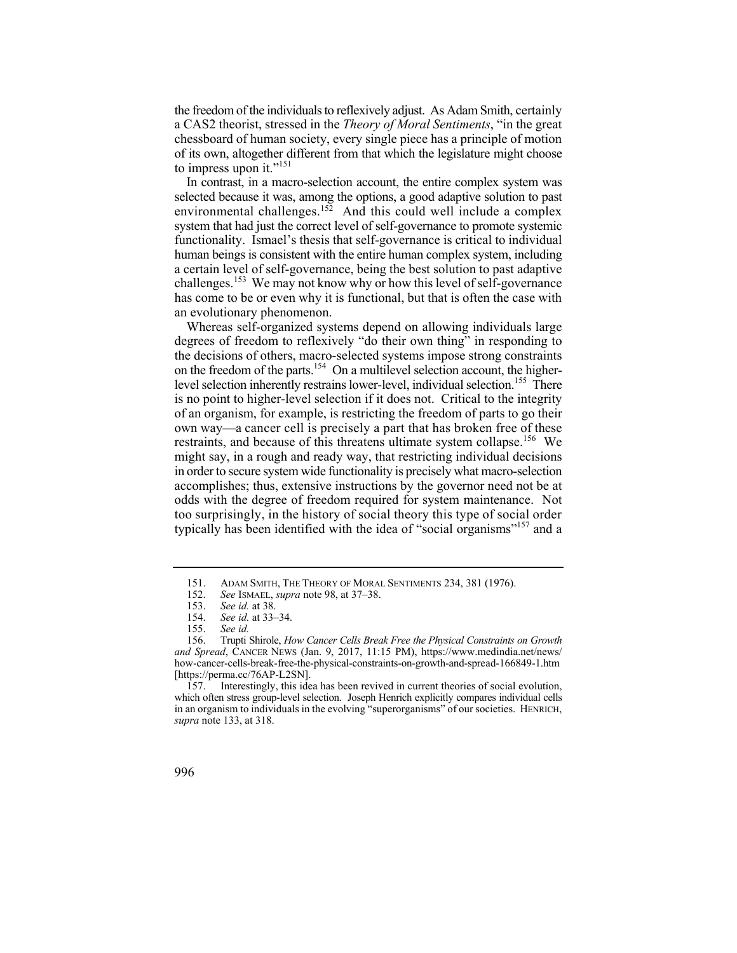the freedom of the individuals to reflexively adjust. As Adam Smith, certainly a CAS2 theorist, stressed in the *Theory of Moral Sentiments*, "in the great chessboard of human society, every single piece has a principle of motion of its own, altogether different from that which the legislature might choose to impress upon it."<sup>151</sup>

challenges.<sup>153</sup> We may not know why or how this level of self-governance In contrast, in a macro-selection account, the entire complex system was selected because it was, among the options, a good adaptive solution to past environmental challenges.<sup>152</sup> And this could well include a complex system that had just the correct level of self-governance to promote systemic functionality. Ismael's thesis that self-governance is critical to individual human beings is consistent with the entire human complex system, including a certain level of self-governance, being the best solution to past adaptive has come to be or even why it is functional, but that is often the case with an evolutionary phenomenon.

on the freedom of the parts.<sup>154</sup> On a multilevel selection account, the higher- own way—a cancer cell is precisely a part that has broken free of these Whereas self-organized systems depend on allowing individuals large degrees of freedom to reflexively "do their own thing" in responding to the decisions of others, macro-selected systems impose strong constraints level selection inherently restrains lower-level, individual selection.<sup>155</sup> There is no point to higher-level selection if it does not. Critical to the integrity of an organism, for example, is restricting the freedom of parts to go their restraints, and because of this threatens ultimate system collapse.<sup>156</sup> We might say, in a rough and ready way, that restricting individual decisions in order to secure system wide functionality is precisely what macro-selection accomplishes; thus, extensive instructions by the governor need not be at odds with the degree of freedom required for system maintenance. Not too surprisingly, in the history of social theory this type of social order typically has been identified with the idea of "social organisms"157 and a

157. Interestingly, this idea has been revived in current theories of social evolution, which often stress group-level selection. Joseph Henrich explicitly compares individual cells in an organism to individuals in the evolving "superorganisms" of our societies. HENRICH, *supra* note 133, at 318.

<sup>151.</sup> ADAM SMITH, THE THEORY OF MORAL SENTIMENTS 234, 381 (1976).<br>152. See ISMAEL, *supra* note 98, at 37–38.

<sup>152.</sup> *See* ISMAEL, *supra* note 98, at 37–38.

<sup>153.</sup> *See id.* at 38.

<sup>154.</sup> *See id.* at 33–34.

<sup>155.</sup> *See id.*

 156. Trupti Shirole, *How Cancer Cells Break Free the Physical Constraints on Growth and Spread*, CANCER NEWS (Jan. 9, 2017, 11:15 PM), [https://www.medindia.net/news/](https://www.medindia.net/news) how-cancer-cells-break-free-the-physical-constraints-on-growth-and-spread-166849-1.htm [\[https://perma.cc/76AP-L2SN](https://perma.cc/76AP-L2SN)].

<sup>996</sup>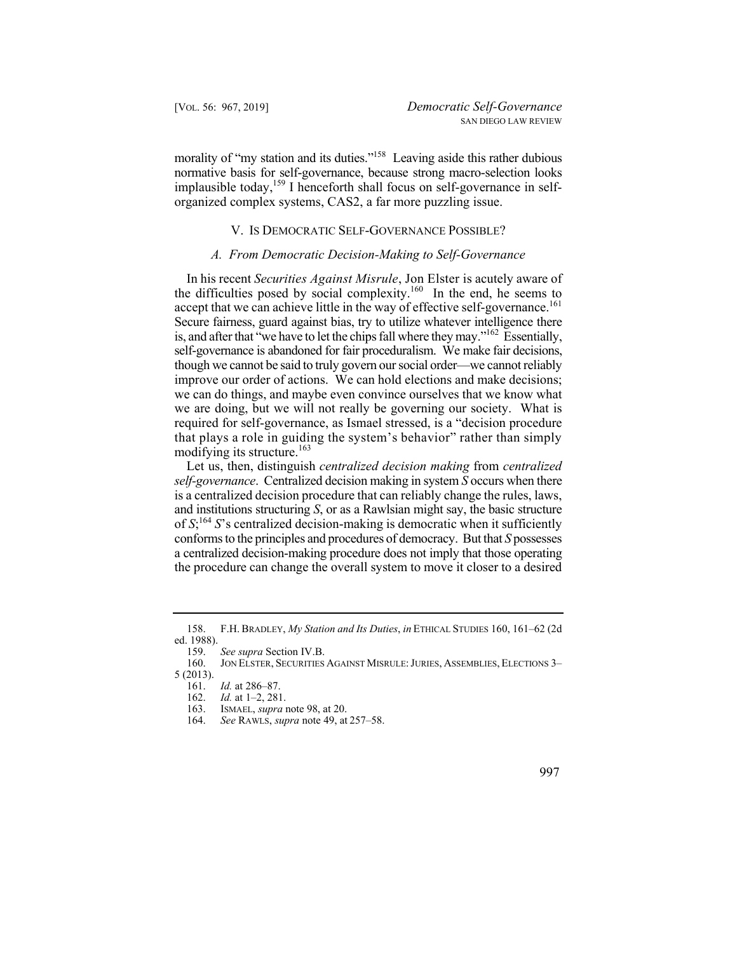morality of "my station and its duties."<sup>158</sup> Leaving aside this rather dubious normative basis for self-governance, because strong macro-selection looks implausible today,<sup>159</sup> I henceforth shall focus on self-governance in selforganized complex systems, CAS2, a far more puzzling issue.

## V. IS DEMOCRATIC SELF-GOVERNANCE POSSIBLE?

# *A. From Democratic Decision-Making to Self-Governance*

 In his recent *Securities Against Misrule*, Jon Elster is acutely aware of accept that we can achieve little in the way of effective self-governance.<sup>161</sup> the difficulties posed by social complexity.<sup>160</sup> In the end, he seems to Secure fairness, guard against bias, try to utilize whatever intelligence there is, and after that "we have to let the chips fall where they may."<sup>162</sup> Essentially, self-governance is abandoned for fair proceduralism. We make fair decisions, though we cannot be said to truly govern our social order—we cannot reliably improve our order of actions. We can hold elections and make decisions; we can do things, and maybe even convince ourselves that we know what we are doing, but we will not really be governing our society. What is required for self-governance, as Ismael stressed, is a "decision procedure that plays a role in guiding the system's behavior" rather than simply modifying its structure.<sup>163</sup>

 Let us, then, distinguish *centralized decision making* from *centralized self-governance*. Centralized decision making in system *S* occurs when there is a centralized decision procedure that can reliably change the rules, laws, and institutions structuring *S*, or as a Rawlsian might say, the basic structure of *S*; <sup>164</sup>*S*'s centralized decision-making is democratic when it sufficiently conforms to the principles and procedures of democracy. But that *S* possesses a centralized decision-making procedure does not imply that those operating the procedure can change the overall system to move it closer to a desired

<sup>164.</sup> *See* RAWLS, *supra* note 49, at 257–58.



<sup>158.</sup> F.H. BRADLEY, *My Station and Its Duties*, *in* ETHICAL STUDIES 160, 161–62 (2d ed. 1988).

<sup>159.</sup> *See supra* Section IV.B.

 160. JON ELSTER, SECURITIES AGAINST MISRULE: JURIES, ASSEMBLIES, ELECTIONS 3– 5 (2013).

<sup>161.</sup> *Id.* at 286–87.

<sup>162.</sup> *Id.* at 1–2, 281.

<sup>163.</sup> ISMAEL, *supra* note 98, at 20.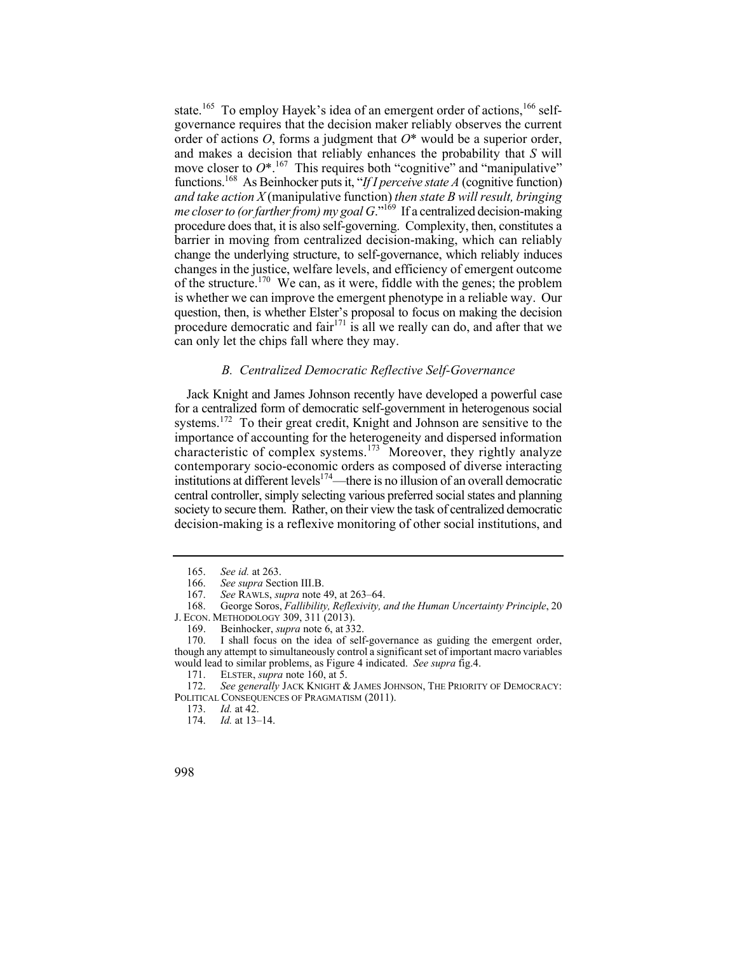functions.168 As Beinhocker puts it, "*If I perceive state A* (cognitive function) state.<sup>165</sup> To employ Hayek's idea of an emergent order of actions.<sup>166</sup> selfgovernance requires that the decision maker reliably observes the current order of actions *O*, forms a judgment that *O*\* would be a superior order, and makes a decision that reliably enhances the probability that *S* will move closer to  $O^*$ <sup>.167</sup> This requires both "cognitive" and "manipulative" *and take action X* (manipulative function) *then state B will result, bringing me closer to (or farther from) my goal G.*<sup>"169</sup> If a centralized decision-making procedure does that, it is also self-governing. Complexity, then, constitutes a barrier in moving from centralized decision-making, which can reliably change the underlying structure, to self-governance, which reliably induces changes in the justice, welfare levels, and efficiency of emergent outcome of the structure.<sup>170</sup> We can, as it were, fiddle with the genes; the problem is whether we can improve the emergent phenotype in a reliable way. Our question, then, is whether Elster's proposal to focus on making the decision procedure democratic and fair<sup>171</sup> is all we really can do, and after that we can only let the chips fall where they may.

# *B. Centralized Democratic Reflective Self-Governance*

institutions at different levels<sup>174</sup>—there is no illusion of an overall democratic Jack Knight and James Johnson recently have developed a powerful case for a centralized form of democratic self-government in heterogenous social systems.<sup>172</sup> To their great credit, Knight and Johnson are sensitive to the importance of accounting for the heterogeneity and dispersed information characteristic of complex systems.<sup>173</sup> Moreover, they rightly analyze contemporary socio-economic orders as composed of diverse interacting central controller, simply selecting various preferred social states and planning society to secure them. Rather, on their view the task of centralized democratic decision-making is a reflexive monitoring of other social institutions, and

ELSTER, *supra* note 160, at 5.

172. *See generally* JACK KNIGHT & JAMES JOHNSON, THE PRIORITY OF DEMOCRACY: POLITICAL CONSEQUENCES OF PRAGMATISM (2011).

<sup>165.</sup> *See id.* at 263.

<sup>166.</sup> *See supra* Section III.B.<br>167. *See RAWLS, supra* note 4

 <sup>167.</sup> *See* RAWLS, *supra* note 49, at 263–64.

<sup>168.</sup> George Soros, *Fallibility, Reflexivity, and the Human Uncertainty Principle*, 20 J. ECON. METHODOLOGY 309, 311 (2013).

<sup>169.</sup> Beinhocker, *supra* note 6, at 332.

<sup>170.</sup> I shall focus on the idea of self-governance as guiding the emergent order, though any attempt to simultaneously control a significant set of important macro variables would lead to similar problems, as Figure 4 indicated. *See supra* fig.4.<br>171. ELSTER. *supra* note 160. at 5.

<sup>173.</sup> *Id.* at 42.

<sup>174.</sup> *Id.* at 13–14.

<sup>998</sup>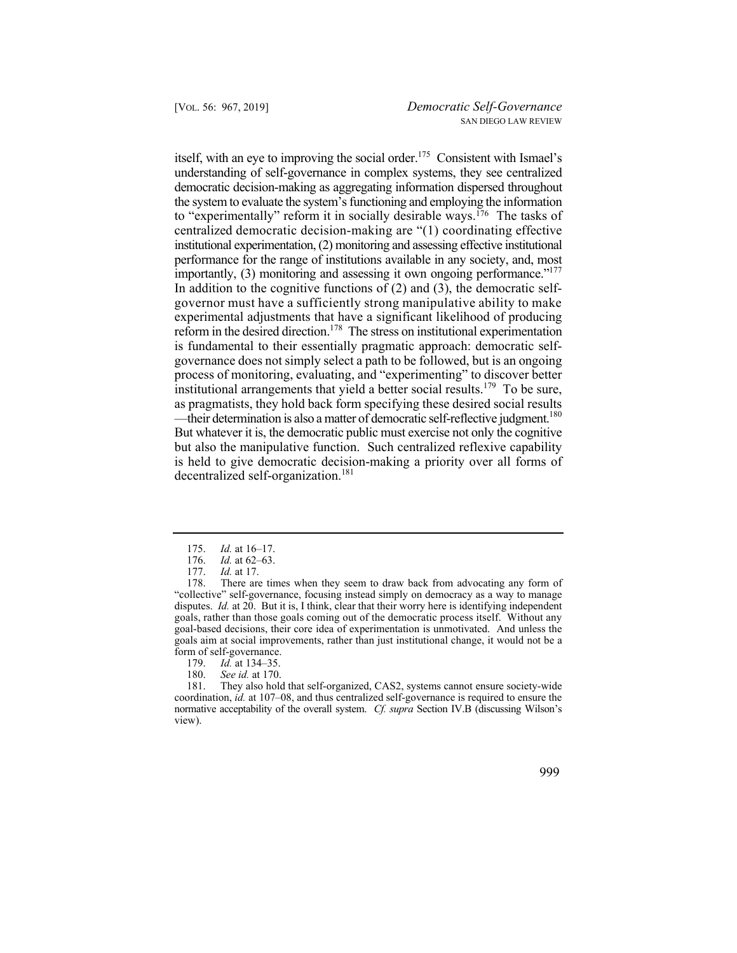importantly,  $(3)$  monitoring and assessing it own ongoing performance."<sup>177</sup> —their determination is also a matter of democratic self-reflective judgment.<sup>180</sup> itself, with an eye to improving the social order.<sup>175</sup> Consistent with Ismael's understanding of self-governance in complex systems, they see centralized democratic decision-making as aggregating information dispersed throughout the system to evaluate the system's functioning and employing the information to "experimentally" reform it in socially desirable ways.<sup>176</sup> The tasks of centralized democratic decision-making are "(1) coordinating effective institutional experimentation, (2) monitoring and assessing effective institutional performance for the range of institutions available in any society, and, most In addition to the cognitive functions of  $(2)$  and  $(3)$ , the democratic selfgovernor must have a sufficiently strong manipulative ability to make experimental adjustments that have a significant likelihood of producing reform in the desired direction.<sup>178</sup> The stress on institutional experimentation is fundamental to their essentially pragmatic approach: democratic selfgovernance does not simply select a path to be followed, but is an ongoing process of monitoring, evaluating, and "experimenting" to discover better institutional arrangements that yield a better social results.<sup>179</sup> To be sure, as pragmatists, they hold back form specifying these desired social results But whatever it is, the democratic public must exercise not only the cognitive but also the manipulative function. Such centralized reflexive capability is held to give democratic decision-making a priority over all forms of decentralized self-organization.<sup>181</sup>

180. *See id.* at 170.

<sup>175.</sup> *Id.* at 16–17.<br>176. *Id.* at 62–63.

<sup>176.</sup> *Id.* at 62–63.<br>177. *Id.* at 17.

*Id.* at 17.

<sup>178.</sup> There are times when they seem to draw back from advocating any form of "collective" self-governance, focusing instead simply on democracy as a way to manage disputes. *Id.* at 20. But it is, I think, clear that their worry here is identifying independent goals, rather than those goals coming out of the democratic process itself. Without any goal-based decisions, their core idea of experimentation is unmotivated. And unless the goals aim at social improvements, rather than just institutional change, it would not be a form of self-governance.<br>179. Id. at 134–35.

<sup>179.</sup> *Id.* at 134–35.

<sup>181.</sup> They also hold that self-organized, CAS2, systems cannot ensure society-wide coordination, *id.* at 107–08, and thus centralized self-governance is required to ensure the normative acceptability of the overall system. *Cf. supra* Section IV.B (discussing Wilson's view).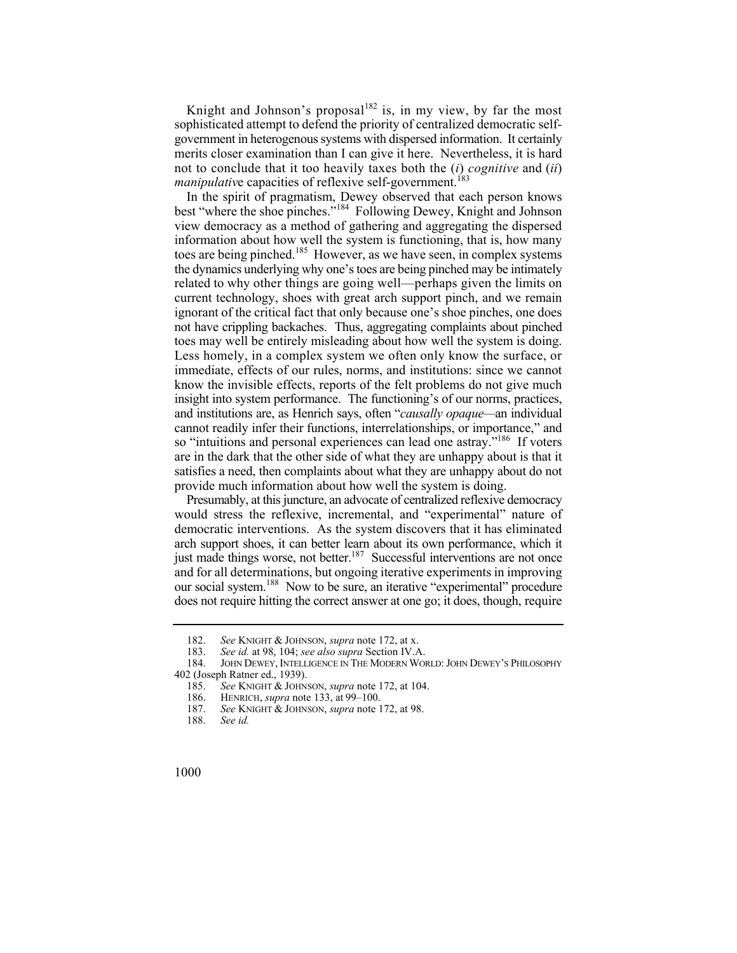Knight and Johnson's proposal<sup>182</sup> is, in my view, by far the most sophisticated attempt to defend the priority of centralized democratic selfgovernment in heterogenous systems with dispersed information. It certainly merits closer examination than I can give it here. Nevertheless, it is hard not to conclude that it too heavily taxes both the (*i*) *cognitive* and (*ii*) *manipulative* capacities of reflexive self-government.<sup>183</sup>

In the spirit of pragmatism, Dewey observed that each person knows best "where the shoe pinches."184 Following Dewey, Knight and Johnson view democracy as a method of gathering and aggregating the dispersed information about how well the system is functioning, that is, how many toes are being pinched.<sup>185</sup> However, as we have seen, in complex systems the dynamics underlying why one's toes are being pinched may be intimately related to why other things are going well—perhaps given the limits on current technology, shoes with great arch support pinch, and we remain ignorant of the critical fact that only because one's shoe pinches, one does not have crippling backaches. Thus, aggregating complaints about pinched toes may well be entirely misleading about how well the system is doing. Less homely, in a complex system we often only know the surface, or immediate, effects of our rules, norms, and institutions: since we cannot know the invisible effects, reports of the felt problems do not give much insight into system performance. The functioning's of our norms, practices, and institutions are, as Henrich says, often "*causally opaque—*an individual cannot readily infer their functions, interrelationships, or importance," and so "intuitions and personal experiences can lead one astray."<sup>186</sup> If voters are in the dark that the other side of what they are unhappy about is that it satisfies a need, then complaints about what they are unhappy about do not provide much information about how well the system is doing.

just made things worse, not better.<sup>187</sup> Successful interventions are not once Presumably, at this juncture, an advocate of centralized reflexive democracy would stress the reflexive, incremental, and "experimental" nature of democratic interventions. As the system discovers that it has eliminated arch support shoes, it can better learn about its own performance, which it and for all determinations, but ongoing iterative experiments in improving our social system.188 Now to be sure, an iterative "experimental" procedure does not require hitting the correct answer at one go; it does, though, require

<sup>182.</sup> *See* KNIGHT & JOHNSON, *supra* note 172, at x.

<sup>183.</sup> *See id.* at 98, 104; *see also supra* Section IV.A.

 <sup>184.</sup> JOHN DEWEY, INTELLIGENCE IN THE MODERN WORLD: JOHN DEWEY'S PHILOSOPHY 402 (Joseph Ratner ed., 1939).

<sup>185.</sup> *See* KNIGHT & JOHNSON, *supra* note 172, at 104.

<sup>186.</sup> HENRICH, *supra* note 133, at 99–100.<br>187. See KNIGHT & JOHNSON, *supra* note 1

See KNIGHT & JOHNSON, *supra* note 172, at 98.

<sup>188.</sup> *See id.* 

<sup>1000</sup>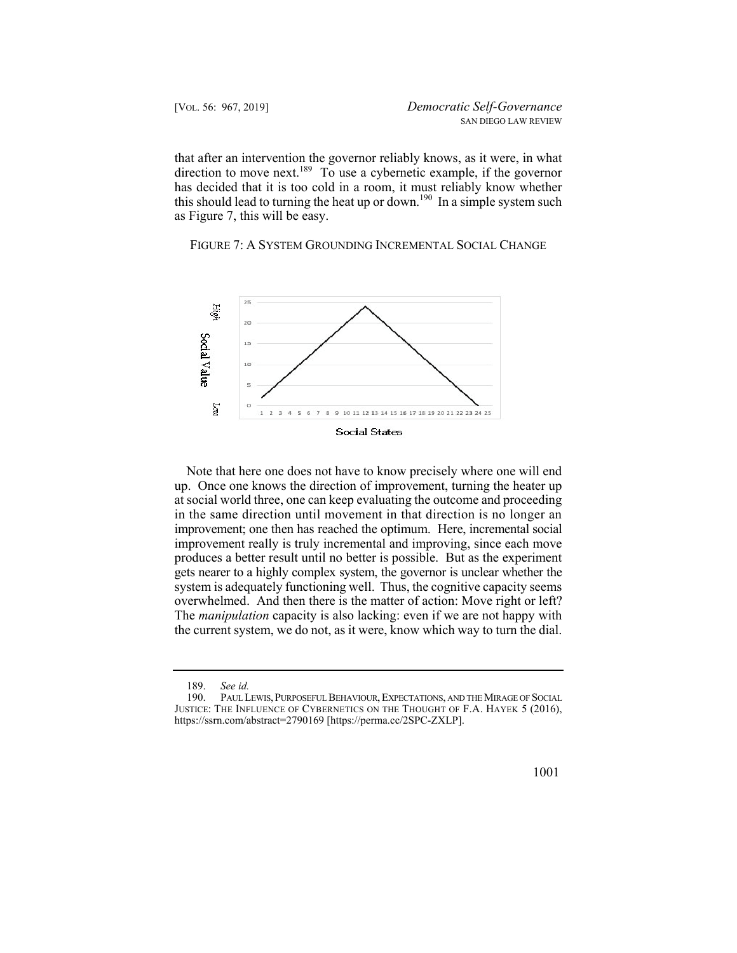that after an intervention the governor reliably knows, as it were, in what direction to move next.<sup>189</sup> To use a cybernetic example, if the governor has decided that it is too cold in a room, it must reliably know whether this should lead to turning the heat up or down.<sup>190</sup> In a simple system such as Figure 7, this will be easy.

FIGURE 7: A SYSTEM GROUNDING INCREMENTAL SOCIAL CHANGE



 improvement; one then has reached the optimum. Here, incremental social system is adequately functioning well. Thus, the cognitive capacity seems Note that here one does not have to know precisely where one will end up. Once one knows the direction of improvement, turning the heater up at social world three, one can keep evaluating the outcome and proceeding in the same direction until movement in that direction is no longer an improvement really is truly incremental and improving, since each move produces a better result until no better is possible. But as the experiment gets nearer to a highly complex system, the governor is unclear whether the overwhelmed. And then there is the matter of action: Move right or left? The *manipulation* capacity is also lacking: even if we are not happy with the current system, we do not, as it were, know which way to turn the dial.

 <sup>190.</sup> PAUL LEWIS, PURPOSEFUL BEHAVIOUR, EXPECTATIONS, AND THE MIRAGE OF SOCIAL JUSTICE: THE INFLUENCE OF CYBERNETICS ON THE THOUGHT OF F.A. HAYEK 5 (2016), <https://ssrn.com/abstract=2790169> [[https://perma.cc/2SPC-ZXLP\]](https://perma.cc/2SPC-ZXLP).



<sup>189.</sup> *See id.*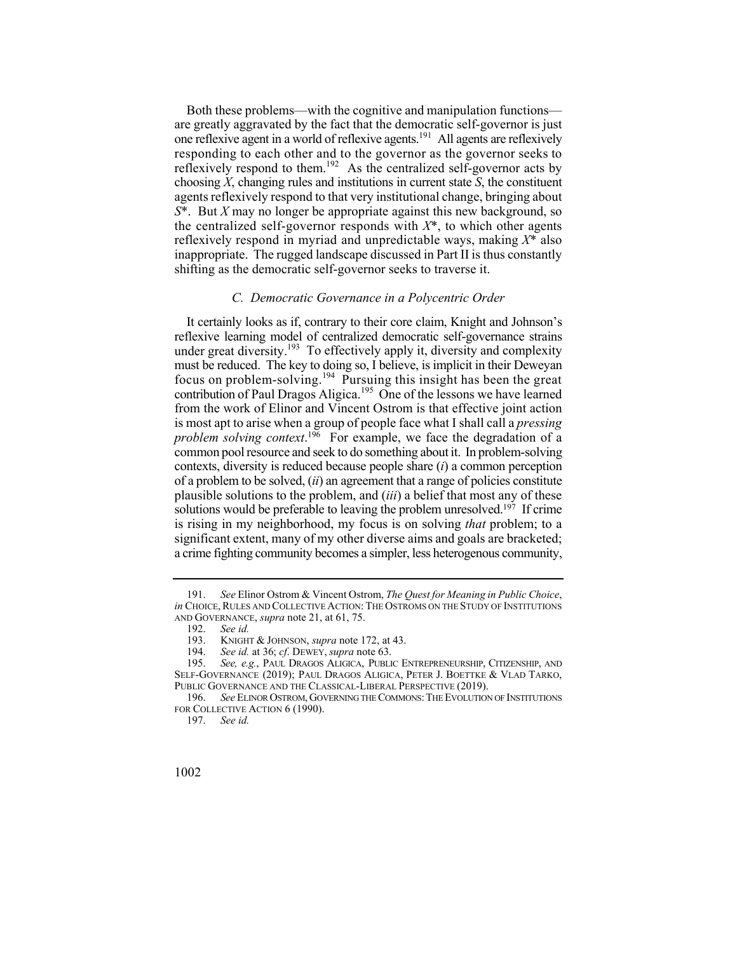Both these problems—with the cognitive and manipulation functions are greatly aggravated by the fact that the democratic self-governor is just one reflexive agent in a world of reflexive agents.191 All agents are reflexively responding to each other and to the governor as the governor seeks to reflexively respond to them.<sup>192</sup> As the centralized self-governor acts by choosing *X*, changing rules and institutions in current state *S*, the constituent agents reflexively respond to that very institutional change, bringing about *S*\*. But *X* may no longer be appropriate against this new background, so the centralized self-governor responds with  $X^*$ , to which other agents reflexively respond in myriad and unpredictable ways, making *X*\* also inappropriate. The rugged landscape discussed in Part II is thus constantly shifting as the democratic self-governor seeks to traverse it.

## *C. Democratic Governance in a Polycentric Order*

It certainly looks as if, contrary to their core claim, Knight and Johnson's reflexive learning model of centralized democratic self-governance strains under great diversity.<sup>193</sup> To effectively apply it, diversity and complexity must be reduced. The key to doing so, I believe, is implicit in their Deweyan focus on problem-solving.194 Pursuing this insight has been the great contribution of Paul Dragos Aligica.<sup>195</sup> One of the lessons we have learned from the work of Elinor and Vincent Ostrom is that effective joint action is most apt to arise when a group of people face what I shall call a *pressing problem solving context*. 196 For example, we face the degradation of a common pool resource and seek to do something about it. In problem-solving contexts, diversity is reduced because people share (*i*) a common perception of a problem to be solved, (*ii*) an agreement that a range of policies constitute plausible solutions to the problem, and (*iii*) a belief that most any of these solutions would be preferable to leaving the problem unresolved.<sup>197</sup> If crime is rising in my neighborhood, my focus is on solving *that* problem; to a significant extent, many of my other diverse aims and goals are bracketed; a crime fighting community becomes a simpler, less heterogenous community,

<sup>191.</sup> *See* Elinor Ostrom & Vincent Ostrom, *The Quest for Meaning in Public Choice*, *in* CHOICE, RULES AND COLLECTIVE ACTION: THE OSTROMS ON THE STUDY OF INSTITUTIONS AND GOVERNANCE, *supra* note 21, at 61, 75.

<sup>192.</sup> *See id.*

 <sup>193.</sup> KNIGHT & JOHNSON, *supra* note 172, at 43.

<sup>194.</sup> *See id.* at 36; *cf*. DEWEY, *supra* note 63.

 <sup>195.</sup> *See, e.g.*, PAUL DRAGOS ALIGICA, PUBLIC ENTREPRENEURSHIP, CITIZENSHIP, AND SELF-GOVERNANCE (2019); PAUL DRAGOS ALIGICA, PETER J. BOETTKE & VLAD TARKO, PUBLIC GOVERNANCE AND THE CLASSICAL-LIBERAL PERSPECTIVE (2019).

<sup>196.</sup> *See* ELINOR OSTROM, GOVERNING THE COMMONS: THE EVOLUTION OF INSTITUTIONS FOR COLLECTIVE ACTION 6 (1990).

<sup>197.</sup> *See id.*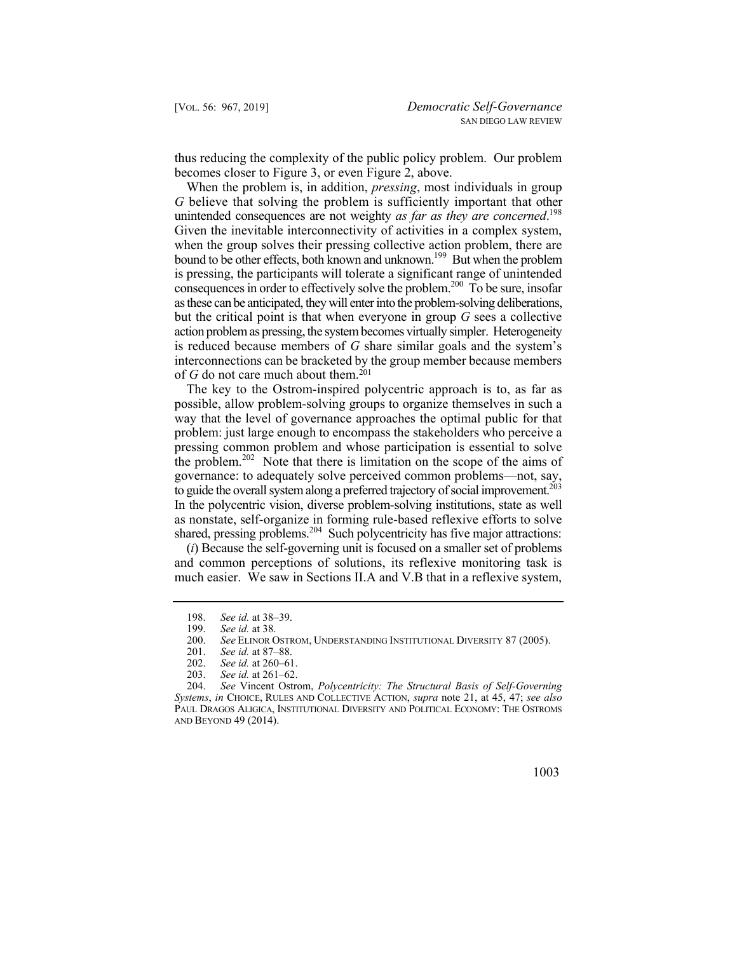thus reducing the complexity of the public policy problem. Our problem becomes closer to Figure 3, or even Figure 2, above.

 *G* believe that solving the problem is sufficiently important that other unintended consequences are not weighty *as far as they are concerned*. 198 bound to be other effects, both known and unknown.<sup>199</sup> But when the problem consequences in order to effectively solve the problem.<sup>200</sup> To be sure, insofar When the problem is, in addition, *pressing*, most individuals in group Given the inevitable interconnectivity of activities in a complex system, when the group solves their pressing collective action problem, there are is pressing, the participants will tolerate a significant range of unintended as these can be anticipated, they will enter into the problem-solving deliberations, but the critical point is that when everyone in group *G* sees a collective action problem as pressing, the system becomes virtually simpler. Heterogeneity is reduced because members of *G* share similar goals and the system's interconnections can be bracketed by the group member because members of  $G$  do not care much about them.<sup>201</sup>

the problem.<sup>202</sup> Note that there is limitation on the scope of the aims of to guide the overall system along a preferred trajectory of social improvement.<sup>203</sup> The key to the Ostrom-inspired polycentric approach is to, as far as possible, allow problem-solving groups to organize themselves in such a way that the level of governance approaches the optimal public for that problem: just large enough to encompass the stakeholders who perceive a pressing common problem and whose participation is essential to solve governance: to adequately solve perceived common problems—not, say, In the polycentric vision, diverse problem-solving institutions, state as well as nonstate, self-organize in forming rule-based reflexive efforts to solve shared, pressing problems.<sup>204</sup> Such polycentricity has five major attractions:

(*i*) Because the self-governing unit is focused on a smaller set of problems and common perceptions of solutions, its reflexive monitoring task is much easier. We saw in Sections II.A and V.B that in a reflexive system,

<sup>204.</sup> *See* Vincent Ostrom, *Polycentricity: The Structural Basis of Self-Governing Systems*, *in* CHOICE, RULES AND COLLECTIVE ACTION, *supra* note 21, at 45, 47; *see also*  PAUL DRAGOS ALIGICA, INSTITUTIONAL DIVERSITY AND POLITICAL ECONOMY: THE OSTROMS AND BEYOND 49 (2014).



<sup>198.</sup> *See id.* at 38–39.

<sup>199.</sup> *See id.* at 38.<br>200. *See* ELINOR C

See ELINOR OSTROM, UNDERSTANDING INSTITUTIONAL DIVERSITY 87 (2005).

<sup>201.</sup> *See id.* at 87–88.

<sup>202.</sup> *See id.* at 260–61.<br>203. *See id.* at 261–62.

See id. at 261–62.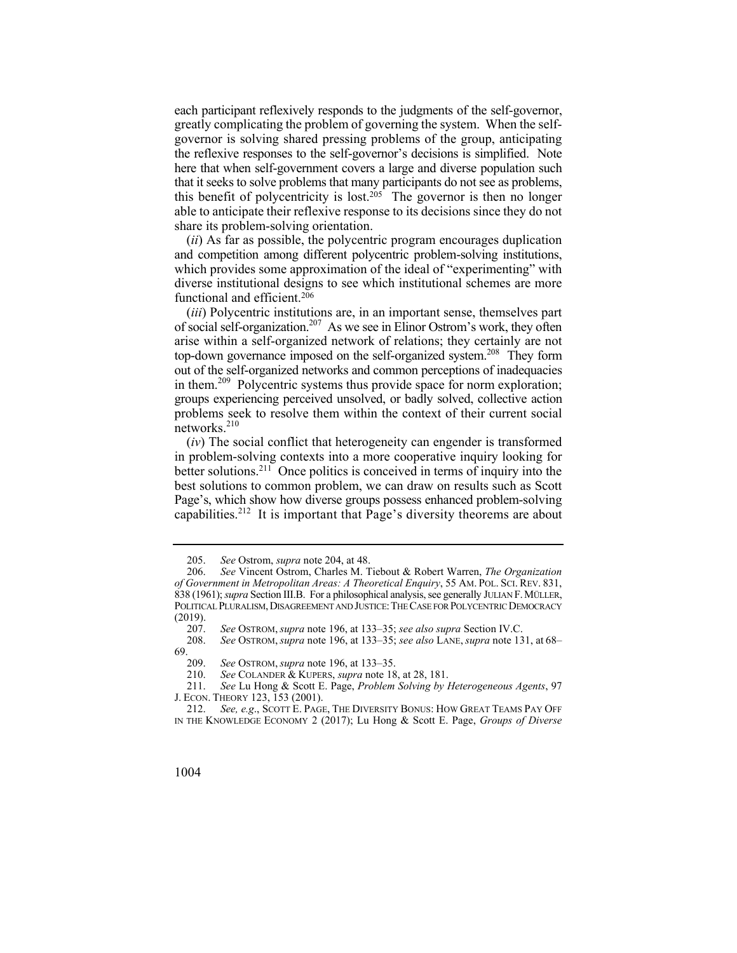each participant reflexively responds to the judgments of the self-governor, greatly complicating the problem of governing the system. When the selfgovernor is solving shared pressing problems of the group, anticipating the reflexive responses to the self-governor's decisions is simplified. Note here that when self-government covers a large and diverse population such that it seeks to solve problems that many participants do not see as problems, this benefit of polycentricity is lost.<sup>205</sup> The governor is then no longer able to anticipate their reflexive response to its decisions since they do not share its problem-solving orientation.

(*ii*) As far as possible, the polycentric program encourages duplication and competition among different polycentric problem-solving institutions, which provides some approximation of the ideal of "experimenting" with diverse institutional designs to see which institutional schemes are more functional and efficient.206

 groups experiencing perceived unsolved, or badly solved, collective action (*iii*) Polycentric institutions are, in an important sense, themselves part of social self-organization.207 As we see in Elinor Ostrom's work, they often arise within a self-organized network of relations; they certainly are not top-down governance imposed on the self-organized system.<sup>208</sup> They form out of the self-organized networks and common perceptions of inadequacies in them.<sup>209</sup> Polycentric systems thus provide space for norm exploration; problems seek to resolve them within the context of their current social  $networks.<sup>210</sup>$ 

 in problem-solving contexts into a more cooperative inquiry looking for capabilities.<sup>212</sup> It is important that Page's diversity theorems are about (*iv*) The social conflict that heterogeneity can engender is transformed better solutions.211 Once politics is conceived in terms of inquiry into the best solutions to common problem, we can draw on results such as Scott Page's, which show how diverse groups possess enhanced problem-solving

 212. *See, e.g*., SCOTT E. PAGE, THE DIVERSITY BONUS: HOW GREAT TEAMS PAY OFF IN THE KNOWLEDGE ECONOMY 2 (2017); Lu Hong & Scott E. Page, *Groups of Diverse* 



<sup>205.</sup> *See* Ostrom, *supra* note 204, at 48.

<sup>206.</sup> *See* Vincent Ostrom, Charles M. Tiebout & Robert Warren, *The Organization of Government in Metropolitan Areas: A Theoretical Enquiry*, 55 AM. POL. SCI. REV. 831, 838 (1961); *supra* Section III.B. For a philosophical analysis, see generally JULIAN F. MÜLLER, POLITICAL PLURALISM, DISAGREEMENT AND JUSTICE: THE CASE FOR POLYCENTRIC DEMOCRACY  $\frac{(2019)}{207}$ .

<sup>207.</sup> *See* OSTROM, *supra* note 196, at 133–35; *see also supra* Section IV.C.

 <sup>208.</sup> *See* OSTROM, *supra* note 196, at 133–35; *see also* LANE, *supra* note 131, at 68– 69.

<sup>209.</sup> *See* OSTROM, *supra* note 196, at 133–35.

See COLANDER & KUPERS, *supra* note 18, at 28, 181.

<sup>211.</sup> *See* Lu Hong & Scott E. Page, *Problem Solving by Heterogeneous Agents*, 97 J. ECON. THEORY 123, 153 (2001).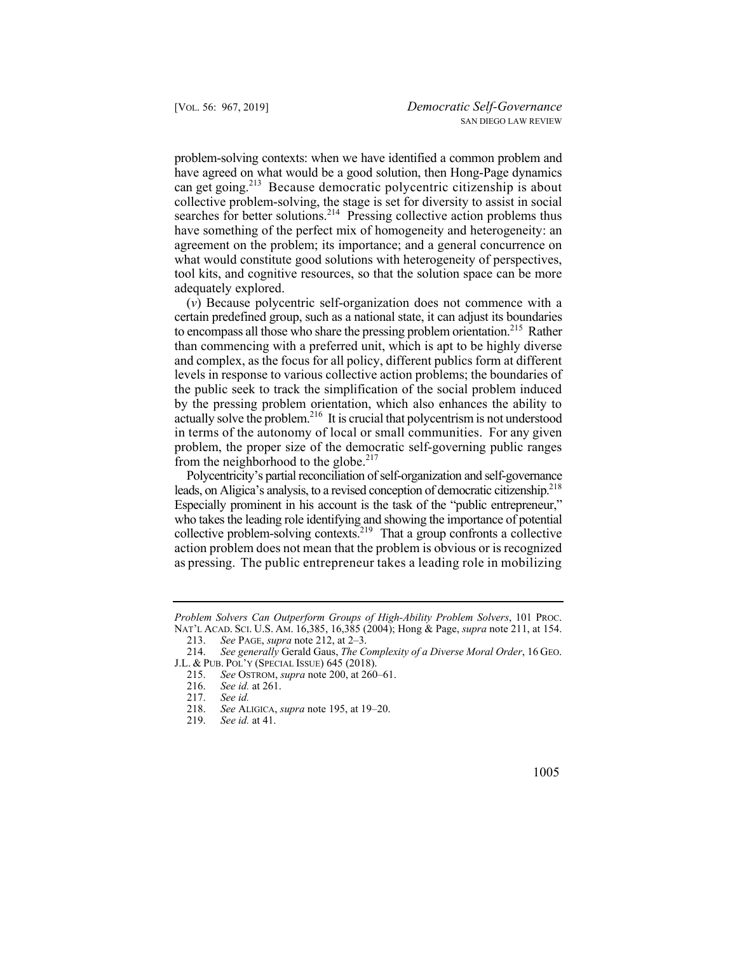can get going.<sup>213</sup> Because democratic polycentric citizenship is about problem-solving contexts: when we have identified a common problem and have agreed on what would be a good solution, then Hong-Page dynamics collective problem-solving, the stage is set for diversity to assist in social searches for better solutions.<sup>214</sup> Pressing collective action problems thus have something of the perfect mix of homogeneity and heterogeneity: an agreement on the problem; its importance; and a general concurrence on what would constitute good solutions with heterogeneity of perspectives, tool kits, and cognitive resources, so that the solution space can be more adequately explored.

to encompass all those who share the pressing problem orientation.<sup>215</sup> Rather in terms of the autonomy of local or small communities. For any given (*v*) Because polycentric self-organization does not commence with a certain predefined group, such as a national state, it can adjust its boundaries than commencing with a preferred unit, which is apt to be highly diverse and complex, as the focus for all policy, different publics form at different levels in response to various collective action problems; the boundaries of the public seek to track the simplification of the social problem induced by the pressing problem orientation, which also enhances the ability to actually solve the problem.<sup>216</sup> It is crucial that polycentrism is not understood problem, the proper size of the democratic self-governing public ranges from the neighborhood to the globe. $217$ 

leads, on Aligica's analysis, to a revised conception of democratic citizenship.<sup>218</sup> Polycentricity's partial reconciliation of self-organization and self-governance Especially prominent in his account is the task of the "public entrepreneur," who takes the leading role identifying and showing the importance of potential collective problem-solving contexts.<sup>219</sup> That a group confronts a collective action problem does not mean that the problem is obvious or is recognized as pressing. The public entrepreneur takes a leading role in mobilizing

 NAT'L ACAD. SCI. U.S. AM. 16,385, 16,385 (2004); Hong & Page, *supra* note 211, at 154. *Problem Solvers Can Outperform Groups of High-Ability Problem Solvers*, 101 PROC.

<sup>213.</sup> *See* PAGE, *supra* note 212, at 2–3.

 214. *See generally* Gerald Gaus, *The Complexity of a Diverse Moral Order*, 16 GEO. J.L. & PUB. POL'Y (SPECIAL ISSUE) 645 (2018).

<sup>215.</sup> *See* OSTROM, *supra* note 200, at 260–61.

<sup>216.</sup> *See id.* at 261.

<sup>217.</sup> *See id.* 218. *See* ALIGICA, *supra* note 195, at 19–20.

<sup>219.</sup> *See id.* at 41.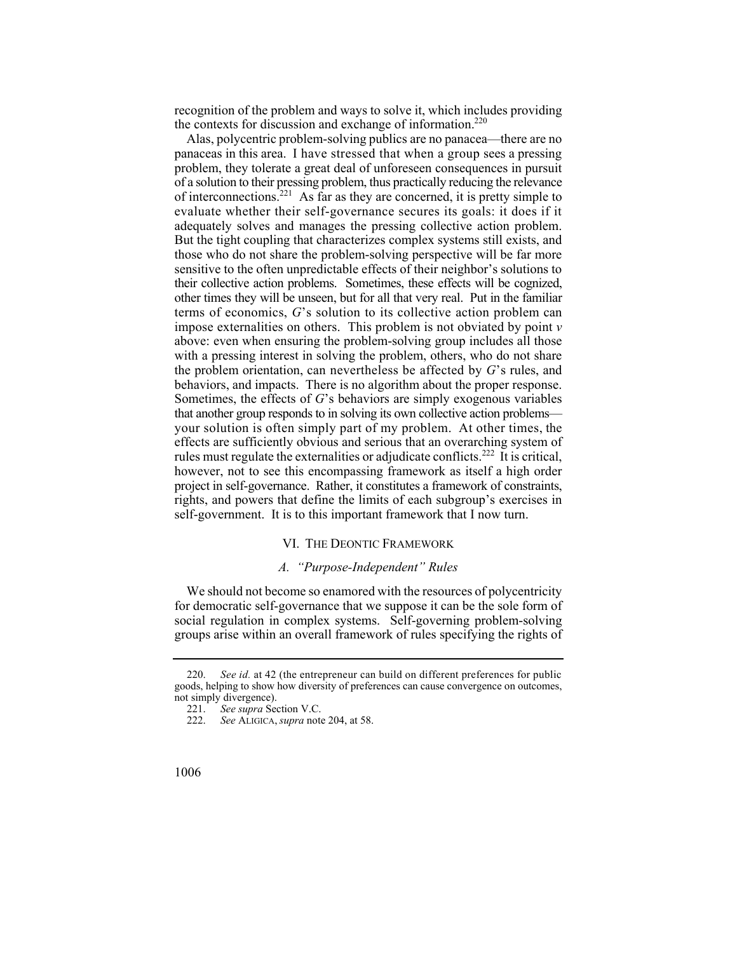recognition of the problem and ways to solve it, which includes providing the contexts for discussion and exchange of information.<sup>220</sup>

 panaceas in this area. I have stressed that when a group sees a pressing Alas, polycentric problem-solving publics are no panacea—there are no problem, they tolerate a great deal of unforeseen consequences in pursuit of a solution to their pressing problem, thus practically reducing the relevance of interconnections.<sup>221</sup> As far as they are concerned, it is pretty simple to evaluate whether their self-governance secures its goals: it does if it adequately solves and manages the pressing collective action problem. But the tight coupling that characterizes complex systems still exists, and those who do not share the problem-solving perspective will be far more sensitive to the often unpredictable effects of their neighbor's solutions to their collective action problems. Sometimes, these effects will be cognized, other times they will be unseen, but for all that very real. Put in the familiar terms of economics, *G*'s solution to its collective action problem can impose externalities on others. This problem is not obviated by point *v*  above: even when ensuring the problem-solving group includes all those with a pressing interest in solving the problem, others, who do not share the problem orientation, can nevertheless be affected by *G*'s rules, and behaviors, and impacts. There is no algorithm about the proper response. Sometimes, the effects of *G*'s behaviors are simply exogenous variables that another group responds to in solving its own collective action problems your solution is often simply part of my problem. At other times, the effects are sufficiently obvious and serious that an overarching system of rules must regulate the externalities or adjudicate conflicts.<sup>222</sup> It is critical, however, not to see this encompassing framework as itself a high order project in self-governance. Rather, it constitutes a framework of constraints, rights, and powers that define the limits of each subgroup's exercises in self-government. It is to this important framework that I now turn.

## VI. THE DEONTIC FRAMEWORK

# *A. "Purpose-Independent" Rules*

We should not become so enamored with the resources of polycentricity for democratic self-governance that we suppose it can be the sole form of social regulation in complex systems. Self-governing problem-solving groups arise within an overall framework of rules specifying the rights of

<sup>220.</sup> *See id.* at 42 (the entrepreneur can build on different preferences for public goods, helping to show how diversity of preferences can cause convergence on outcomes, not simply divergence).<br>221. See supra See

See supra Section V.C.

<sup>222.</sup> *See* ALIGICA, *supra* note 204, at 58.

<sup>1006</sup>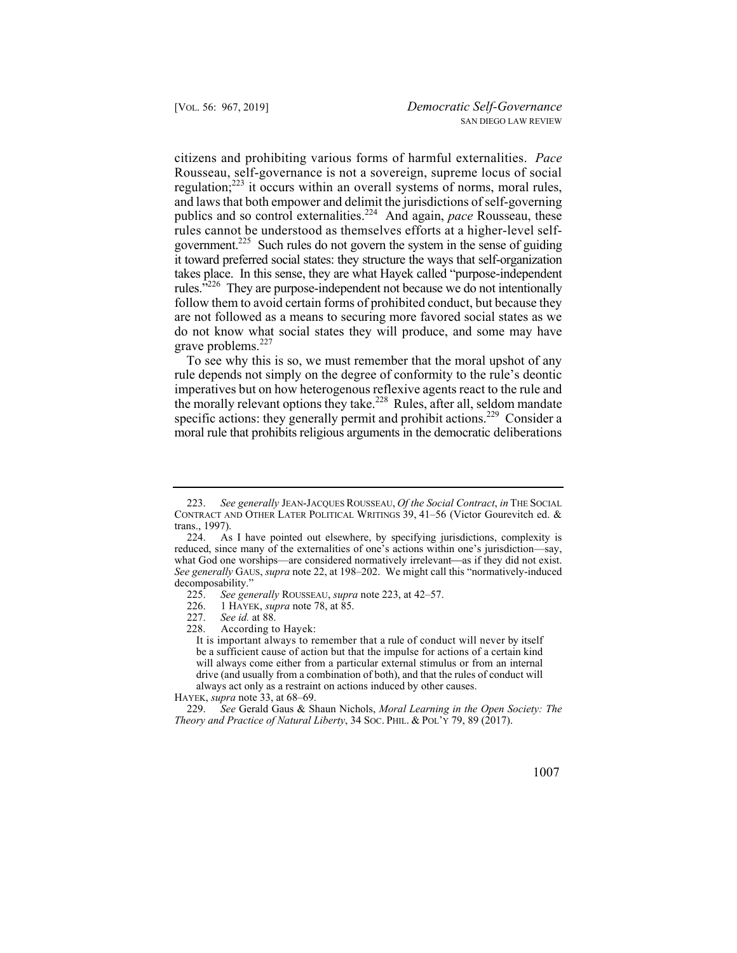citizens and prohibiting various forms of harmful externalities. *Pace*  Rousseau, self-governance is not a sovereign, supreme locus of social regulation;<sup>223</sup> it occurs within an overall systems of norms, moral rules, government.<sup>225</sup> Such rules do not govern the system in the sense of guiding and laws that both empower and delimit the jurisdictions of self-governing publics and so control externalities.224 And again, *pace* Rousseau, these rules cannot be understood as themselves efforts at a higher-level selfit toward preferred social states: they structure the ways that self-organization takes place. In this sense, they are what Hayek called "purpose-independent rules. $^{3226}$  They are purpose-independent not because we do not intentionally follow them to avoid certain forms of prohibited conduct, but because they are not followed as a means to securing more favored social states as we do not know what social states they will produce, and some may have grave problems.<sup>227</sup>

the morally relevant options they take.<sup>228</sup> Rules, after all, seldom mandate To see why this is so, we must remember that the moral upshot of any rule depends not simply on the degree of conformity to the rule's deontic imperatives but on how heterogenous reflexive agents react to the rule and specific actions: they generally permit and prohibit actions.<sup>229</sup> Consider a moral rule that prohibits religious arguments in the democratic deliberations

<sup>229.</sup> *See* Gerald Gaus & Shaun Nichols, *Moral Learning in the Open Society: The Theory and Practice of Natural Liberty*, 34 SOC. PHIL. & POL'Y 79, 89 (2017).



<sup>223.</sup> *See generally* JEAN-JACQUES ROUSSEAU, *Of the Social Contract*, *in* THE SOCIAL CONTRACT AND OTHER LATER POLITICAL WRITINGS 39, 41–56 (Victor Gourevitch ed. & trans., 1997).

<sup>224.</sup> As I have pointed out elsewhere, by specifying jurisdictions, complexity is reduced, since many of the externalities of one's actions within one's jurisdiction—say, what God one worships—are considered normatively irrelevant—as if they did not exist. *See generally* GAUS, *supra* note 22, at 198–202. We might call this "normatively-induced decomposability."<br>225. See gen

<sup>225.</sup> *See generally* ROUSSEAU, *supra* note 223, at 42–57.

<sup>226. 1</sup> HAYEK, *supra* note 78, at 85.

<sup>227.</sup> *See id.* at 88.

<sup>228.</sup> According to Hayek:

 It is important always to remember that a rule of conduct will never by itself be a sufficient cause of action but that the impulse for actions of a certain kind will always come either from a particular external stimulus or from an internal drive (and usually from a combination of both), and that the rules of conduct will always act only as a restraint on actions induced by other causes.

HAYEK, *supra* note 33, at 68–69.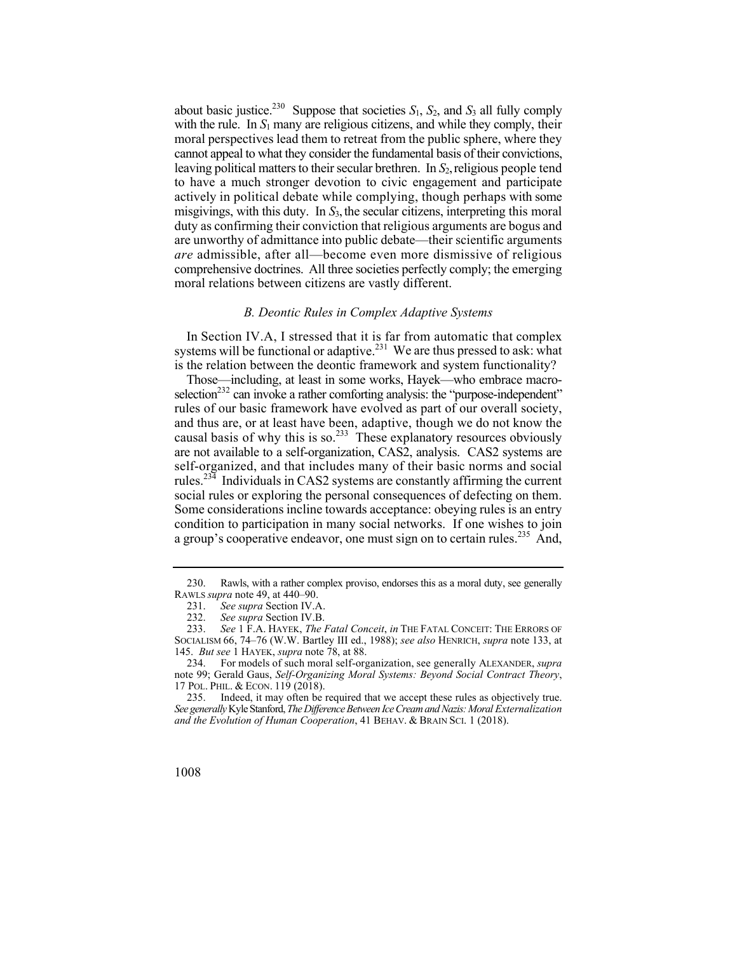leaving political matters to their secular brethren. In *S*2,religious people tend misgivings, with this duty. In *S*3, the secular citizens, interpreting this moral about basic justice.<sup>230</sup> Suppose that societies  $S_1$ ,  $S_2$ , and  $S_3$  all fully comply with the rule. In  $S_1$  many are religious citizens, and while they comply, their moral perspectives lead them to retreat from the public sphere, where they cannot appeal to what they consider the fundamental basis of their convictions, to have a much stronger devotion to civic engagement and participate actively in political debate while complying, though perhaps with some duty as confirming their conviction that religious arguments are bogus and are unworthy of admittance into public debate—their scientific arguments *are* admissible, after all—become even more dismissive of religious comprehensive doctrines. All three societies perfectly comply; the emerging moral relations between citizens are vastly different.

## *B. Deontic Rules in Complex Adaptive Systems*

systems will be functional or adaptive.<sup>231</sup> We are thus pressed to ask: what In Section IV.A, I stressed that it is far from automatic that complex is the relation between the deontic framework and system functionality?

causal basis of why this is so.<sup>233</sup> These explanatory resources obviously social rules or exploring the personal consequences of defecting on them. Those—including, at least in some works, Hayek—who embrace macroselection<sup>232</sup> can invoke a rather comforting analysis: the "purpose-independent" rules of our basic framework have evolved as part of our overall society, and thus are, or at least have been, adaptive, though we do not know the are not available to a self-organization, CAS2, analysis. CAS2 systems are self-organized, and that includes many of their basic norms and social rules.<sup>234</sup> Individuals in CAS2 systems are constantly affirming the current Some considerations incline towards acceptance: obeying rules is an entry condition to participation in many social networks. If one wishes to join a group's cooperative endeavor, one must sign on to certain rules.<sup>235</sup> And,

<sup>230.</sup> Rawls, with a rather complex proviso, endorses this as a moral duty, see generally RAWLS *supra* note 49, at 440–90.

<sup>231.</sup> *See supra* Section IV.A.

<sup>232.</sup> *See supra* Section IV.B.

<sup>233.</sup> *See* 1 F.A. HAYEK, *The Fatal Conceit*, *in* THE FATAL CONCEIT: THE ERRORS OF SOCIALISM 66, 74–76 (W.W. Bartley III ed., 1988); *see also* HENRICH, *supra* note 133, at 145. *But see* 1 HAYEK, *supra* note 78, at 88.

 234. For models of such moral self-organization, see generally ALEXANDER, *supra* note 99; Gerald Gaus, *Self-Organizing Moral Systems: Beyond Social Contract Theory*, 17 POL. PHIL. & ECON. 119 (2018).

 235. Indeed, it may often be required that we accept these rules as objectively true. *See generally* Kyle Stanford, *The Difference Between Ice Cream and Nazis: Moral Externalization and the Evolution of Human Cooperation*, 41 BEHAV. & BRAIN SCI. 1 (2018).

<sup>1008</sup>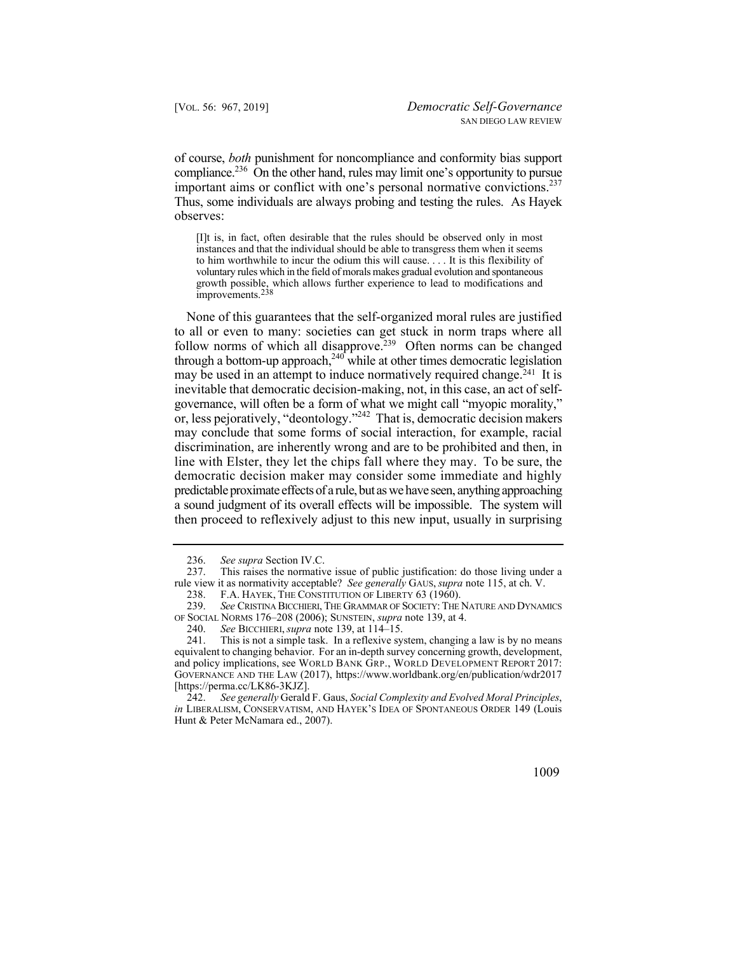compliance.<sup>236</sup> On the other hand, rules may limit one's opportunity to pursue important aims or conflict with one's personal normative convictions.<sup>237</sup> Thus, some individuals are always probing and testing the rules. As Hayek of course, *both* punishment for noncompliance and conformity bias support observes:

[I]t is, in fact, often desirable that the rules should be observed only in most instances and that the individual should be able to transgress them when it seems to him worthwhile to incur the odium this will cause. . . . It is this flexibility of voluntary rules which in the field of morals makes gradual evolution and spontaneous growth possible, which allows further experience to lead to modifications and improvements.238

 line with Elster, they let the chips fall where they may. To be sure, the None of this guarantees that the self-organized moral rules are justified to all or even to many: societies can get stuck in norm traps where all follow norms of which all disapprove.<sup>239</sup> Often norms can be changed through a bottom-up approach, $240$  while at other times democratic legislation may be used in an attempt to induce normatively required change.<sup>241</sup> It is inevitable that democratic decision-making, not, in this case, an act of selfgovernance, will often be a form of what we might call "myopic morality," or, less pejoratively, "deontology."242 That is, democratic decision makers may conclude that some forms of social interaction, for example, racial discrimination, are inherently wrong and are to be prohibited and then, in democratic decision maker may consider some immediate and highly predictable proximate effects of a rule, but as we have seen, anything approaching a sound judgment of its overall effects will be impossible. The system will then proceed to reflexively adjust to this new input, usually in surprising

<sup>242.</sup> *See generally* Gerald F. Gaus, *Social Complexity and Evolved Moral Principles*, *in* LIBERALISM, CONSERVATISM, AND HAYEK'S IDEA OF SPONTANEOUS ORDER 149 (Louis Hunt & Peter McNamara ed., 2007).



<sup>236.</sup> *See supra* Section IV.C.<br>237. This raises the normativ

This raises the normative issue of public justification: do those living under a rule view it as normativity acceptable? *See generally* GAUS, *supra* note 115, at ch. V.

 238. F.A. HAYEK, THE CONSTITUTION OF LIBERTY 63 (1960).

<sup>239.</sup> *See* CRISTINA BICCHIERI, THE GRAMMAR OF SOCIETY: THE NATURE AND DYNAMICS OF SOCIAL NORMS 176–208 (2006); SUNSTEIN, *supra* note 139, at 4.

 <sup>240.</sup> *See* BICCHIERI, *supra* note 139, at 114–15.

 241. This is not a simple task. In a reflexive system, changing a law is by no means equivalent to changing behavior. For an in-depth survey concerning growth, development, and policy implications, see WORLD BANK GRP., WORLD DEVELOPMENT REPORT 2017: GOVERNANCE AND THE LAW (2017), <https://www.worldbank.org/en/publication/wdr2017> [\[https://perma.cc/LK86-3KJZ](https://perma.cc/LK86-3KJZ)].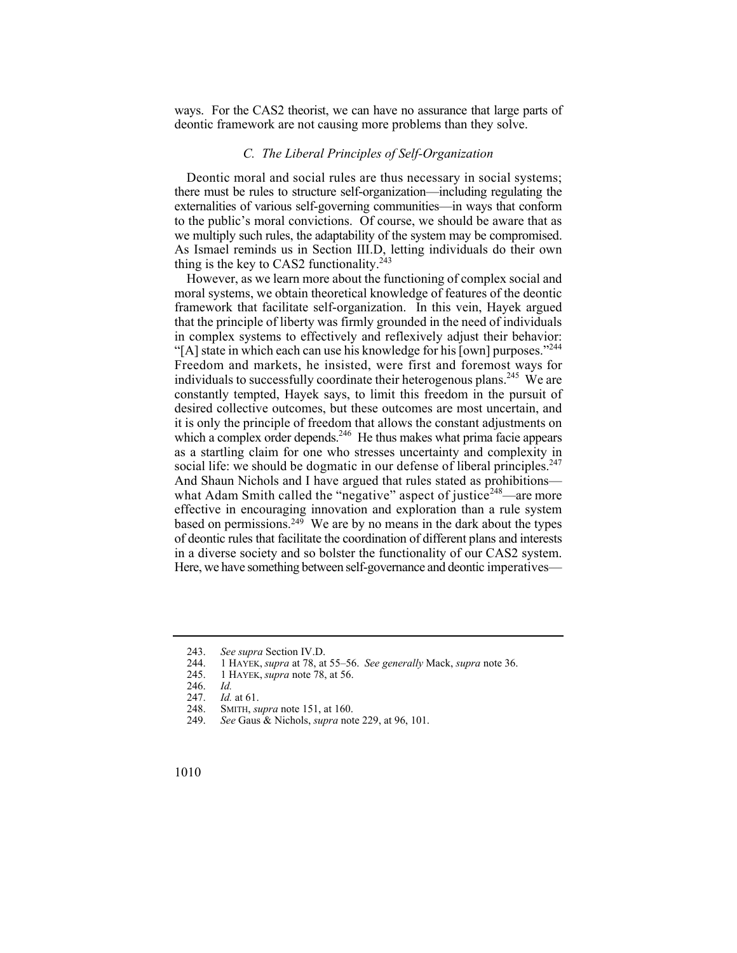ways. For the CAS2 theorist, we can have no assurance that large parts of deontic framework are not causing more problems than they solve.

## *C. The Liberal Principles of Self-Organization*

Deontic moral and social rules are thus necessary in social systems; there must be rules to structure self-organization—including regulating the externalities of various self-governing communities—in ways that conform to the public's moral convictions. Of course, we should be aware that as we multiply such rules, the adaptability of the system may be compromised. As Ismael reminds us in Section III.D, letting individuals do their own thing is the key to CAS2 functionality.<sup>243</sup>

"[A] state in which each can use his knowledge for his [own] purposes."<sup>244</sup> Freedom and markets, he insisted, were first and foremost ways for social life: we should be dogmatic in our defense of liberal principles. $247$ However, as we learn more about the functioning of complex social and moral systems, we obtain theoretical knowledge of features of the deontic framework that facilitate self-organization. In this vein, Hayek argued that the principle of liberty was firmly grounded in the need of individuals in complex systems to effectively and reflexively adjust their behavior: individuals to successfully coordinate their heterogenous plans.<sup>245</sup> We are constantly tempted, Hayek says, to limit this freedom in the pursuit of desired collective outcomes, but these outcomes are most uncertain, and it is only the principle of freedom that allows the constant adjustments on which a complex order depends.<sup>246</sup> He thus makes what prima facie appears as a startling claim for one who stresses uncertainty and complexity in And Shaun Nichols and I have argued that rules stated as prohibitions what Adam Smith called the "negative" aspect of justice<sup>248</sup>—are more effective in encouraging innovation and exploration than a rule system based on permissions.<sup>249</sup> We are by no means in the dark about the types of deontic rules that facilitate the coordination of different plans and interests in a diverse society and so bolster the functionality of our CAS2 system. Here, we have something between self-governance and deontic imperatives—

<sup>243.</sup> *See supra* Section IV.D.

<sup>244. 1</sup> HAYEK, *supra* at 78, at 55–56. *See generally* Mack, *supra* note 36.

<sup>245. 1</sup> HAYEK, *supra* note 78, at 56.

<sup>246.</sup> *Id.* 

<sup>247.</sup> *Id.* at 61.<br>248. SMITH, *su* SMITH, *supra* note 151, at 160.

<sup>249.</sup> *See* Gaus & Nichols, *supra* note 229, at 96, 101.

<sup>1010</sup>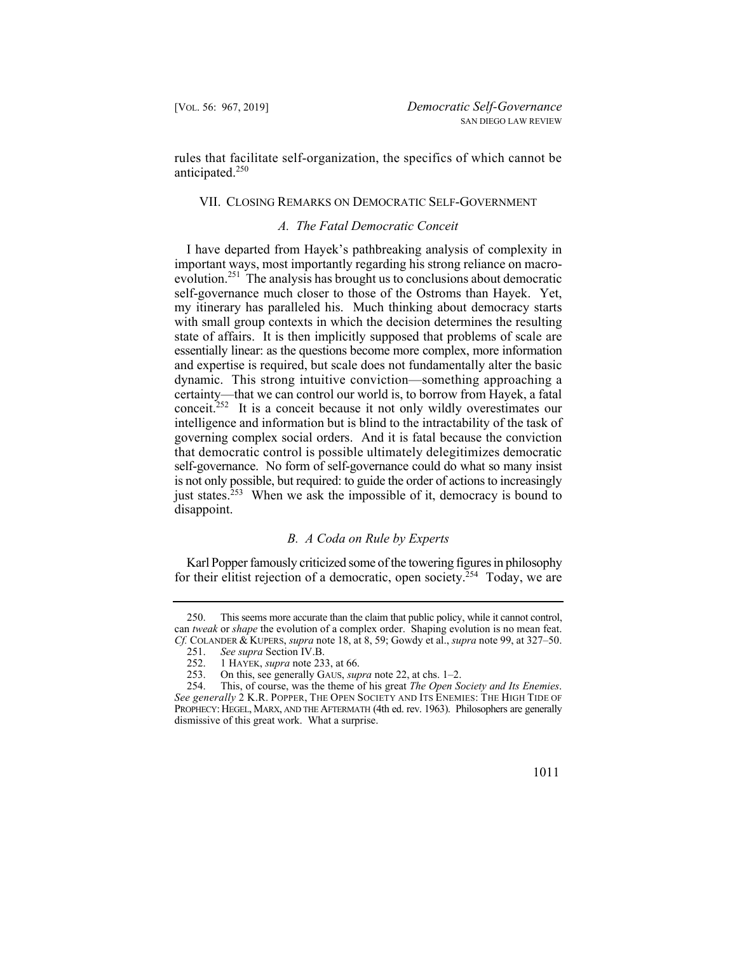rules that facilitate self-organization, the specifics of which cannot be anticipated.<sup>250</sup>

## VII. CLOSING REMARKS ON DEMOCRATIC SELF-GOVERNMENT

## *A. The Fatal Democratic Conceit*

I have departed from Hayek's pathbreaking analysis of complexity in important ways, most importantly regarding his strong reliance on macroevolution.251 The analysis has brought us to conclusions about democratic self-governance much closer to those of the Ostroms than Hayek. Yet, my itinerary has paralleled his. Much thinking about democracy starts with small group contexts in which the decision determines the resulting state of affairs. It is then implicitly supposed that problems of scale are essentially linear: as the questions become more complex, more information and expertise is required, but scale does not fundamentally alter the basic dynamic. This strong intuitive conviction—something approaching a certainty—that we can control our world is, to borrow from Hayek, a fatal conceit.<sup>252</sup> It is a conceit because it not only wildly overestimates our intelligence and information but is blind to the intractability of the task of governing complex social orders. And it is fatal because the conviction that democratic control is possible ultimately delegitimizes democratic self-governance. No form of self-governance could do what so many insist is not only possible, but required: to guide the order of actions to increasingly just states.<sup>253</sup> When we ask the impossible of it, democracy is bound to disappoint.

## *B. A Coda on Rule by Experts*

Karl Popper famously criticized some of the towering figures in philosophy for their elitist rejection of a democratic, open society.<sup>254</sup> Today, we are

<sup>250.</sup> This seems more accurate than the claim that public policy, while it cannot control, can *tweak* or *shape* the evolution of a complex order. Shaping evolution is no mean feat. *Cf.* COLANDER & KUPERS, *supra* note 18, at 8, 59; Gowdy et al., *supra* note 99, at 327–50.

<sup>251.</sup> *See supra* Section IV.B.

<sup>252. 1</sup> HAYEK, *supra* note 233, at 66.<br>253. On this, see generally GAUS, *sun* 

<sup>253.</sup> On this, see generally GAUS, *supra* note 22, at chs. 1–2.

 254. This, of course, was the theme of his great *The Open Society and Its Enemies*. *See generally* 2 K.R. POPPER, THE OPEN SOCIETY AND ITS ENEMIES: THE HIGH TIDE OF PROPHECY: HEGEL, MARX, AND THE AFTERMATH (4th ed. rev. 1963). Philosophers are generally dismissive of this great work. What a surprise.